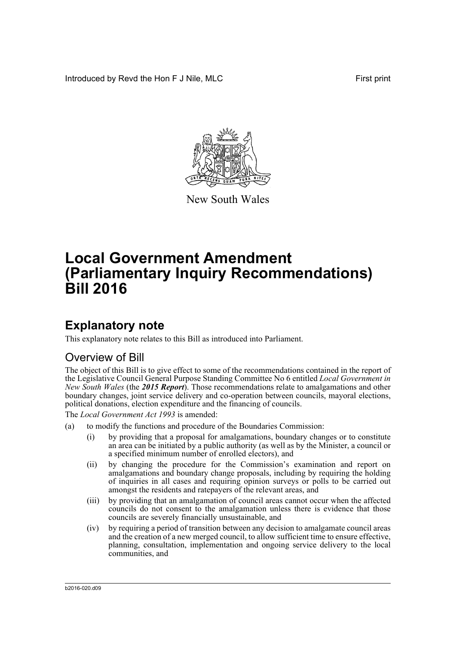Introduced by Revd the Hon F J Nile, MLC First print



New South Wales

# **Local Government Amendment (Parliamentary Inquiry Recommendations) Bill 2016**

## **Explanatory note**

This explanatory note relates to this Bill as introduced into Parliament.

## Overview of Bill

The object of this Bill is to give effect to some of the recommendations contained in the report of the Legislative Council General Purpose Standing Committee No 6 entitled *Local Government in New South Wales* (the *2015 Report*). Those recommendations relate to amalgamations and other boundary changes, joint service delivery and co-operation between councils, mayoral elections, political donations, election expenditure and the financing of councils.

The *Local Government Act 1993* is amended:

- (a) to modify the functions and procedure of the Boundaries Commission:
	- (i) by providing that a proposal for amalgamations, boundary changes or to constitute an area can be initiated by a public authority (as well as by the Minister, a council or a specified minimum number of enrolled electors), and
	- (ii) by changing the procedure for the Commission's examination and report on amalgamations and boundary change proposals, including by requiring the holding of inquiries in all cases and requiring opinion surveys or polls to be carried out amongst the residents and ratepayers of the relevant areas, and
	- (iii) by providing that an amalgamation of council areas cannot occur when the affected councils do not consent to the amalgamation unless there is evidence that those councils are severely financially unsustainable, and
	- (iv) by requiring a period of transition between any decision to amalgamate council areas and the creation of a new merged council, to allow sufficient time to ensure effective, planning, consultation, implementation and ongoing service delivery to the local communities, and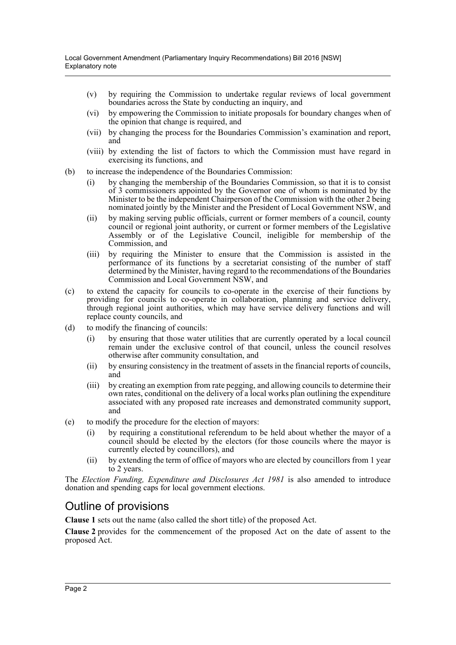- (v) by requiring the Commission to undertake regular reviews of local government boundaries across the State by conducting an inquiry, and
- (vi) by empowering the Commission to initiate proposals for boundary changes when of the opinion that change is required, and
- (vii) by changing the process for the Boundaries Commission's examination and report, and
- (viii) by extending the list of factors to which the Commission must have regard in exercising its functions, and
- (b) to increase the independence of the Boundaries Commission:
	- (i) by changing the membership of the Boundaries Commission, so that it is to consist of 3 commissioners appointed by the Governor one of whom is nominated by the Minister to be the independent Chairperson of the Commission with the other 2 being nominated jointly by the Minister and the President of Local Government NSW, and
	- (ii) by making serving public officials, current or former members of a council, county council or regional joint authority, or current or former members of the Legislative Assembly or of the Legislative Council, ineligible for membership of the Commission, and
	- (iii) by requiring the Minister to ensure that the Commission is assisted in the performance of its functions by a secretariat consisting of the number of staff determined by the Minister, having regard to the recommendations of the Boundaries Commission and Local Government NSW, and
- (c) to extend the capacity for councils to co-operate in the exercise of their functions by providing for councils to co-operate in collaboration, planning and service delivery, through regional joint authorities, which may have service delivery functions and will replace county councils, and
- (d) to modify the financing of councils:
	- (i) by ensuring that those water utilities that are currently operated by a local council remain under the exclusive control of that council, unless the council resolves otherwise after community consultation, and
	- (ii) by ensuring consistency in the treatment of assets in the financial reports of councils, and
	- (iii) by creating an exemption from rate pegging, and allowing councils to determine their own rates, conditional on the delivery of a local works plan outlining the expenditure associated with any proposed rate increases and demonstrated community support, and
- (e) to modify the procedure for the election of mayors:
	- (i) by requiring a constitutional referendum to be held about whether the mayor of a council should be elected by the electors (for those councils where the mayor is currently elected by councillors), and
	- (ii) by extending the term of office of mayors who are elected by councillors from 1 year to 2 years.

The *Election Funding, Expenditure and Disclosures Act 1981* is also amended to introduce donation and spending caps for local government elections.

## Outline of provisions

**Clause 1** sets out the name (also called the short title) of the proposed Act.

**Clause 2** provides for the commencement of the proposed Act on the date of assent to the proposed Act.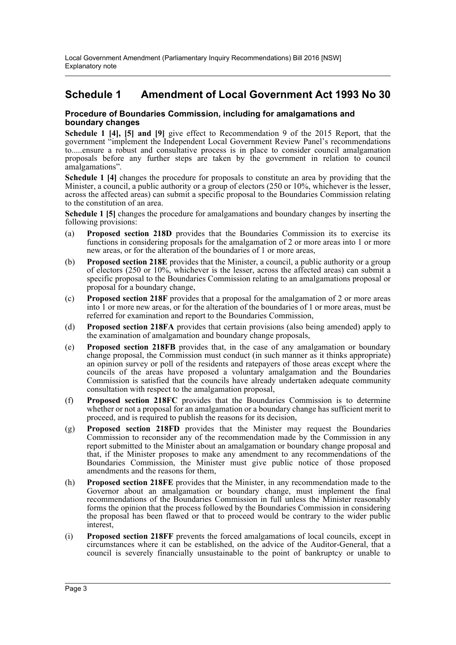### **Schedule 1 Amendment of Local Government Act 1993 No 30**

#### **Procedure of Boundaries Commission, including for amalgamations and boundary changes**

**Schedule 1 [4], [5] and [9]** give effect to Recommendation 9 of the 2015 Report, that the government "implement the Independent Local Government Review Panel's recommendations to.....ensure a robust and consultative process is in place to consider council amalgamation proposals before any further steps are taken by the government in relation to council amalgamations".

**Schedule 1 [4]** changes the procedure for proposals to constitute an area by providing that the Minister, a council, a public authority or a group of electors (250 or 10%, whichever is the lesser, across the affected areas) can submit a specific proposal to the Boundaries Commission relating to the constitution of an area.

**Schedule 1 [5]** changes the procedure for amalgamations and boundary changes by inserting the following provisions:

- (a) **Proposed section 218D** provides that the Boundaries Commission its to exercise its functions in considering proposals for the amalgamation of 2 or more areas into 1 or more new areas, or for the alteration of the boundaries of 1 or more areas,
- (b) **Proposed section 218E** provides that the Minister, a council, a public authority or a group of electors (250 or 10%, whichever is the lesser, across the affected areas) can submit a specific proposal to the Boundaries Commission relating to an amalgamations proposal or proposal for a boundary change,
- (c) **Proposed section 218F** provides that a proposal for the amalgamation of 2 or more areas into 1 or more new areas, or for the alteration of the boundaries of 1 or more areas, must be referred for examination and report to the Boundaries Commission,
- (d) **Proposed section 218FA** provides that certain provisions (also being amended) apply to the examination of amalgamation and boundary change proposals,
- (e) **Proposed section 218FB** provides that, in the case of any amalgamation or boundary change proposal, the Commission must conduct (in such manner as it thinks appropriate) an opinion survey or poll of the residents and ratepayers of those areas except where the councils of the areas have proposed a voluntary amalgamation and the Boundaries Commission is satisfied that the councils have already undertaken adequate community consultation with respect to the amalgamation proposal,
- (f) **Proposed section 218FC** provides that the Boundaries Commission is to determine whether or not a proposal for an amalgamation or a boundary change has sufficient merit to proceed, and is required to publish the reasons for its decision,
- (g) **Proposed section 218FD** provides that the Minister may request the Boundaries Commission to reconsider any of the recommendation made by the Commission in any report submitted to the Minister about an amalgamation or boundary change proposal and that, if the Minister proposes to make any amendment to any recommendations of the Boundaries Commission, the Minister must give public notice of those proposed amendments and the reasons for them,
- (h) **Proposed section 218FE** provides that the Minister, in any recommendation made to the Governor about an amalgamation or boundary change, must implement the final recommendations of the Boundaries Commission in full unless the Minister reasonably forms the opinion that the process followed by the Boundaries Commission in considering the proposal has been flawed or that to proceed would be contrary to the wider public interest,
- (i) **Proposed section 218FF** prevents the forced amalgamations of local councils, except in circumstances where it can be established, on the advice of the Auditor-General, that a council is severely financially unsustainable to the point of bankruptcy or unable to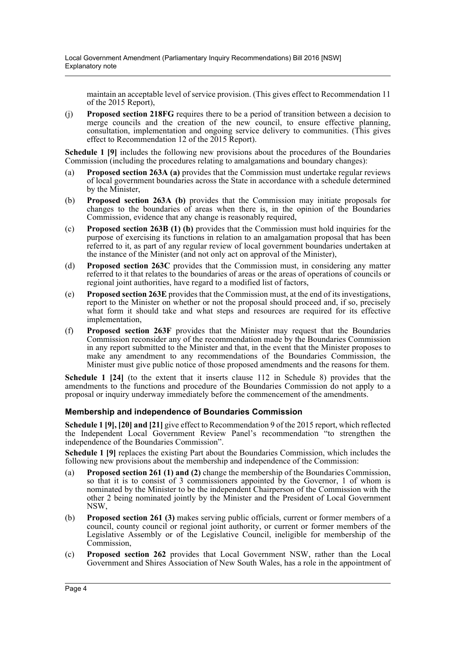maintain an acceptable level of service provision. (This gives effect to Recommendation 11 of the 2015 Report),

(j) **Proposed section 218FG** requires there to be a period of transition between a decision to merge councils and the creation of the new council, to ensure effective planning, consultation, implementation and ongoing service delivery to communities. (This gives effect to Recommendation 12 of the 2015 Report).

**Schedule 1 [9]** includes the following new provisions about the procedures of the Boundaries Commission (including the procedures relating to amalgamations and boundary changes):

- (a) **Proposed section 263A (a)** provides that the Commission must undertake regular reviews of local government boundaries across the State in accordance with a schedule determined by the Minister,
- (b) **Proposed section 263A (b)** provides that the Commission may initiate proposals for changes to the boundaries of areas when there is, in the opinion of the Boundaries Commission, evidence that any change is reasonably required,
- (c) **Proposed section 263B (1) (b)** provides that the Commission must hold inquiries for the purpose of exercising its functions in relation to an amalgamation proposal that has been referred to it, as part of any regular review of local government boundaries undertaken at the instance of the Minister (and not only act on approval of the Minister),
- (d) **Proposed section 263C** provides that the Commission must, in considering any matter referred to it that relates to the boundaries of areas or the areas of operations of councils or regional joint authorities, have regard to a modified list of factors,
- (e) **Proposed section 263E** provides that the Commission must, at the end of its investigations, report to the Minister on whether or not the proposal should proceed and, if so, precisely what form it should take and what steps and resources are required for its effective implementation,
- (f) **Proposed section 263F** provides that the Minister may request that the Boundaries Commission reconsider any of the recommendation made by the Boundaries Commission in any report submitted to the Minister and that, in the event that the Minister proposes to make any amendment to any recommendations of the Boundaries Commission, the Minister must give public notice of those proposed amendments and the reasons for them.

**Schedule 1 [24]** (to the extent that it inserts clause 112 in Schedule 8) provides that the amendments to the functions and procedure of the Boundaries Commission do not apply to a proposal or inquiry underway immediately before the commencement of the amendments.

#### **Membership and independence of Boundaries Commission**

**Schedule 1 [9], [20] and [21]** give effect to Recommendation 9 of the 2015 report, which reflected the Independent Local Government Review Panel's recommendation "to strengthen the independence of the Boundaries Commission".

**Schedule 1 [9]** replaces the existing Part about the Boundaries Commission, which includes the following new provisions about the membership and independence of the Commission:

- (a) **Proposed section 261 (1) and (2)** change the membership of the Boundaries Commission, so that it is to consist of 3 commissioners appointed by the Governor, 1 of whom is nominated by the Minister to be the independent Chairperson of the Commission with the other 2 being nominated jointly by the Minister and the President of Local Government NSW,
- (b) **Proposed section 261 (3)** makes serving public officials, current or former members of a council, county council or regional joint authority, or current or former members of the Legislative Assembly or of the Legislative Council, ineligible for membership of the Commission,
- (c) **Proposed section 262** provides that Local Government NSW, rather than the Local Government and Shires Association of New South Wales, has a role in the appointment of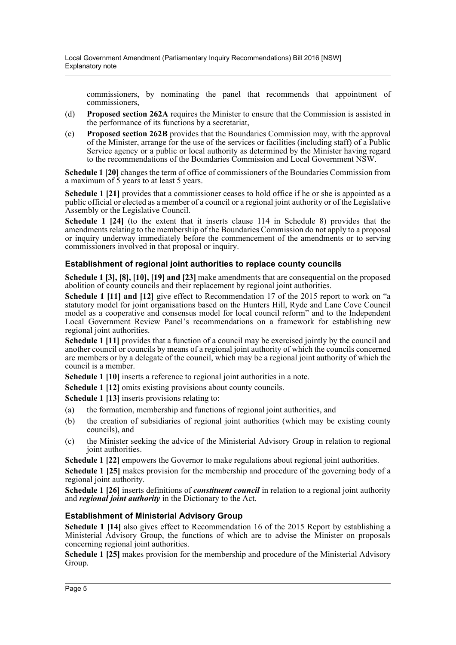commissioners, by nominating the panel that recommends that appointment of commissioners,

- (d) **Proposed section 262A** requires the Minister to ensure that the Commission is assisted in the performance of its functions by a secretariat,
- (e) **Proposed section 262B** provides that the Boundaries Commission may, with the approval of the Minister, arrange for the use of the services or facilities (including staff) of a Public Service agency or a public or local authority as determined by the Minister having regard to the recommendations of the Boundaries Commission and Local Government NSW.

**Schedule 1 [20]** changes the term of office of commissioners of the Boundaries Commission from a maximum of 5 years to at least 5 years.

**Schedule 1 [21]** provides that a commissioner ceases to hold office if he or she is appointed as a public official or elected as a member of a council or a regional joint authority or of the Legislative Assembly or the Legislative Council.

**Schedule 1 [24]** (to the extent that it inserts clause 114 in Schedule 8) provides that the amendments relating to the membership of the Boundaries Commission do not apply to a proposal or inquiry underway immediately before the commencement of the amendments or to serving commissioners involved in that proposal or inquiry.

#### **Establishment of regional joint authorities to replace county councils**

**Schedule 1 [3], [8], [10], [19] and [23]** make amendments that are consequential on the proposed abolition of county councils and their replacement by regional joint authorities.

**Schedule 1 [11] and [12]** give effect to Recommendation 17 of the 2015 report to work on "a statutory model for joint organisations based on the Hunters Hill, Ryde and Lane Cove Council model as a cooperative and consensus model for local council reform" and to the Independent Local Government Review Panel's recommendations on a framework for establishing new regional joint authorities.

**Schedule 1 [11]** provides that a function of a council may be exercised jointly by the council and another council or councils by means of a regional joint authority of which the councils concerned are members or by a delegate of the council, which may be a regional joint authority of which the council is a member.

**Schedule 1 [10]** inserts a reference to regional joint authorities in a note.

**Schedule 1 [12]** omits existing provisions about county councils.

**Schedule 1 [13]** inserts provisions relating to:

- (a) the formation, membership and functions of regional joint authorities, and
- (b) the creation of subsidiaries of regional joint authorities (which may be existing county councils), and
- (c) the Minister seeking the advice of the Ministerial Advisory Group in relation to regional joint authorities.

**Schedule 1 [22]** empowers the Governor to make regulations about regional joint authorities.

**Schedule 1 [25]** makes provision for the membership and procedure of the governing body of a regional joint authority.

**Schedule 1 [26]** inserts definitions of *constituent council* in relation to a regional joint authority and *regional joint authority* in the Dictionary to the Act.

#### **Establishment of Ministerial Advisory Group**

**Schedule 1 [14]** also gives effect to Recommendation 16 of the 2015 Report by establishing a Ministerial Advisory Group, the functions of which are to advise the Minister on proposals concerning regional joint authorities.

**Schedule 1 [25]** makes provision for the membership and procedure of the Ministerial Advisory Group.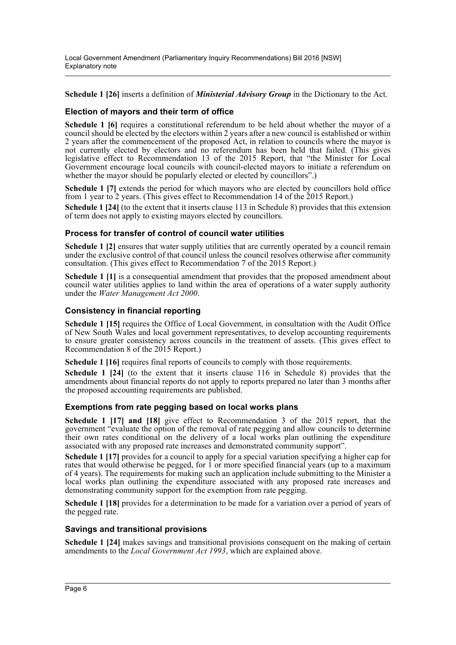Local Government Amendment (Parliamentary Inquiry Recommendations) Bill 2016 [NSW] Explanatory note

**Schedule 1 [26]** inserts a definition of *Ministerial Advisory Group* in the Dictionary to the Act.

#### **Election of mayors and their term of office**

**Schedule 1 [6]** requires a constitutional referendum to be held about whether the mayor of a council should be elected by the electors within 2 years after a new council is established or within 2 years after the commencement of the proposed Act, in relation to councils where the mayor is not currently elected by electors and no referendum has been held that failed. (This gives legislative effect to Recommendation 13 of the 2015 Report, that "the Minister for Local Government encourage local councils with council-elected mayors to initiate a referendum on whether the mayor should be popularly elected or elected by councillors".)

**Schedule 1 [7]** extends the period for which mayors who are elected by councillors hold office from 1 year to 2 years. (This gives effect to Recommendation 14 of the 2015 Report.)

**Schedule 1 [24]** (to the extent that it inserts clause 113 in Schedule 8) provides that this extension of term does not apply to existing mayors elected by councillors.

#### **Process for transfer of control of council water utilities**

**Schedule 1 [2]** ensures that water supply utilities that are currently operated by a council remain under the exclusive control of that council unless the council resolves otherwise after community consultation. (This gives effect to Recommendation 7 of the 2015 Report.)

**Schedule 1 [1]** is a consequential amendment that provides that the proposed amendment about council water utilities applies to land within the area of operations of a water supply authority under the *Water Management Act 2000*.

#### **Consistency in financial reporting**

**Schedule 1 [15]** requires the Office of Local Government, in consultation with the Audit Office of New South Wales and local government representatives, to develop accounting requirements to ensure greater consistency across councils in the treatment of assets. (This gives effect to Recommendation 8 of the 2015 Report.)

**Schedule 1 [16]** requires final reports of councils to comply with those requirements.

**Schedule 1 [24]** (to the extent that it inserts clause 116 in Schedule 8) provides that the amendments about financial reports do not apply to reports prepared no later than 3 months after the proposed accounting requirements are published.

#### **Exemptions from rate pegging based on local works plans**

**Schedule 1 [17] and [18]** give effect to Recommendation 3 of the 2015 report, that the government "evaluate the option of the removal of rate pegging and allow councils to determine their own rates conditional on the delivery of a local works plan outlining the expenditure associated with any proposed rate increases and demonstrated community support".

**Schedule 1 [17]** provides for a council to apply for a special variation specifying a higher cap for rates that would otherwise be pegged, for  $\hat{1}$  or more specified financial years (up to a maximum of 4 years). The requirements for making such an application include submitting to the Minister a local works plan outlining the expenditure associated with any proposed rate increases and demonstrating community support for the exemption from rate pegging.

**Schedule 1 [18]** provides for a determination to be made for a variation over a period of years of the pegged rate.

#### **Savings and transitional provisions**

**Schedule 1 [24]** makes savings and transitional provisions consequent on the making of certain amendments to the *Local Government Act 1993*, which are explained above.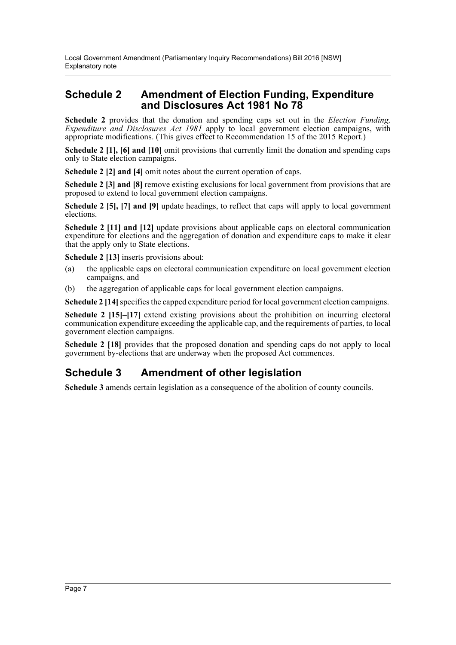### **Schedule 2 Amendment of Election Funding, Expenditure and Disclosures Act 1981 No 78**

**Schedule 2** provides that the donation and spending caps set out in the *Election Funding, Expenditure and Disclosures Act 1981* apply to local government election campaigns, with appropriate modifications. (This gives effect to Recommendation 15 of the 2015 Report.)

**Schedule 2 [1], [6] and [10]** omit provisions that currently limit the donation and spending caps only to State election campaigns.

**Schedule 2 [2] and [4]** omit notes about the current operation of caps.

**Schedule 2 [3] and [8]** remove existing exclusions for local government from provisions that are proposed to extend to local government election campaigns.

**Schedule 2 [5], [7] and [9]** update headings, to reflect that caps will apply to local government elections.

**Schedule 2 [11] and [12]** update provisions about applicable caps on electoral communication expenditure for elections and the aggregation of donation and expenditure caps to make it clear that the apply only to State elections.

**Schedule 2 [13]** inserts provisions about:

- (a) the applicable caps on electoral communication expenditure on local government election campaigns, and
- (b) the aggregation of applicable caps for local government election campaigns.

**Schedule 2 [14]** specifies the capped expenditure period for local government election campaigns.

**Schedule 2 [15]–[17]** extend existing provisions about the prohibition on incurring electoral communication expenditure exceeding the applicable cap, and the requirements of parties, to local government election campaigns.

**Schedule 2 [18]** provides that the proposed donation and spending caps do not apply to local government by-elections that are underway when the proposed Act commences.

## **Schedule 3 Amendment of other legislation**

**Schedule 3** amends certain legislation as a consequence of the abolition of county councils.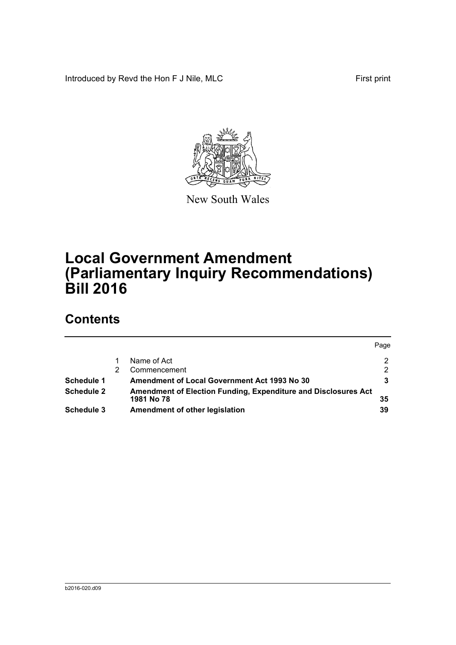Introduced by Revd the Hon F J Nile, MLC First print



New South Wales

# **Local Government Amendment (Parliamentary Inquiry Recommendations) Bill 2016**

## **Contents**

|            |                                                                | Page           |
|------------|----------------------------------------------------------------|----------------|
|            | Name of Act                                                    | 2              |
|            | Commencement                                                   | $\overline{2}$ |
| Schedule 1 | <b>Amendment of Local Government Act 1993 No 30</b>            |                |
| Schedule 2 | Amendment of Election Funding, Expenditure and Disclosures Act |                |
|            | 1981 No 78                                                     | 35             |
| Schedule 3 | Amendment of other legislation                                 | 39             |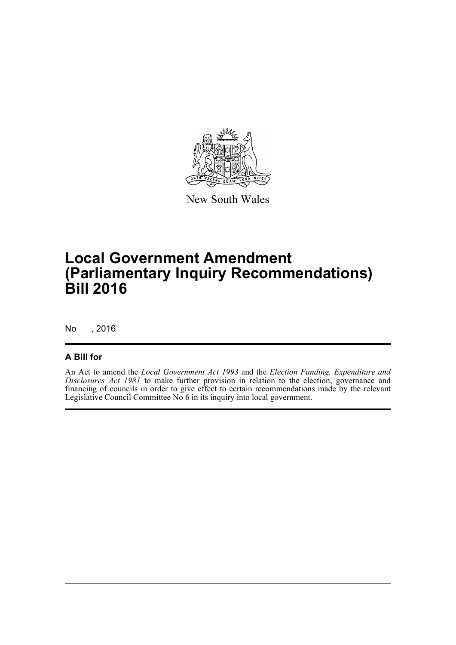

New South Wales

# **Local Government Amendment (Parliamentary Inquiry Recommendations) Bill 2016**

No , 2016

### **A Bill for**

An Act to amend the *Local Government Act 1993* and the *Election Funding, Expenditure and Disclosures Act 1981* to make further provision in relation to the election, governance and financing of councils in order to give effect to certain recommendations made by the relevant Legislative Council Committee No 6 in its inquiry into local government.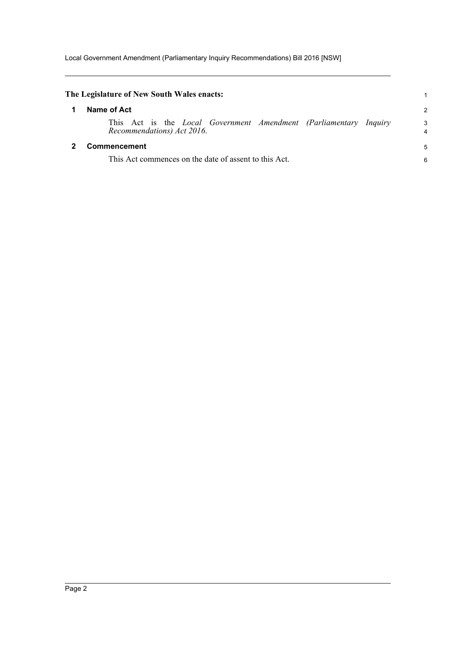Local Government Amendment (Parliamentary Inquiry Recommendations) Bill 2016 [NSW]

<span id="page-9-1"></span><span id="page-9-0"></span>

| The Legislature of New South Wales enacts:                                                             |                |
|--------------------------------------------------------------------------------------------------------|----------------|
| Name of Act                                                                                            | $\overline{c}$ |
| This Act is the <i>Local Government Amendment (Parliamentary Inquiry</i><br>Recommendations) Act 2016. | 3<br>4         |
| Commencement<br>This Act commences on the date of assent to this Act.                                  | 5<br>6         |
|                                                                                                        |                |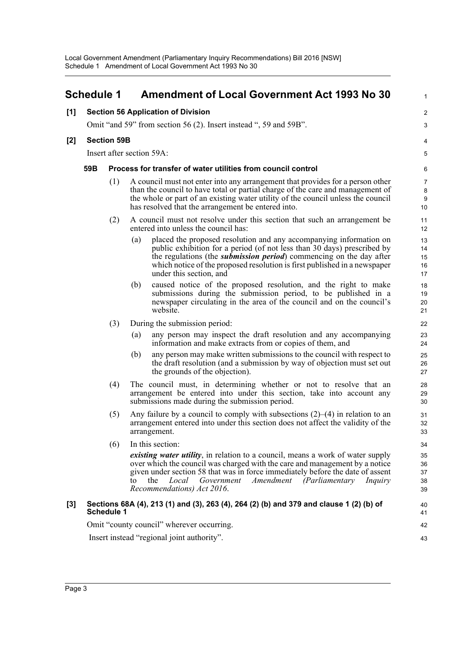<span id="page-10-0"></span>

|       | <b>Schedule 1</b>                                                                                                                                                                             |                    |     | <b>Amendment of Local Government Act 1993 No 30</b>                                                                                                                                                                                                                                                                                                           | 1                              |  |  |  |
|-------|-----------------------------------------------------------------------------------------------------------------------------------------------------------------------------------------------|--------------------|-----|---------------------------------------------------------------------------------------------------------------------------------------------------------------------------------------------------------------------------------------------------------------------------------------------------------------------------------------------------------------|--------------------------------|--|--|--|
| [1]   |                                                                                                                                                                                               |                    |     | <b>Section 56 Application of Division</b>                                                                                                                                                                                                                                                                                                                     | $\overline{\mathbf{c}}$        |  |  |  |
|       |                                                                                                                                                                                               |                    |     | Omit "and 59" from section 56 (2). Insert instead ", 59 and 59B".                                                                                                                                                                                                                                                                                             | 3                              |  |  |  |
| $[2]$ |                                                                                                                                                                                               | <b>Section 59B</b> |     |                                                                                                                                                                                                                                                                                                                                                               | 4                              |  |  |  |
|       |                                                                                                                                                                                               |                    |     | Insert after section 59A:                                                                                                                                                                                                                                                                                                                                     | 5                              |  |  |  |
|       | 59B                                                                                                                                                                                           |                    |     | Process for transfer of water utilities from council control                                                                                                                                                                                                                                                                                                  | 6                              |  |  |  |
|       |                                                                                                                                                                                               | (1)                |     | A council must not enter into any arrangement that provides for a person other<br>than the council to have total or partial charge of the care and management of<br>the whole or part of an existing water utility of the council unless the council<br>has resolved that the arrangement be entered into.                                                    | $\overline{7}$<br>8<br>9<br>10 |  |  |  |
|       |                                                                                                                                                                                               | (2)                |     | A council must not resolve under this section that such an arrangement be<br>entered into unless the council has:                                                                                                                                                                                                                                             | 11<br>12                       |  |  |  |
|       |                                                                                                                                                                                               |                    | (a) | placed the proposed resolution and any accompanying information on<br>public exhibition for a period (of not less than 30 days) prescribed by<br>the regulations (the <i>submission period</i> ) commencing on the day after<br>which notice of the proposed resolution is first published in a newspaper<br>under this section, and                          | 13<br>14<br>15<br>16<br>17     |  |  |  |
|       |                                                                                                                                                                                               |                    | (b) | caused notice of the proposed resolution, and the right to make<br>submissions during the submission period, to be published in a<br>newspaper circulating in the area of the council and on the council's<br>website.                                                                                                                                        | 18<br>19<br>20<br>21           |  |  |  |
|       |                                                                                                                                                                                               | (3)                |     | During the submission period:                                                                                                                                                                                                                                                                                                                                 | 22                             |  |  |  |
|       |                                                                                                                                                                                               |                    | (a) | any person may inspect the draft resolution and any accompanying<br>information and make extracts from or copies of them, and                                                                                                                                                                                                                                 | 23<br>24                       |  |  |  |
|       |                                                                                                                                                                                               |                    | (b) | any person may make written submissions to the council with respect to<br>the draft resolution (and a submission by way of objection must set out<br>the grounds of the objection).                                                                                                                                                                           | 25<br>26<br>27                 |  |  |  |
|       |                                                                                                                                                                                               | (4)                |     | The council must, in determining whether or not to resolve that an<br>arrangement be entered into under this section, take into account any<br>submissions made during the submission period.                                                                                                                                                                 | 28<br>29<br>30                 |  |  |  |
|       | Any failure by a council to comply with subsections $(2)$ – $(4)$ in relation to an<br>(5)<br>arrangement entered into under this section does not affect the validity of the<br>arrangement. |                    |     |                                                                                                                                                                                                                                                                                                                                                               | 31<br>32<br>33                 |  |  |  |
|       |                                                                                                                                                                                               | (6)                |     | In this section:                                                                                                                                                                                                                                                                                                                                              | 34                             |  |  |  |
|       |                                                                                                                                                                                               |                    | to  | <i>existing water utility</i> , in relation to a council, means a work of water supply<br>over which the council was charged with the care and management by a notice<br>given under section 58 that was in force immediately before the date of assent<br>the<br>Local<br>Government<br>Amendment<br>(Parliamentary<br>Inquiry<br>Recommendations) Act 2016. | 35<br>36<br>37<br>38<br>39     |  |  |  |
| $[3]$ |                                                                                                                                                                                               | <b>Schedule 1</b>  |     | Sections 68A (4), 213 (1) and (3), 263 (4), 264 (2) (b) and 379 and clause 1 (2) (b) of                                                                                                                                                                                                                                                                       | 40<br>41                       |  |  |  |
|       |                                                                                                                                                                                               |                    |     | Omit "county council" wherever occurring.                                                                                                                                                                                                                                                                                                                     | 42                             |  |  |  |
|       | Insert instead "regional joint authority".                                                                                                                                                    |                    |     |                                                                                                                                                                                                                                                                                                                                                               |                                |  |  |  |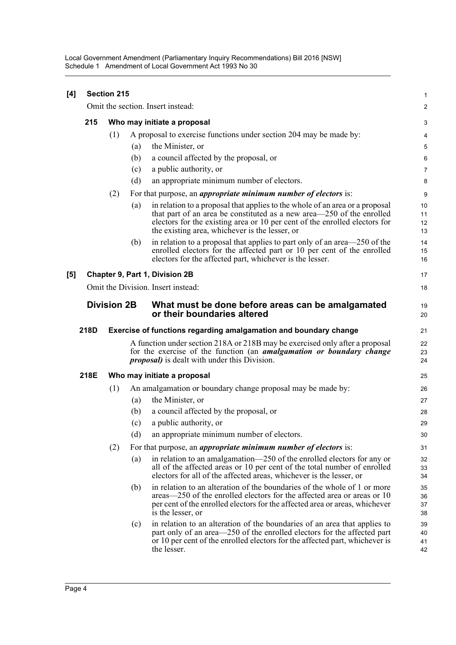Local Government Amendment (Parliamentary Inquiry Recommendations) Bill 2016 [NSW] Schedule 1 Amendment of Local Government Act 1993 No 30

| [4]                                | <b>Section 215</b> |                             |     |                                                                                                                                                                                                                                                                                       |                      |  |  |
|------------------------------------|--------------------|-----------------------------|-----|---------------------------------------------------------------------------------------------------------------------------------------------------------------------------------------------------------------------------------------------------------------------------------------|----------------------|--|--|
|                                    |                    |                             |     | Omit the section. Insert instead:                                                                                                                                                                                                                                                     | $\overline{c}$       |  |  |
|                                    | 215                | Who may initiate a proposal | 3   |                                                                                                                                                                                                                                                                                       |                      |  |  |
|                                    |                    | (1)                         |     | A proposal to exercise functions under section 204 may be made by:                                                                                                                                                                                                                    | 4                    |  |  |
|                                    |                    |                             | (a) | the Minister, or                                                                                                                                                                                                                                                                      | 5                    |  |  |
|                                    |                    |                             | (b) | a council affected by the proposal, or                                                                                                                                                                                                                                                | 6                    |  |  |
|                                    |                    |                             | (c) | a public authority, or                                                                                                                                                                                                                                                                | $\overline{7}$       |  |  |
|                                    |                    |                             | (d) | an appropriate minimum number of electors.                                                                                                                                                                                                                                            | 8                    |  |  |
|                                    |                    | (2)                         |     | For that purpose, an <i>appropriate minimum number of electors</i> is:                                                                                                                                                                                                                | 9                    |  |  |
|                                    |                    |                             | (a) | in relation to a proposal that applies to the whole of an area or a proposal<br>that part of an area be constituted as a new area—250 of the enrolled<br>electors for the existing area or 10 per cent of the enrolled electors for<br>the existing area, whichever is the lesser, or | 10<br>11<br>12<br>13 |  |  |
|                                    |                    |                             | (b) | in relation to a proposal that applies to part only of an area—250 of the<br>enrolled electors for the affected part or 10 per cent of the enrolled<br>electors for the affected part, whichever is the lesser.                                                                       | 14<br>15<br>16       |  |  |
| [5]                                |                    |                             |     | Chapter 9, Part 1, Division 2B                                                                                                                                                                                                                                                        | 17                   |  |  |
| Omit the Division. Insert instead: |                    |                             |     |                                                                                                                                                                                                                                                                                       | 18                   |  |  |
|                                    |                    | <b>Division 2B</b>          |     | What must be done before areas can be amalgamated<br>or their boundaries altered                                                                                                                                                                                                      | 19<br>20             |  |  |
|                                    | 218D               |                             |     | Exercise of functions regarding amalgamation and boundary change                                                                                                                                                                                                                      | 21                   |  |  |
|                                    |                    |                             |     | A function under section 218A or 218B may be exercised only after a proposal<br>for the exercise of the function (an <i>amalgamation or boundary change</i><br><i>proposal</i> ) is dealt with under this Division.                                                                   | 22<br>23<br>24       |  |  |
|                                    | 218E               |                             |     | Who may initiate a proposal                                                                                                                                                                                                                                                           | 25                   |  |  |
|                                    |                    | (1)                         |     | An amalgamation or boundary change proposal may be made by:                                                                                                                                                                                                                           | 26                   |  |  |
|                                    |                    |                             | (a) | the Minister, or                                                                                                                                                                                                                                                                      | 27                   |  |  |
|                                    |                    |                             | (b) | a council affected by the proposal, or                                                                                                                                                                                                                                                | 28                   |  |  |
|                                    |                    |                             | (c) | a public authority, or                                                                                                                                                                                                                                                                | 29                   |  |  |
|                                    |                    |                             | (d) | an appropriate minimum number of electors.                                                                                                                                                                                                                                            | 30                   |  |  |
|                                    |                    | (2)                         |     | For that purpose, an <i>appropriate minimum number of electors</i> is:                                                                                                                                                                                                                | 31                   |  |  |
|                                    |                    |                             | (a) | in relation to an amalgamation—250 of the enrolled electors for any or<br>all of the affected areas or 10 per cent of the total number of enrolled<br>electors for all of the affected areas, whichever is the lesser, or                                                             | 32<br>33<br>34       |  |  |
|                                    |                    |                             | (b) | in relation to an alteration of the boundaries of the whole of 1 or more<br>areas—250 of the enrolled electors for the affected area or areas or 10<br>per cent of the enrolled electors for the affected area or areas, whichever<br>is the lesser, or                               | 35<br>36<br>37<br>38 |  |  |
|                                    |                    |                             | (c) | in relation to an alteration of the boundaries of an area that applies to<br>part only of an area—250 of the enrolled electors for the affected part<br>or 10 per cent of the enrolled electors for the affected part, whichever is<br>the lesser.                                    | 39<br>40<br>41<br>42 |  |  |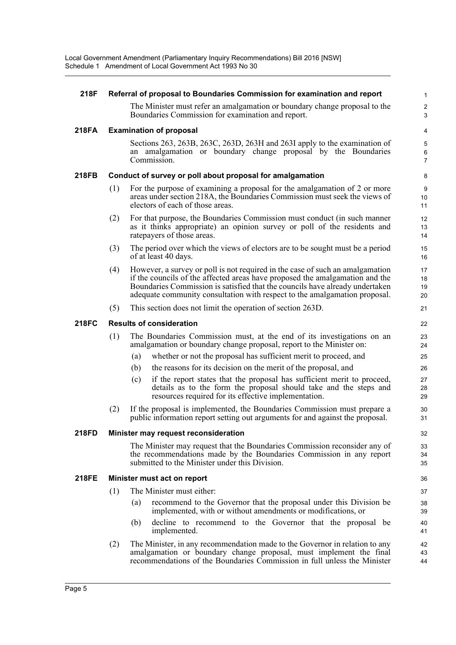| 218F         | Referral of proposal to Boundaries Commission for examination and report |                                                                                                                                                                                                                                                                                                                             |                      |  |  |  |
|--------------|--------------------------------------------------------------------------|-----------------------------------------------------------------------------------------------------------------------------------------------------------------------------------------------------------------------------------------------------------------------------------------------------------------------------|----------------------|--|--|--|
|              |                                                                          | The Minister must refer an amalgamation or boundary change proposal to the<br>Boundaries Commission for examination and report.                                                                                                                                                                                             | $\overline{c}$<br>3  |  |  |  |
| <b>218FA</b> |                                                                          | <b>Examination of proposal</b>                                                                                                                                                                                                                                                                                              | 4                    |  |  |  |
|              |                                                                          | Sections 263, 263B, 263C, 263D, 263H and 263I apply to the examination of<br>an amalgamation or boundary change proposal by the Boundaries<br>Commission.                                                                                                                                                                   | 5<br>$\,6\,$<br>7    |  |  |  |
| 218FB        |                                                                          | Conduct of survey or poll about proposal for amalgamation                                                                                                                                                                                                                                                                   | 8                    |  |  |  |
|              | (1)                                                                      | For the purpose of examining a proposal for the amalgamation of 2 or more<br>areas under section 218A, the Boundaries Commission must seek the views of<br>electors of each of those areas.                                                                                                                                 | 9<br>10<br>11        |  |  |  |
|              | (2)                                                                      | For that purpose, the Boundaries Commission must conduct (in such manner<br>as it thinks appropriate) an opinion survey or poll of the residents and<br>rate payers of those areas.                                                                                                                                         | 12<br>13<br>14       |  |  |  |
|              | (3)                                                                      | The period over which the views of electors are to be sought must be a period<br>of at least 40 days.                                                                                                                                                                                                                       | 15<br>16             |  |  |  |
|              | (4)                                                                      | However, a survey or poll is not required in the case of such an amalgamation<br>if the councils of the affected areas have proposed the amalgamation and the<br>Boundaries Commission is satisfied that the councils have already undertaken<br>adequate community consultation with respect to the amalgamation proposal. | 17<br>18<br>19<br>20 |  |  |  |
|              | (5)                                                                      | This section does not limit the operation of section 263D.                                                                                                                                                                                                                                                                  | 21                   |  |  |  |
| <b>218FC</b> |                                                                          | <b>Results of consideration</b>                                                                                                                                                                                                                                                                                             | 22                   |  |  |  |
|              | (1)                                                                      | The Boundaries Commission must, at the end of its investigations on an<br>amalgamation or boundary change proposal, report to the Minister on:                                                                                                                                                                              | 23<br>24             |  |  |  |
|              |                                                                          | whether or not the proposal has sufficient merit to proceed, and<br>(a)                                                                                                                                                                                                                                                     | 25                   |  |  |  |
|              |                                                                          | the reasons for its decision on the merit of the proposal, and<br>(b)                                                                                                                                                                                                                                                       | 26                   |  |  |  |
|              |                                                                          | if the report states that the proposal has sufficient merit to proceed,<br>(c)<br>details as to the form the proposal should take and the steps and<br>resources required for its effective implementation.                                                                                                                 | 27<br>28<br>29       |  |  |  |
|              | (2)                                                                      | If the proposal is implemented, the Boundaries Commission must prepare a<br>public information report setting out arguments for and against the proposal.                                                                                                                                                                   | 30<br>31             |  |  |  |
| 218FD        |                                                                          | Minister may request reconsideration                                                                                                                                                                                                                                                                                        | 32                   |  |  |  |
|              |                                                                          | The Minister may request that the Boundaries Commission reconsider any of<br>the recommendations made by the Boundaries Commission in any report<br>submitted to the Minister under this Division.                                                                                                                          | 33<br>34<br>35       |  |  |  |
| <b>218FE</b> |                                                                          | Minister must act on report                                                                                                                                                                                                                                                                                                 | 36                   |  |  |  |
|              | (1)                                                                      | The Minister must either:                                                                                                                                                                                                                                                                                                   | 37                   |  |  |  |
|              |                                                                          | (a)<br>recommend to the Governor that the proposal under this Division be<br>implemented, with or without amendments or modifications, or                                                                                                                                                                                   | 38<br>39             |  |  |  |
|              |                                                                          | decline to recommend to the Governor that the proposal be<br>(b)<br>implemented.                                                                                                                                                                                                                                            | 40<br>41             |  |  |  |
|              | (2)                                                                      | The Minister, in any recommendation made to the Governor in relation to any<br>amalgamation or boundary change proposal, must implement the final<br>recommendations of the Boundaries Commission in full unless the Minister                                                                                               | 42<br>43<br>44       |  |  |  |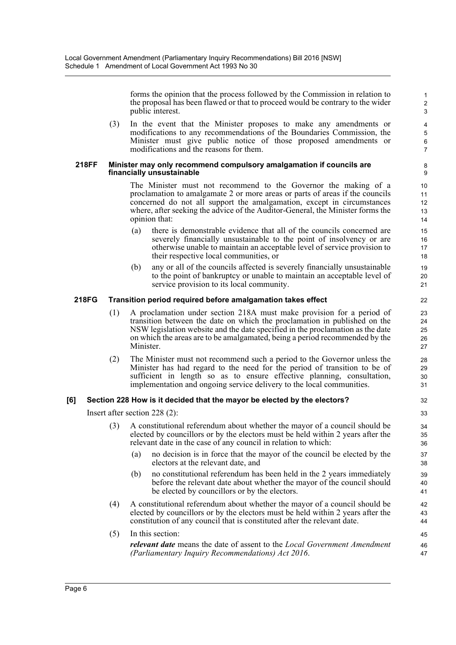forms the opinion that the process followed by the Commission in relation to the proposal has been flawed or that to proceed would be contrary to the wider public interest.

(3) In the event that the Minister proposes to make any amendments or modifications to any recommendations of the Boundaries Commission, the Minister must give public notice of those proposed amendments or modifications and the reasons for them.

#### **218FF Minister may only recommend compulsory amalgamation if councils are financially unsustainable**

The Minister must not recommend to the Governor the making of a proclamation to amalgamate 2 or more areas or parts of areas if the councils concerned do not all support the amalgamation, except in circumstances where, after seeking the advice of the Auditor-General, the Minister forms the opinion that:

- (a) there is demonstrable evidence that all of the councils concerned are severely financially unsustainable to the point of insolvency or are otherwise unable to maintain an acceptable level of service provision to their respective local communities, or
- (b) any or all of the councils affected is severely financially unsustainable to the point of bankruptcy or unable to maintain an acceptable level of service provision to its local community.

#### **218FG Transition period required before amalgamation takes effect**

- (1) A proclamation under section 218A must make provision for a period of transition between the date on which the proclamation in published on the NSW legislation website and the date specified in the proclamation as the date on which the areas are to be amalgamated, being a period recommended by the Minister.
- (2) The Minister must not recommend such a period to the Governor unless the Minister has had regard to the need for the period of transition to be of sufficient in length so as to ensure effective planning, consultation, implementation and ongoing service delivery to the local communities.

#### **[6] Section 228 How is it decided that the mayor be elected by the electors?**

Insert after section 228 (2):

- (3) A constitutional referendum about whether the mayor of a council should be elected by councillors or by the electors must be held within 2 years after the relevant date in the case of any council in relation to which:
	- (a) no decision is in force that the mayor of the council be elected by the electors at the relevant date, and
	- (b) no constitutional referendum has been held in the 2 years immediately before the relevant date about whether the mayor of the council should be elected by councillors or by the electors.
- (4) A constitutional referendum about whether the mayor of a council should be elected by councillors or by the electors must be held within 2 years after the constitution of any council that is constituted after the relevant date.
- (5) In this section: *relevant date* means the date of assent to the *Local Government Amendment (Parliamentary Inquiry Recommendations) Act 2016*.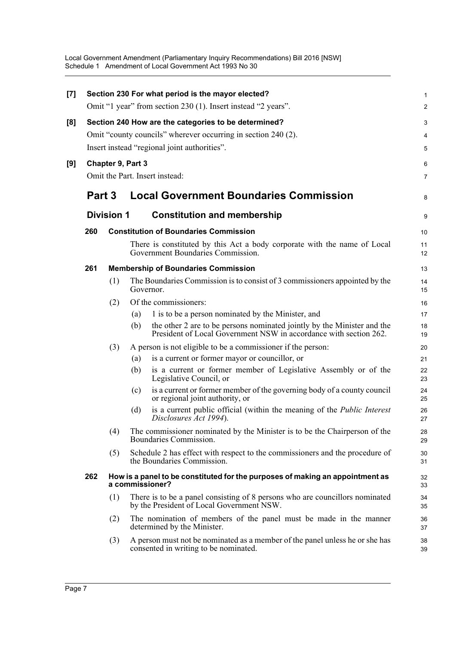Local Government Amendment (Parliamentary Inquiry Recommendations) Bill 2016 [NSW] Schedule 1 Amendment of Local Government Act 1993 No 30

| $[7]$ |                                              |                   |     | Section 230 For what period is the mayor elected?                                                                                            | $\mathbf{1}$   |  |  |  |
|-------|----------------------------------------------|-------------------|-----|----------------------------------------------------------------------------------------------------------------------------------------------|----------------|--|--|--|
|       |                                              |                   |     | Omit "1 year" from section 230 (1). Insert instead "2 years".                                                                                | $\overline{2}$ |  |  |  |
| [8]   |                                              |                   |     | Section 240 How are the categories to be determined?                                                                                         | 3              |  |  |  |
|       |                                              |                   |     | Omit "county councils" wherever occurring in section 240 (2).                                                                                | 4              |  |  |  |
|       | Insert instead "regional joint authorities". |                   |     |                                                                                                                                              |                |  |  |  |
| [9]   |                                              | Chapter 9, Part 3 |     |                                                                                                                                              | 6              |  |  |  |
|       |                                              |                   |     | Omit the Part. Insert instead:                                                                                                               | $\overline{7}$ |  |  |  |
|       | Part 3                                       |                   |     | <b>Local Government Boundaries Commission</b>                                                                                                | 8              |  |  |  |
|       |                                              | <b>Division 1</b> |     | <b>Constitution and membership</b>                                                                                                           | 9              |  |  |  |
|       | 260                                          |                   |     | <b>Constitution of Boundaries Commission</b>                                                                                                 | 10             |  |  |  |
|       |                                              |                   |     | There is constituted by this Act a body corporate with the name of Local<br>Government Boundaries Commission.                                | 11<br>12       |  |  |  |
|       | 261                                          |                   |     | <b>Membership of Boundaries Commission</b>                                                                                                   | 13             |  |  |  |
|       |                                              | (1)               |     | The Boundaries Commission is to consist of 3 commissioners appointed by the<br>Governor.                                                     | 14<br>15       |  |  |  |
|       |                                              | (2)               |     | Of the commissioners:                                                                                                                        | 16             |  |  |  |
|       |                                              |                   | (a) | 1 is to be a person nominated by the Minister, and                                                                                           | 17             |  |  |  |
|       |                                              |                   | (b) | the other 2 are to be persons nominated jointly by the Minister and the<br>President of Local Government NSW in accordance with section 262. | 18<br>19       |  |  |  |
|       |                                              | (3)               |     | A person is not eligible to be a commissioner if the person:                                                                                 | 20             |  |  |  |
|       |                                              |                   | (a) | is a current or former mayor or councillor, or                                                                                               | 21             |  |  |  |
|       |                                              |                   | (b) | is a current or former member of Legislative Assembly or of the<br>Legislative Council, or                                                   | 22<br>23       |  |  |  |
|       |                                              |                   | (c) | is a current or former member of the governing body of a county council<br>or regional joint authority, or                                   | 24<br>25       |  |  |  |
|       |                                              |                   | (d) | is a current public official (within the meaning of the <i>Public Interest</i><br>Disclosures Act 1994).                                     | 26<br>27       |  |  |  |
|       |                                              | (4)               |     | The commissioner nominated by the Minister is to be the Chairperson of the<br>Boundaries Commission.                                         | 28<br>29       |  |  |  |
|       |                                              | (5)               |     | Schedule 2 has effect with respect to the commissioners and the procedure of<br>the Boundaries Commission.                                   | 30<br>31       |  |  |  |
|       | 262                                          |                   |     | How is a panel to be constituted for the purposes of making an appointment as<br>a commissioner?                                             | 32<br>33       |  |  |  |
|       |                                              | (1)               |     | There is to be a panel consisting of 8 persons who are councillors nominated<br>by the President of Local Government NSW.                    | 34<br>35       |  |  |  |
|       |                                              | (2)               |     | The nomination of members of the panel must be made in the manner<br>determined by the Minister.                                             | 36<br>37       |  |  |  |
|       |                                              | (3)               |     | A person must not be nominated as a member of the panel unless he or she has<br>consented in writing to be nominated.                        | 38<br>39       |  |  |  |
|       |                                              |                   |     |                                                                                                                                              |                |  |  |  |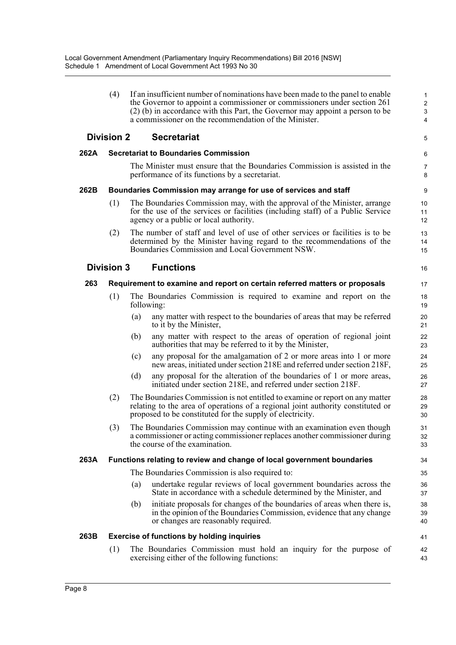|      | (4)               |     | If an insufficient number of nominations have been made to the panel to enable<br>the Governor to appoint a commissioner or commissioners under section 261<br>(2) (b) in accordance with this Part, the Governor may appoint a person to be<br>a commissioner on the recommendation of the Minister. | $\mathbf{1}$<br>$\overline{2}$<br>$\mathsf 3$<br>$\overline{4}$ |
|------|-------------------|-----|-------------------------------------------------------------------------------------------------------------------------------------------------------------------------------------------------------------------------------------------------------------------------------------------------------|-----------------------------------------------------------------|
|      | <b>Division 2</b> |     | <b>Secretariat</b>                                                                                                                                                                                                                                                                                    | 5                                                               |
| 262A |                   |     | <b>Secretariat to Boundaries Commission</b>                                                                                                                                                                                                                                                           | 6                                                               |
|      |                   |     | The Minister must ensure that the Boundaries Commission is assisted in the<br>performance of its functions by a secretariat.                                                                                                                                                                          | 7<br>8                                                          |
| 262B |                   |     | Boundaries Commission may arrange for use of services and staff                                                                                                                                                                                                                                       | 9                                                               |
|      | (1)               |     | The Boundaries Commission may, with the approval of the Minister, arrange<br>for the use of the services or facilities (including staff) of a Public Service<br>agency or a public or local authority.                                                                                                | 10<br>11<br>12                                                  |
|      | (2)               |     | The number of staff and level of use of other services or facilities is to be<br>determined by the Minister having regard to the recommendations of the<br>Boundaries Commission and Local Government NSW.                                                                                            | 13<br>14<br>15                                                  |
|      | <b>Division 3</b> |     | <b>Functions</b>                                                                                                                                                                                                                                                                                      | 16                                                              |
| 263  |                   |     | Requirement to examine and report on certain referred matters or proposals                                                                                                                                                                                                                            | 17                                                              |
|      | (1)               |     | The Boundaries Commission is required to examine and report on the<br>following:                                                                                                                                                                                                                      | 18<br>19                                                        |
|      |                   | (a) | any matter with respect to the boundaries of areas that may be referred<br>to it by the Minister,                                                                                                                                                                                                     | 20<br>21                                                        |
|      |                   | (b) | any matter with respect to the areas of operation of regional joint<br>authorities that may be referred to it by the Minister,                                                                                                                                                                        | 22<br>23                                                        |
|      |                   | (c) | any proposal for the amalgamation of 2 or more areas into 1 or more<br>new areas, initiated under section 218E and referred under section 218F,                                                                                                                                                       | 24<br>25                                                        |
|      |                   | (d) | any proposal for the alteration of the boundaries of 1 or more areas,<br>initiated under section 218E, and referred under section 218F.                                                                                                                                                               | 26<br>27                                                        |
|      | (2)               |     | The Boundaries Commission is not entitled to examine or report on any matter<br>relating to the area of operations of a regional joint authority constituted or<br>proposed to be constituted for the supply of electricity.                                                                          | 28<br>29<br>30                                                  |
|      | (3)               |     | The Boundaries Commission may continue with an examination even though<br>a commissioner or acting commissioner replaces another commissioner during<br>the course of the examination.                                                                                                                | 31<br>32<br>33                                                  |
| 263A |                   |     | Functions relating to review and change of local government boundaries                                                                                                                                                                                                                                | 34                                                              |
|      |                   |     | The Boundaries Commission is also required to:                                                                                                                                                                                                                                                        | 35                                                              |
|      |                   | (a) | undertake regular reviews of local government boundaries across the<br>State in accordance with a schedule determined by the Minister, and                                                                                                                                                            | 36<br>37                                                        |
|      |                   | (b) | initiate proposals for changes of the boundaries of areas when there is,<br>in the opinion of the Boundaries Commission, evidence that any change<br>or changes are reasonably required.                                                                                                              | 38<br>39<br>40                                                  |
| 263B |                   |     | <b>Exercise of functions by holding inquiries</b>                                                                                                                                                                                                                                                     | 41                                                              |
|      | (1)               |     | The Boundaries Commission must hold an inquiry for the purpose of<br>exercising either of the following functions:                                                                                                                                                                                    | 42<br>43                                                        |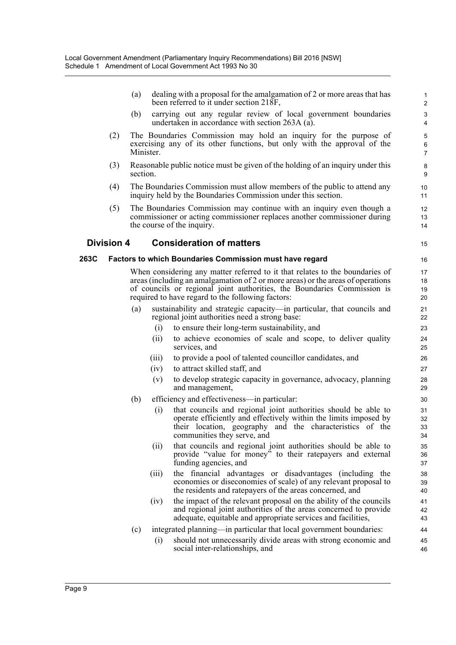(a) dealing with a proposal for the amalgamation of 2 or more areas that has been referred to it under section 218F,

15

- (b) carrying out any regular review of local government boundaries undertaken in accordance with section 263A (a).
- (2) The Boundaries Commission may hold an inquiry for the purpose of exercising any of its other functions, but only with the approval of the Minister.
- (3) Reasonable public notice must be given of the holding of an inquiry under this section.
- (4) The Boundaries Commission must allow members of the public to attend any inquiry held by the Boundaries Commission under this section.
- (5) The Boundaries Commission may continue with an inquiry even though a commissioner or acting commissioner replaces another commissioner during the course of the inquiry.

#### **Division 4 Consideration of matters**

#### **263C Factors to which Boundaries Commission must have regard**

When considering any matter referred to it that relates to the boundaries of areas (including an amalgamation of 2 or more areas) or the areas of operations of councils or regional joint authorities, the Boundaries Commission is required to have regard to the following factors:

- (a) sustainability and strategic capacity—in particular, that councils and regional joint authorities need a strong base:
	- (i) to ensure their long-term sustainability, and
	- (ii) to achieve economies of scale and scope, to deliver quality services, and
	- (iii) to provide a pool of talented councillor candidates, and
	- (iv) to attract skilled staff, and
	- (v) to develop strategic capacity in governance, advocacy, planning and management,
- (b) efficiency and effectiveness—in particular:
	- (i) that councils and regional joint authorities should be able to operate efficiently and effectively within the limits imposed by their location, geography and the characteristics of the communities they serve, and
	- (ii) that councils and regional joint authorities should be able to provide "value for money" to their ratepayers and external funding agencies, and
	- (iii) the financial advantages or disadvantages (including the economies or diseconomies of scale) of any relevant proposal to the residents and ratepayers of the areas concerned, and
	- (iv) the impact of the relevant proposal on the ability of the councils and regional joint authorities of the areas concerned to provide adequate, equitable and appropriate services and facilities,
- (c) integrated planning—in particular that local government boundaries:
	- (i) should not unnecessarily divide areas with strong economic and social inter-relationships, and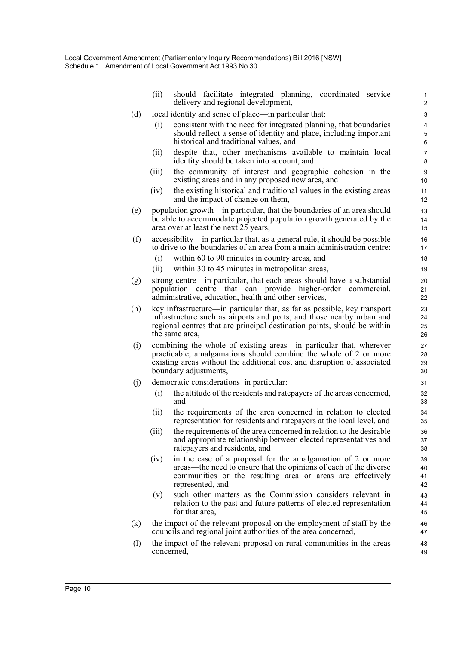|     | (ii)  | should facilitate integrated planning, coordinated service<br>delivery and regional development,                                                                                       | 1<br>$\overline{2}$   |
|-----|-------|----------------------------------------------------------------------------------------------------------------------------------------------------------------------------------------|-----------------------|
| (d) |       | local identity and sense of place—in particular that:                                                                                                                                  | 3                     |
|     | (i)   | consistent with the need for integrated planning, that boundaries                                                                                                                      | 4                     |
|     |       | should reflect a sense of identity and place, including important                                                                                                                      | 5                     |
|     |       | historical and traditional values, and                                                                                                                                                 | 6                     |
|     | (ii)  | despite that, other mechanisms available to maintain local<br>identity should be taken into account, and                                                                               | $\overline{7}$<br>8   |
|     | (iii) | the community of interest and geographic cohesion in the<br>existing areas and in any proposed new area, and                                                                           | 9<br>10               |
|     | (iv)  | the existing historical and traditional values in the existing areas<br>and the impact of change on them,                                                                              | 11<br>12 <sup>2</sup> |
| (e) |       | population growth—in particular, that the boundaries of an area should<br>be able to accommodate projected population growth generated by the<br>area over at least the next 25 years, | 13<br>14<br>15        |
| (f) |       | accessibility—in particular that, as a general rule, it should be possible<br>to drive to the boundaries of an area from a main administration centre:                                 | 16<br>17              |
|     | (i)   | within 60 to 90 minutes in country areas, and                                                                                                                                          | 18                    |
|     | (i)   | within 30 to 45 minutes in metropolitan areas,                                                                                                                                         | 19                    |
| (g) |       | strong centre—in particular, that each areas should have a substantial                                                                                                                 | 20                    |
|     |       | that can provide higher-order commercial,<br>population<br>centre                                                                                                                      | 21                    |
|     |       | administrative, education, health and other services,                                                                                                                                  | 22                    |
| (h) |       | key infrastructure—in particular that, as far as possible, key transport                                                                                                               | 23                    |
|     |       | infrastructure such as airports and ports, and those nearby urban and                                                                                                                  | 24                    |
|     |       | regional centres that are principal destination points, should be within<br>the same area,                                                                                             | 25                    |
|     |       |                                                                                                                                                                                        | 26                    |
| (i) |       | combining the whole of existing areas—in particular that, wherever<br>practicable, amalgamations should combine the whole of 2 or more                                                 | 27<br>28              |
|     |       | existing areas without the additional cost and disruption of associated                                                                                                                | 29                    |
|     |       | boundary adjustments,                                                                                                                                                                  | 30                    |
| (j) |       | democratic considerations-in particular:                                                                                                                                               | 31                    |
|     | (i)   | the attitude of the residents and rate payers of the areas concerned,                                                                                                                  | 32                    |
|     |       | and                                                                                                                                                                                    | 33                    |
|     | (i)   | the requirements of the area concerned in relation to elected                                                                                                                          | 34                    |
|     |       | representation for residents and ratepayers at the local level, and                                                                                                                    | 35                    |
|     | (iii) | the requirements of the area concerned in relation to the desirable                                                                                                                    | 36                    |
|     |       | and appropriate relationship between elected representatives and                                                                                                                       | 37                    |
|     |       | ratepayers and residents, and                                                                                                                                                          | 38                    |
|     | (iv)  | in the case of a proposal for the amalgamation of 2 or more                                                                                                                            | 39                    |
|     |       | areas—the need to ensure that the opinions of each of the diverse<br>communities or the resulting area or areas are effectively                                                        | 40<br>41              |
|     |       | represented, and                                                                                                                                                                       | 42                    |
|     | (v)   | such other matters as the Commission considers relevant in                                                                                                                             | 43                    |
|     |       | relation to the past and future patterns of elected representation                                                                                                                     | 44                    |
|     |       | for that area,                                                                                                                                                                         | 45                    |
| (k) |       | the impact of the relevant proposal on the employment of staff by the                                                                                                                  | 46                    |
|     |       | councils and regional joint authorities of the area concerned,                                                                                                                         | 47                    |
| (1) |       | the impact of the relevant proposal on rural communities in the areas                                                                                                                  | 48                    |
|     |       | concerned,                                                                                                                                                                             | 49                    |
|     |       |                                                                                                                                                                                        |                       |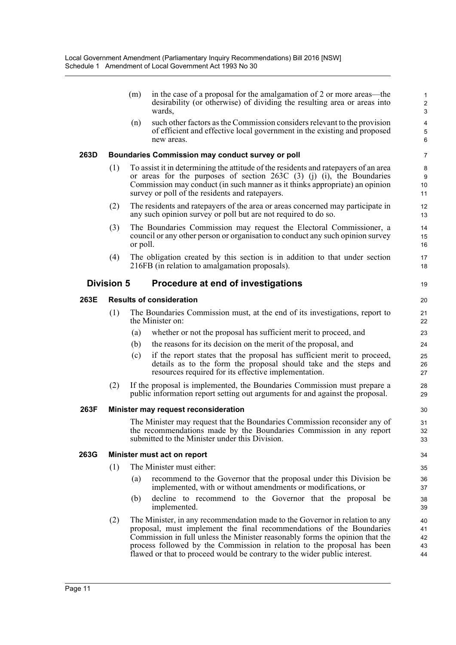|      |                   | (m)      | in the case of a proposal for the amalgamation of 2 or more areas—the<br>desirability (or otherwise) of dividing the resulting area or areas into<br>wards,                                                                                                                                                                                                                                 | $\mathbf{1}$<br>$\overline{c}$<br>$\mathbf{3}$ |
|------|-------------------|----------|---------------------------------------------------------------------------------------------------------------------------------------------------------------------------------------------------------------------------------------------------------------------------------------------------------------------------------------------------------------------------------------------|------------------------------------------------|
|      |                   | (n)      | such other factors as the Commission considers relevant to the provision<br>of efficient and effective local government in the existing and proposed<br>new areas.                                                                                                                                                                                                                          | 4<br>5<br>6                                    |
| 263D |                   |          | <b>Boundaries Commission may conduct survey or poll</b>                                                                                                                                                                                                                                                                                                                                     | $\overline{7}$                                 |
|      | (1)               |          | To assist it in determining the attitude of the residents and rate payers of an area<br>or areas for the purposes of section 263C (3) (j) (i), the Boundaries<br>Commission may conduct (in such manner as it thinks appropriate) an opinion<br>survey or poll of the residents and ratepayers.                                                                                             | 8<br>9<br>10<br>11                             |
|      | (2)               |          | The residents and rate payers of the area or areas concerned may participate in<br>any such opinion survey or poll but are not required to do so.                                                                                                                                                                                                                                           | 12<br>13                                       |
|      | (3)               | or poll. | The Boundaries Commission may request the Electoral Commissioner, a<br>council or any other person or organisation to conduct any such opinion survey                                                                                                                                                                                                                                       | 14<br>15<br>16                                 |
|      | (4)               |          | The obligation created by this section is in addition to that under section<br>216FB (in relation to amalgamation proposals).                                                                                                                                                                                                                                                               | 17<br>18                                       |
|      | <b>Division 5</b> |          | Procedure at end of investigations                                                                                                                                                                                                                                                                                                                                                          | 19                                             |
| 263E |                   |          | <b>Results of consideration</b>                                                                                                                                                                                                                                                                                                                                                             | 20                                             |
|      | (1)               |          | The Boundaries Commission must, at the end of its investigations, report to<br>the Minister on:                                                                                                                                                                                                                                                                                             | 21<br>22                                       |
|      |                   | (a)      | whether or not the proposal has sufficient merit to proceed, and                                                                                                                                                                                                                                                                                                                            | 23                                             |
|      |                   | (b)      | the reasons for its decision on the merit of the proposal, and                                                                                                                                                                                                                                                                                                                              | 24                                             |
|      |                   | (c)      | if the report states that the proposal has sufficient merit to proceed,<br>details as to the form the proposal should take and the steps and<br>resources required for its effective implementation.                                                                                                                                                                                        | 25<br>26<br>27                                 |
|      | (2)               |          | If the proposal is implemented, the Boundaries Commission must prepare a<br>public information report setting out arguments for and against the proposal.                                                                                                                                                                                                                                   | 28<br>29                                       |
| 263F |                   |          | Minister may request reconsideration                                                                                                                                                                                                                                                                                                                                                        | 30                                             |
|      |                   |          | The Minister may request that the Boundaries Commission reconsider any of<br>the recommendations made by the Boundaries Commission in any report<br>submitted to the Minister under this Division.                                                                                                                                                                                          | 31<br>32<br>33                                 |
| 263G |                   |          | Minister must act on report                                                                                                                                                                                                                                                                                                                                                                 | 34                                             |
|      | (1)               |          | The Minister must either:                                                                                                                                                                                                                                                                                                                                                                   | 35                                             |
|      |                   | (a)      | recommend to the Governor that the proposal under this Division be<br>implemented, with or without amendments or modifications, or                                                                                                                                                                                                                                                          | 36<br>37                                       |
|      |                   | (b)      | decline to recommend to the Governor that the proposal be<br>implemented.                                                                                                                                                                                                                                                                                                                   | 38<br>39                                       |
|      | (2)               |          | The Minister, in any recommendation made to the Governor in relation to any<br>proposal, must implement the final recommendations of the Boundaries<br>Commission in full unless the Minister reasonably forms the opinion that the<br>process followed by the Commission in relation to the proposal has been<br>flawed or that to proceed would be contrary to the wider public interest. | 40<br>41<br>42<br>43<br>44                     |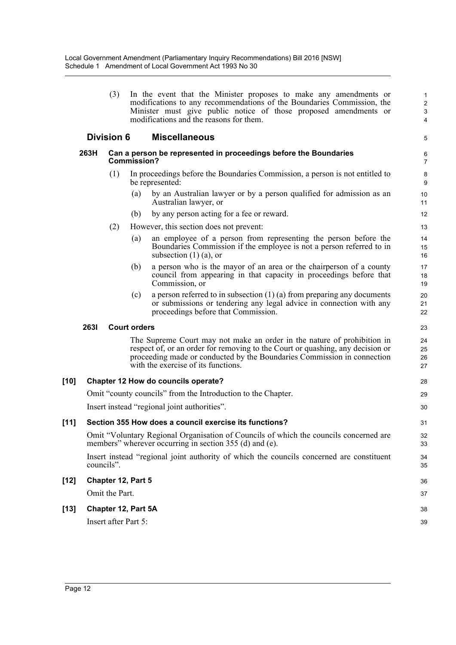| (3) | In the event that the Minister proposes to make any amendments or                                                                          |
|-----|--------------------------------------------------------------------------------------------------------------------------------------------|
|     | modifications to any recommendations of the Boundaries Commission, the<br>Minister must give public notice of those proposed amendments or |
|     | modifications and the reasons for them.                                                                                                    |

5

28 29 30

36 37

38 39

#### **Division 6 Miscellaneous**

#### **263H Can a person be represented in proceedings before the Boundaries Commission?**

- (1) In proceedings before the Boundaries Commission, a person is not entitled to be represented:
	- (a) by an Australian lawyer or by a person qualified for admission as an Australian lawyer, or
	- (b) by any person acting for a fee or reward.
- (2) However, this section does not prevent:
	- (a) an employee of a person from representing the person before the Boundaries Commission if the employee is not a person referred to in subsection  $(1)$   $(a)$ , or
	- (b) a person who is the mayor of an area or the chairperson of a county council from appearing in that capacity in proceedings before that Commission, or
	- (c) a person referred to in subsection  $(1)$  (a) from preparing any documents or submissions or tendering any legal advice in connection with any proceedings before that Commission.

#### **263I Court orders**

The Supreme Court may not make an order in the nature of prohibition in respect of, or an order for removing to the Court or quashing, any decision or proceeding made or conducted by the Boundaries Commission in connection with the exercise of its functions.

#### **[10] Chapter 12 How do councils operate?**

Omit "county councils" from the Introduction to the Chapter.

Insert instead "regional joint authorities".

# **[11] Section 355 How does a council exercise its functions?**

Omit "Voluntary Regional Organisation of Councils of which the councils concerned are members" wherever occurring in section 355 (d) and (e).

Insert instead "regional joint authority of which the councils concerned are constituent councils".

#### **[12] Chapter 12, Part 5**

Omit the Part.

## **[13] Chapter 12, Part 5A**

Insert after Part 5: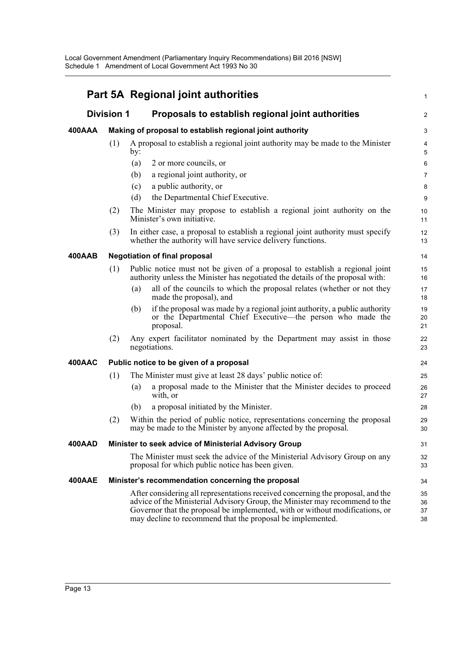|               |                   | Part 5A Regional joint authorities                                                                                                                                                                                                                                                                           | $\mathbf{1}$            |
|---------------|-------------------|--------------------------------------------------------------------------------------------------------------------------------------------------------------------------------------------------------------------------------------------------------------------------------------------------------------|-------------------------|
|               | <b>Division 1</b> | Proposals to establish regional joint authorities                                                                                                                                                                                                                                                            | $\overline{\mathbf{c}}$ |
| 400AAA        |                   | Making of proposal to establish regional joint authority                                                                                                                                                                                                                                                     | 3                       |
|               | (1)               | A proposal to establish a regional joint authority may be made to the Minister<br>by:                                                                                                                                                                                                                        | 4<br>5                  |
|               |                   | 2 or more councils, or<br>(a)                                                                                                                                                                                                                                                                                | 6                       |
|               |                   | (b)<br>a regional joint authority, or                                                                                                                                                                                                                                                                        | $\overline{7}$          |
|               |                   | a public authority, or<br>(c)                                                                                                                                                                                                                                                                                | 8                       |
|               |                   | (d)<br>the Departmental Chief Executive.                                                                                                                                                                                                                                                                     | 9                       |
|               | (2)               | The Minister may propose to establish a regional joint authority on the<br>Minister's own initiative.                                                                                                                                                                                                        | 10<br>11                |
|               | (3)               | In either case, a proposal to establish a regional joint authority must specify<br>whether the authority will have service delivery functions.                                                                                                                                                               | 12<br>13                |
| <b>400AAB</b> |                   | <b>Negotiation of final proposal</b>                                                                                                                                                                                                                                                                         | 14                      |
|               | (1)               | Public notice must not be given of a proposal to establish a regional joint<br>authority unless the Minister has negotiated the details of the proposal with:                                                                                                                                                | 15<br>16                |
|               |                   | all of the councils to which the proposal relates (whether or not they<br>(a)<br>made the proposal), and                                                                                                                                                                                                     | 17<br>18                |
|               |                   | if the proposal was made by a regional joint authority, a public authority<br>(b)<br>or the Departmental Chief Executive—the person who made the<br>proposal.                                                                                                                                                | 19<br>20<br>21          |
|               | (2)               | Any expert facilitator nominated by the Department may assist in those<br>negotiations.                                                                                                                                                                                                                      | 22<br>23                |
| 400AAC        |                   | Public notice to be given of a proposal                                                                                                                                                                                                                                                                      | 24                      |
|               | (1)               | The Minister must give at least 28 days' public notice of:                                                                                                                                                                                                                                                   | 25                      |
|               |                   | a proposal made to the Minister that the Minister decides to proceed<br>(a)<br>with, or                                                                                                                                                                                                                      | 26<br>27                |
|               |                   | a proposal initiated by the Minister.<br>(b)                                                                                                                                                                                                                                                                 | 28                      |
|               | (2)               | Within the period of public notice, representations concerning the proposal<br>may be made to the Minister by anyone affected by the proposal.                                                                                                                                                               | 29<br>30                |
| <b>400AAD</b> |                   | Minister to seek advice of Ministerial Advisory Group                                                                                                                                                                                                                                                        | 31                      |
|               |                   | The Minister must seek the advice of the Ministerial Advisory Group on any<br>proposal for which public notice has been given.                                                                                                                                                                               | 32<br>33                |
| 400AAE        |                   | Minister's recommendation concerning the proposal                                                                                                                                                                                                                                                            | 34                      |
|               |                   | After considering all representations received concerning the proposal, and the<br>advice of the Ministerial Advisory Group, the Minister may recommend to the<br>Governor that the proposal be implemented, with or without modifications, or<br>may decline to recommend that the proposal be implemented. | 35<br>36<br>37<br>38    |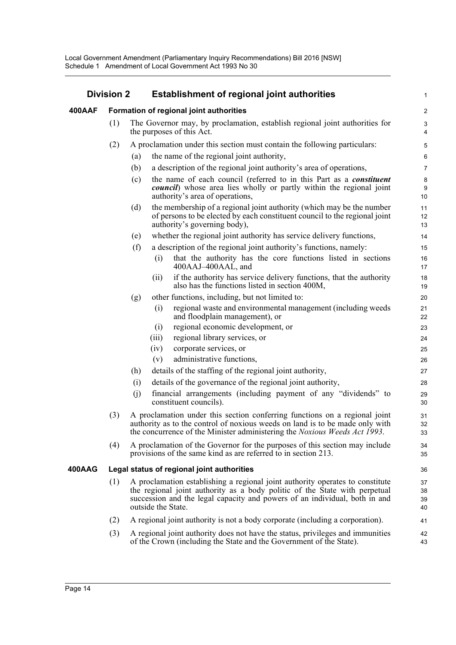| <b>Division 2</b> |     |                                                                                                                                                                                                                                                                 | <b>Establishment of regional joint authorities</b> |                                                                                                                                                                                                                                         |                    |  |
|-------------------|-----|-----------------------------------------------------------------------------------------------------------------------------------------------------------------------------------------------------------------------------------------------------------------|----------------------------------------------------|-----------------------------------------------------------------------------------------------------------------------------------------------------------------------------------------------------------------------------------------|--------------------|--|
| 400AAF            |     |                                                                                                                                                                                                                                                                 | Formation of regional joint authorities            |                                                                                                                                                                                                                                         |                    |  |
|                   | (1) |                                                                                                                                                                                                                                                                 |                                                    | The Governor may, by proclamation, establish regional joint authorities for<br>the purposes of this Act.                                                                                                                                | 3<br>4             |  |
|                   | (2) |                                                                                                                                                                                                                                                                 |                                                    | A proclamation under this section must contain the following particulars:                                                                                                                                                               | 5                  |  |
|                   |     | (a)                                                                                                                                                                                                                                                             |                                                    | the name of the regional joint authority,                                                                                                                                                                                               | 6                  |  |
|                   |     | (b)                                                                                                                                                                                                                                                             |                                                    | a description of the regional joint authority's area of operations,                                                                                                                                                                     | $\overline{7}$     |  |
|                   |     | (c)                                                                                                                                                                                                                                                             |                                                    | the name of each council (referred to in this Part as a <i>constituent</i><br><i>council</i> ) whose area lies wholly or partly within the regional joint<br>authority's area of operations,                                            | $\bf 8$<br>9<br>10 |  |
|                   |     | (d)                                                                                                                                                                                                                                                             |                                                    | the membership of a regional joint authority (which may be the number<br>of persons to be elected by each constituent council to the regional joint<br>authority's governing body),                                                     | 11<br>12<br>13     |  |
|                   |     | (e)                                                                                                                                                                                                                                                             |                                                    | whether the regional joint authority has service delivery functions,                                                                                                                                                                    | 14                 |  |
|                   |     | (f)                                                                                                                                                                                                                                                             |                                                    | a description of the regional joint authority's functions, namely:                                                                                                                                                                      | 15                 |  |
|                   |     |                                                                                                                                                                                                                                                                 | (i)                                                | that the authority has the core functions listed in sections<br>400AAJ-400AAL, and                                                                                                                                                      | 16<br>17           |  |
|                   |     |                                                                                                                                                                                                                                                                 | (i)                                                | if the authority has service delivery functions, that the authority<br>also has the functions listed in section 400M,                                                                                                                   | 18<br>19           |  |
|                   |     | (g)                                                                                                                                                                                                                                                             |                                                    | other functions, including, but not limited to:                                                                                                                                                                                         | 20                 |  |
|                   |     |                                                                                                                                                                                                                                                                 | (i)                                                | regional waste and environmental management (including weeds<br>and floodplain management), or                                                                                                                                          | 21<br>22           |  |
|                   |     |                                                                                                                                                                                                                                                                 | (i)                                                | regional economic development, or                                                                                                                                                                                                       | 23                 |  |
|                   |     |                                                                                                                                                                                                                                                                 | (iii)                                              | regional library services, or                                                                                                                                                                                                           | 24                 |  |
|                   |     |                                                                                                                                                                                                                                                                 | (iv)                                               | corporate services, or                                                                                                                                                                                                                  | 25                 |  |
|                   |     |                                                                                                                                                                                                                                                                 | (v)                                                | administrative functions,                                                                                                                                                                                                               | 26                 |  |
|                   |     | (h)                                                                                                                                                                                                                                                             |                                                    | details of the staffing of the regional joint authority,                                                                                                                                                                                | 27                 |  |
|                   |     | (i)                                                                                                                                                                                                                                                             |                                                    | details of the governance of the regional joint authority,                                                                                                                                                                              | 28                 |  |
|                   |     | (j)                                                                                                                                                                                                                                                             |                                                    | financial arrangements (including payment of any "dividends" to<br>constituent councils).                                                                                                                                               | 29<br>30           |  |
|                   | (3) |                                                                                                                                                                                                                                                                 |                                                    | A proclamation under this section conferring functions on a regional joint<br>authority as to the control of noxious weeds on land is to be made only with<br>the concurrence of the Minister administering the Noxious Weeds Act 1993. | 31<br>32<br>33     |  |
|                   | (4) |                                                                                                                                                                                                                                                                 |                                                    | A proclamation of the Governor for the purposes of this section may include<br>provisions of the same kind as are referred to in section 213.                                                                                           | 34<br>35           |  |
| 400AAG            |     |                                                                                                                                                                                                                                                                 |                                                    | Legal status of regional joint authorities                                                                                                                                                                                              | 36                 |  |
|                   | (1) | A proclamation establishing a regional joint authority operates to constitute<br>the regional joint authority as a body politic of the State with perpetual<br>succession and the legal capacity and powers of an individual, both in and<br>outside the State. |                                                    |                                                                                                                                                                                                                                         |                    |  |
|                   | (2) |                                                                                                                                                                                                                                                                 |                                                    | A regional joint authority is not a body corporate (including a corporation).                                                                                                                                                           | 41                 |  |
|                   | (3) |                                                                                                                                                                                                                                                                 |                                                    | A regional joint authority does not have the status, privileges and immunities<br>of the Crown (including the State and the Government of the State).                                                                                   | 42<br>43           |  |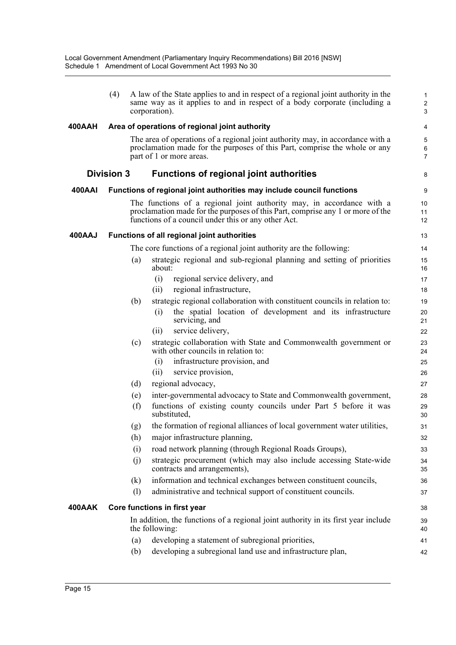|               | (4)               |            | A law of the State applies to and in respect of a regional joint authority in the<br>same way as it applies to and in respect of a body corporate (including a<br>corporation).                                | 1<br>$\overline{\mathbf{c}}$<br>3 |
|---------------|-------------------|------------|----------------------------------------------------------------------------------------------------------------------------------------------------------------------------------------------------------------|-----------------------------------|
| 400AAH        |                   |            | Area of operations of regional joint authority                                                                                                                                                                 | 4                                 |
|               |                   |            | The area of operations of a regional joint authority may, in accordance with a<br>proclamation made for the purposes of this Part, comprise the whole or any<br>part of 1 or more areas.                       | 5<br>6<br>7                       |
|               | <b>Division 3</b> |            | <b>Functions of regional joint authorities</b>                                                                                                                                                                 | 8                                 |
| <b>400AAI</b> |                   |            | Functions of regional joint authorities may include council functions                                                                                                                                          | 9                                 |
|               |                   |            | The functions of a regional joint authority may, in accordance with a<br>proclamation made for the purposes of this Part, comprise any 1 or more of the<br>functions of a council under this or any other Act. | 10<br>11<br>12                    |
| 400AAJ        |                   |            | Functions of all regional joint authorities                                                                                                                                                                    | 13                                |
|               |                   |            | The core functions of a regional joint authority are the following:                                                                                                                                            | 14                                |
|               |                   | (a)        | strategic regional and sub-regional planning and setting of priorities<br>about:                                                                                                                               | 15<br>16                          |
|               |                   |            | regional service delivery, and<br>(i)                                                                                                                                                                          | 17                                |
|               |                   |            | regional infrastructure,<br>(i)                                                                                                                                                                                | 18                                |
|               |                   | (b)        | strategic regional collaboration with constituent councils in relation to:                                                                                                                                     | 19                                |
|               |                   |            | the spatial location of development and its infrastructure<br>(i)<br>servicing, and                                                                                                                            | 20<br>21                          |
|               |                   |            | service delivery,<br>(i)                                                                                                                                                                                       | 22                                |
|               |                   | (c)        | strategic collaboration with State and Commonwealth government or<br>with other councils in relation to:                                                                                                       | 23<br>24                          |
|               |                   |            | infrastructure provision, and<br>(i)                                                                                                                                                                           | 25                                |
|               |                   |            | service provision,<br>(ii)                                                                                                                                                                                     | 26                                |
|               |                   | (d)        | regional advocacy,                                                                                                                                                                                             | 27                                |
|               |                   | (e)<br>(f) | inter-governmental advocacy to State and Commonwealth government,<br>functions of existing county councils under Part 5 before it was<br>substituted.                                                          | 28<br>29                          |
|               |                   | (g)        | the formation of regional alliances of local government water utilities,                                                                                                                                       | 30<br>31                          |
|               |                   | (h)        | major infrastructure planning,                                                                                                                                                                                 | 32                                |
|               |                   | (i)        | road network planning (through Regional Roads Groups),                                                                                                                                                         | 33                                |
|               |                   | (j)        | strategic procurement (which may also include accessing State-wide<br>contracts and arrangements),                                                                                                             | 34<br>35                          |
|               |                   | (k)        | information and technical exchanges between constituent councils,                                                                                                                                              | 36                                |
|               |                   | (1)        | administrative and technical support of constituent councils.                                                                                                                                                  | 37                                |
| 400AAK        |                   |            | Core functions in first year                                                                                                                                                                                   | 38                                |
|               |                   |            | In addition, the functions of a regional joint authority in its first year include<br>the following:                                                                                                           | 39<br>40                          |
|               |                   | (a)        | developing a statement of subregional priorities,                                                                                                                                                              | 41                                |
|               |                   | (b)        | developing a subregional land use and infrastructure plan,                                                                                                                                                     | 42                                |
|               |                   |            |                                                                                                                                                                                                                |                                   |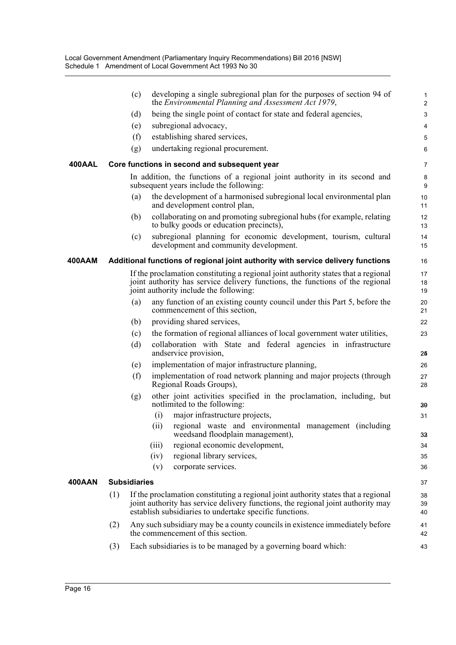|               |                     | developing a single subregional plan for the purposes of section 94 of<br>(c)<br>the Environmental Planning and Assessment Act 1979,                                                                                              | 1<br>$\overline{c}$ |
|---------------|---------------------|-----------------------------------------------------------------------------------------------------------------------------------------------------------------------------------------------------------------------------------|---------------------|
|               |                     | being the single point of contact for state and federal agencies,<br>(d)                                                                                                                                                          | 3                   |
|               |                     | subregional advocacy,<br>(e)                                                                                                                                                                                                      | 4                   |
|               |                     | (f)<br>establishing shared services,                                                                                                                                                                                              | 5                   |
|               |                     | undertaking regional procurement.<br>(g)                                                                                                                                                                                          | 6                   |
| <b>400AAL</b> |                     | Core functions in second and subsequent year                                                                                                                                                                                      | 7                   |
|               |                     | In addition, the functions of a regional joint authority in its second and<br>subsequent years include the following:                                                                                                             | 8<br>9              |
|               |                     | the development of a harmonised subregional local environmental plan<br>(a)<br>and development control plan,                                                                                                                      | 10<br>11            |
|               |                     | collaborating on and promoting subregional hubs (for example, relating<br>(b)<br>to bulky goods or education precincts),                                                                                                          | 12<br>13            |
|               |                     | subregional planning for economic development, tourism, cultural<br>(c)<br>development and community development.                                                                                                                 | 14<br>15            |
| 400AAM        |                     | Additional functions of regional joint authority with service delivery functions                                                                                                                                                  | 16                  |
|               |                     | If the proclamation constituting a regional joint authority states that a regional<br>joint authority has service delivery functions, the functions of the regional<br>joint authority include the following:                     | 17<br>18<br>19      |
|               |                     | any function of an existing county council under this Part 5, before the<br>(a)<br>commencement of this section,                                                                                                                  | 20<br>21            |
|               |                     | providing shared services,<br>(b)                                                                                                                                                                                                 | 22                  |
|               |                     | the formation of regional alliances of local government water utilities,<br>(c)                                                                                                                                                   | 23                  |
|               |                     | collaboration with State and federal agencies in infrastructure<br>(d)<br>andservice provision,                                                                                                                                   | 25                  |
|               |                     | implementation of major infrastructure planning,<br>(e)                                                                                                                                                                           | 26                  |
|               |                     | (f)<br>implementation of road network planning and major projects (through<br>Regional Roads Groups),                                                                                                                             | 27<br>28            |
|               |                     | other joint activities specified in the proclamation, including, but<br>(g)<br>notlimited to the following:                                                                                                                       | 30                  |
|               |                     | major infrastructure projects,<br>(i)                                                                                                                                                                                             | 31                  |
|               |                     | regional waste and environmental management (including<br>(ii)<br>weedsand floodplain management),                                                                                                                                | 33                  |
|               |                     | regional economic development,<br>(iii)                                                                                                                                                                                           | 34                  |
|               |                     | regional library services,<br>(iv)                                                                                                                                                                                                | 35                  |
|               |                     | corporate services.<br>(v)                                                                                                                                                                                                        | 36                  |
| 400AAN        | <b>Subsidiaries</b> |                                                                                                                                                                                                                                   | 37                  |
|               | (1)                 | If the proclamation constituting a regional joint authority states that a regional<br>joint authority has service delivery functions, the regional joint authority may<br>establish subsidiaries to undertake specific functions. | 38<br>39<br>40      |
|               | (2)                 | Any such subsidiary may be a county councils in existence immediately before<br>the commencement of this section.                                                                                                                 | 41<br>42            |
|               | (3)                 | Each subsidiaries is to be managed by a governing board which:                                                                                                                                                                    | 43                  |
|               |                     |                                                                                                                                                                                                                                   |                     |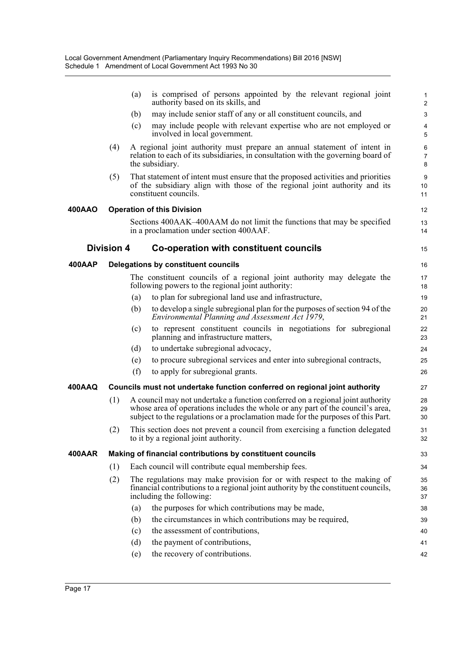|        |                   | (a) | is comprised of persons appointed by the relevant regional joint<br>authority based on its skills, and                                                                                                                                               | 1<br>$\overline{a}$ |
|--------|-------------------|-----|------------------------------------------------------------------------------------------------------------------------------------------------------------------------------------------------------------------------------------------------------|---------------------|
|        |                   | (b) | may include senior staff of any or all constituent councils, and                                                                                                                                                                                     | 3                   |
|        |                   | (c) | may include people with relevant expertise who are not employed or<br>involved in local government.                                                                                                                                                  | 4<br>5              |
|        | (4)               |     | A regional joint authority must prepare an annual statement of intent in<br>relation to each of its subsidiaries, in consultation with the governing board of<br>the subsidiary.                                                                     | 6<br>7<br>8         |
|        | (5)               |     | That statement of intent must ensure that the proposed activities and priorities<br>of the subsidiary align with those of the regional joint authority and its<br>constituent councils.                                                              | 9<br>10<br>11       |
| 400AAO |                   |     | <b>Operation of this Division</b>                                                                                                                                                                                                                    | 12                  |
|        |                   |     | Sections 400AAK-400AAM do not limit the functions that may be specified<br>in a proclamation under section 400AAF.                                                                                                                                   | 13<br>14            |
|        | <b>Division 4</b> |     | <b>Co-operation with constituent councils</b>                                                                                                                                                                                                        | 15                  |
| 400AAP |                   |     | Delegations by constituent councils                                                                                                                                                                                                                  | 16                  |
|        |                   |     | The constituent councils of a regional joint authority may delegate the<br>following powers to the regional joint authority:                                                                                                                         | 17<br>18            |
|        |                   | (a) | to plan for subregional land use and infrastructure,                                                                                                                                                                                                 | 19                  |
|        |                   | (b) | to develop a single subregional plan for the purposes of section 94 of the<br>Environmental Planning and Assessment Act 1979,                                                                                                                        | 20<br>21            |
|        |                   | (c) | to represent constituent councils in negotiations for subregional<br>planning and infrastructure matters,                                                                                                                                            | 22<br>23            |
|        |                   | (d) | to undertake subregional advocacy,                                                                                                                                                                                                                   | 24                  |
|        |                   | (e) | to procure subregional services and enter into subregional contracts,                                                                                                                                                                                | 25                  |
|        |                   | (f) | to apply for subregional grants.                                                                                                                                                                                                                     | 26                  |
| 400AAQ |                   |     | Councils must not undertake function conferred on regional joint authority                                                                                                                                                                           | 27                  |
|        | (1)               |     | A council may not undertake a function conferred on a regional joint authority<br>whose area of operations includes the whole or any part of the council's area,<br>subject to the regulations or a proclamation made for the purposes of this Part. | 28<br>29<br>30      |
|        | (2)               |     | This section does not prevent a council from exercising a function delegated<br>to it by a regional joint authority.                                                                                                                                 | 31<br>32            |
| 400AAR |                   |     | Making of financial contributions by constituent councils                                                                                                                                                                                            | 33                  |
|        | (1)               |     | Each council will contribute equal membership fees.                                                                                                                                                                                                  | 34                  |
|        | (2)               |     | The regulations may make provision for or with respect to the making of<br>financial contributions to a regional joint authority by the constituent councils,<br>including the following:                                                            | 35<br>36<br>37      |
|        |                   | (a) | the purposes for which contributions may be made,                                                                                                                                                                                                    | 38                  |
|        |                   | (b) | the circumstances in which contributions may be required,                                                                                                                                                                                            | 39                  |
|        |                   | (c) | the assessment of contributions,                                                                                                                                                                                                                     | 40                  |
|        |                   | (d) | the payment of contributions,                                                                                                                                                                                                                        | 41                  |
|        |                   | (e) | the recovery of contributions.                                                                                                                                                                                                                       | 42                  |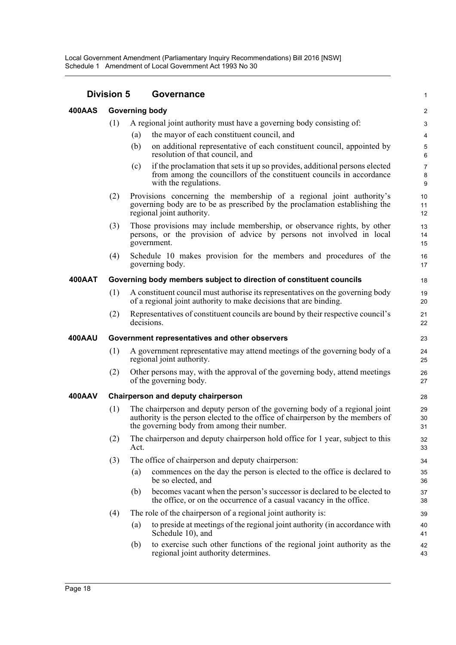| <b>Division 5</b> |                                                                     |                       | Governance                                                                                                                                                                                                   |                          |  |  |  |
|-------------------|---------------------------------------------------------------------|-----------------------|--------------------------------------------------------------------------------------------------------------------------------------------------------------------------------------------------------------|--------------------------|--|--|--|
| 400AAS            |                                                                     | <b>Governing body</b> |                                                                                                                                                                                                              | $\overline{c}$           |  |  |  |
|                   | (1)                                                                 |                       | A regional joint authority must have a governing body consisting of:                                                                                                                                         | 3                        |  |  |  |
|                   |                                                                     | (a)                   | the mayor of each constituent council, and                                                                                                                                                                   | $\overline{\mathbf{4}}$  |  |  |  |
|                   |                                                                     | (b)                   | on additional representative of each constituent council, appointed by<br>resolution of that council, and                                                                                                    | 5<br>6                   |  |  |  |
|                   |                                                                     | (c)                   | if the proclamation that sets it up so provides, additional persons elected<br>from among the councillors of the constituent councils in accordance<br>with the regulations.                                 | $\overline{7}$<br>8<br>9 |  |  |  |
|                   | (2)                                                                 |                       | Provisions concerning the membership of a regional joint authority's<br>governing body are to be as prescribed by the proclamation establishing the<br>regional joint authority.                             | 10<br>11<br>12           |  |  |  |
|                   | (3)                                                                 |                       | Those provisions may include membership, or observance rights, by other<br>persons, or the provision of advice by persons not involved in local<br>government.                                               | 13<br>14<br>15           |  |  |  |
|                   | (4)                                                                 |                       | Schedule 10 makes provision for the members and procedures of the<br>governing body.                                                                                                                         | 16<br>17                 |  |  |  |
| <b>400AAT</b>     | Governing body members subject to direction of constituent councils |                       |                                                                                                                                                                                                              |                          |  |  |  |
|                   | (1)                                                                 |                       | A constituent council must authorise its representatives on the governing body<br>of a regional joint authority to make decisions that are binding.                                                          | 19<br>20                 |  |  |  |
|                   | (2)                                                                 | decisions.            | Representatives of constituent councils are bound by their respective council's                                                                                                                              | 21<br>22                 |  |  |  |
| <b>400AAU</b>     |                                                                     |                       | Government representatives and other observers                                                                                                                                                               | 23                       |  |  |  |
|                   | (1)                                                                 |                       | A government representative may attend meetings of the governing body of a<br>regional joint authority.                                                                                                      | 24<br>25                 |  |  |  |
|                   | (2)                                                                 |                       | Other persons may, with the approval of the governing body, attend meetings<br>of the governing body.                                                                                                        | 26<br>27                 |  |  |  |
| 400AAV            | <b>Chairperson and deputy chairperson</b>                           |                       |                                                                                                                                                                                                              |                          |  |  |  |
|                   | (1)                                                                 |                       | The chairperson and deputy person of the governing body of a regional joint<br>authority is the person elected to the office of chairperson by the members of<br>the governing body from among their number. | 29<br>30<br>31           |  |  |  |
|                   | (2)                                                                 | Act.                  | The chairperson and deputy chairperson hold office for 1 year, subject to this                                                                                                                               | 32<br>33                 |  |  |  |
|                   | (3)                                                                 |                       | The office of chairperson and deputy chairperson:                                                                                                                                                            | 34                       |  |  |  |
|                   |                                                                     | (a)                   | commences on the day the person is elected to the office is declared to<br>be so elected, and                                                                                                                | 35<br>36                 |  |  |  |
|                   |                                                                     | (b)                   | becomes vacant when the person's successor is declared to be elected to<br>the office, or on the occurrence of a casual vacancy in the office.                                                               | 37<br>38                 |  |  |  |
|                   | (4)                                                                 |                       | The role of the chairperson of a regional joint authority is:                                                                                                                                                | 39                       |  |  |  |
|                   |                                                                     | (a)                   | to preside at meetings of the regional joint authority (in accordance with<br>Schedule 10), and                                                                                                              | 40<br>41                 |  |  |  |
|                   |                                                                     | (b)                   | to exercise such other functions of the regional joint authority as the<br>regional joint authority determines.                                                                                              | 42<br>43                 |  |  |  |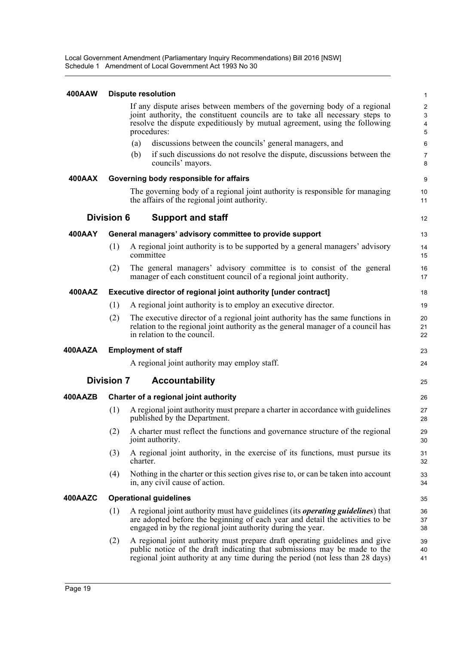Local Government Amendment (Parliamentary Inquiry Recommendations) Bill 2016 [NSW] Schedule 1 Amendment of Local Government Act 1993 No 30

#### **400AAW Dispute resolution**

| 400AAW        |                   |          | <b>Dispute resolution</b>                                                                                                                                                                                                                              | $\mathbf{1}$                            |
|---------------|-------------------|----------|--------------------------------------------------------------------------------------------------------------------------------------------------------------------------------------------------------------------------------------------------------|-----------------------------------------|
|               |                   |          | If any dispute arises between members of the governing body of a regional<br>joint authority, the constituent councils are to take all necessary steps to<br>resolve the dispute expeditiously by mutual agreement, using the following<br>procedures: | $\overline{c}$<br>$\mathsf 3$<br>4<br>5 |
|               |                   | (a)      | discussions between the councils' general managers, and                                                                                                                                                                                                | 6                                       |
|               |                   | (b)      | if such discussions do not resolve the dispute, discussions between the<br>councils' mayors.                                                                                                                                                           | $\overline{7}$<br>8                     |
| <b>400AAX</b> |                   |          | Governing body responsible for affairs                                                                                                                                                                                                                 | 9                                       |
|               |                   |          | The governing body of a regional joint authority is responsible for managing<br>the affairs of the regional joint authority.                                                                                                                           | 10<br>11                                |
|               | <b>Division 6</b> |          | <b>Support and staff</b>                                                                                                                                                                                                                               | 12                                      |
| 400AAY        |                   |          | General managers' advisory committee to provide support                                                                                                                                                                                                | 13                                      |
|               | (1)               |          | A regional joint authority is to be supported by a general managers' advisory<br>committee                                                                                                                                                             | 14<br>15                                |
|               | (2)               |          | The general managers' advisory committee is to consist of the general<br>manager of each constituent council of a regional joint authority.                                                                                                            | 16<br>17                                |
| 400AAZ        |                   |          | Executive director of regional joint authority [under contract]                                                                                                                                                                                        | 18                                      |
|               | (1)               |          | A regional joint authority is to employ an executive director.                                                                                                                                                                                         | 19                                      |
|               | (2)               |          | The executive director of a regional joint authority has the same functions in<br>relation to the regional joint authority as the general manager of a council has<br>in relation to the council.                                                      | 20<br>21<br>22                          |
| 400AAZA       |                   |          | <b>Employment of staff</b>                                                                                                                                                                                                                             | 23                                      |
|               |                   |          | A regional joint authority may employ staff.                                                                                                                                                                                                           | 24                                      |
|               | <b>Division 7</b> |          | <b>Accountability</b>                                                                                                                                                                                                                                  | 25                                      |
| 400AAZB       |                   |          | Charter of a regional joint authority                                                                                                                                                                                                                  | 26                                      |
|               | (1)               |          | A regional joint authority must prepare a charter in accordance with guidelines<br>published by the Department.                                                                                                                                        | 27<br>28                                |
|               | (2)               |          | A charter must reflect the functions and governance structure of the regional<br>joint authority.                                                                                                                                                      | 29<br>30                                |
|               | (3)               | charter. | A regional joint authority, in the exercise of its functions, must pursue its                                                                                                                                                                          | 31<br>32                                |
|               | (4)               |          | Nothing in the charter or this section gives rise to, or can be taken into account<br>in, any civil cause of action.                                                                                                                                   | 33<br>34                                |
| 400AAZC       |                   |          | <b>Operational guidelines</b>                                                                                                                                                                                                                          | 35                                      |
|               | (1)               |          | A regional joint authority must have guidelines (its <i>operating guidelines</i> ) that<br>are adopted before the beginning of each year and detail the activities to be<br>engaged in by the regional joint authority during the year.                | 36<br>37<br>38                          |
|               | (2)               |          | A regional joint authority must prepare draft operating guidelines and give<br>public notice of the draft indicating that submissions may be made to the<br>regional joint authority at any time during the period (not less than 28 days)             | 39<br>40<br>41                          |
|               |                   |          |                                                                                                                                                                                                                                                        |                                         |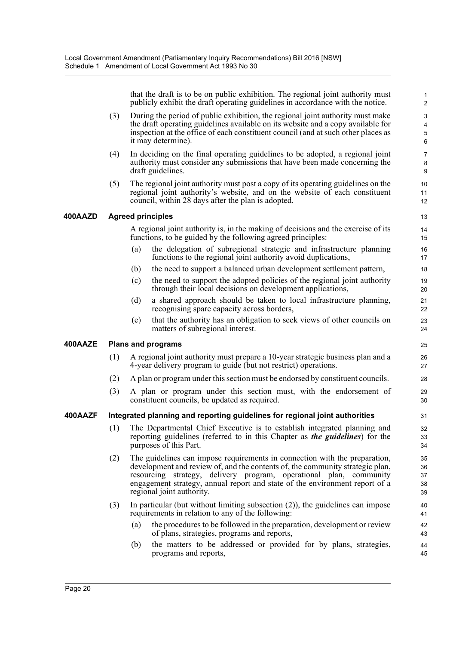that the draft is to be on public exhibition. The regional joint authority must publicly exhibit the draft operating guidelines in accordance with the notice.

- (3) During the period of public exhibition, the regional joint authority must make the draft operating guidelines available on its website and a copy available for inspection at the office of each constituent council (and at such other places as it may determine).
- (4) In deciding on the final operating guidelines to be adopted, a regional joint authority must consider any submissions that have been made concerning the draft guidelines.
- (5) The regional joint authority must post a copy of its operating guidelines on the regional joint authority's website, and on the website of each constituent council, within 28 days after the plan is adopted.

#### **400AAZD Agreed principles**

A regional joint authority is, in the making of decisions and the exercise of its functions, to be guided by the following agreed principles:

- (a) the delegation of subregional strategic and infrastructure planning functions to the regional joint authority avoid duplications,
- (b) the need to support a balanced urban development settlement pattern,
- (c) the need to support the adopted policies of the regional joint authority through their local decisions on development applications,
- (d) a shared approach should be taken to local infrastructure planning, recognising spare capacity across borders,
- (e) that the authority has an obligation to seek views of other councils on matters of subregional interest.

#### **400AAZE Plans and programs**

- (1) A regional joint authority must prepare a 10-year strategic business plan and a 4-year delivery program to guide (but not restrict) operations.
- (2) A plan or program under this section must be endorsed by constituent councils.
- (3) A plan or program under this section must, with the endorsement of constituent councils, be updated as required.

#### **400AAZF Integrated planning and reporting guidelines for regional joint authorities**

- (1) The Departmental Chief Executive is to establish integrated planning and reporting guidelines (referred to in this Chapter as *the guidelines*) for the purposes of this Part.
- (2) The guidelines can impose requirements in connection with the preparation, development and review of, and the contents of, the community strategic plan, resourcing strategy, delivery program, operational plan, community engagement strategy, annual report and state of the environment report of a regional joint authority.
- (3) In particular (but without limiting subsection (2)), the guidelines can impose requirements in relation to any of the following:
	- (a) the procedures to be followed in the preparation, development or review of plans, strategies, programs and reports,
	- (b) the matters to be addressed or provided for by plans, strategies, programs and reports,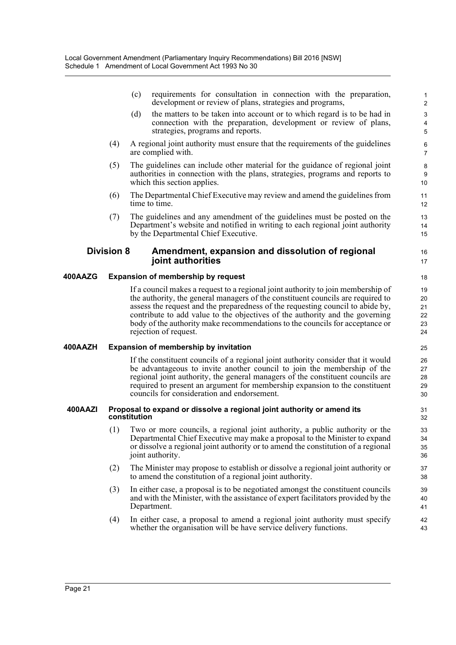(c) requirements for consultation in connection with the preparation, development or review of plans, strategies and programs,

16 17

- (d) the matters to be taken into account or to which regard is to be had in connection with the preparation, development or review of plans, strategies, programs and reports.
- (4) A regional joint authority must ensure that the requirements of the guidelines are complied with.
- (5) The guidelines can include other material for the guidance of regional joint authorities in connection with the plans, strategies, programs and reports to which this section applies.
- (6) The Departmental Chief Executive may review and amend the guidelines from time to time.
- (7) The guidelines and any amendment of the guidelines must be posted on the Department's website and notified in writing to each regional joint authority by the Departmental Chief Executive.

#### **Division 8 Amendment, expansion and dissolution of regional joint authorities**

#### **400AAZG Expansion of membership by request**

If a council makes a request to a regional joint authority to join membership of the authority, the general managers of the constituent councils are required to assess the request and the preparedness of the requesting council to abide by, contribute to add value to the objectives of the authority and the governing body of the authority make recommendations to the councils for acceptance or rejection of request.

#### **400AAZH Expansion of membership by invitation**

If the constituent councils of a regional joint authority consider that it would be advantageous to invite another council to join the membership of the regional joint authority, the general managers of the constituent councils are required to present an argument for membership expansion to the constituent councils for consideration and endorsement.

#### **400AAZI Proposal to expand or dissolve a regional joint authority or amend its constitution**

- (1) Two or more councils, a regional joint authority, a public authority or the Departmental Chief Executive may make a proposal to the Minister to expand or dissolve a regional joint authority or to amend the constitution of a regional joint authority.
- (2) The Minister may propose to establish or dissolve a regional joint authority or to amend the constitution of a regional joint authority.
- (3) In either case, a proposal is to be negotiated amongst the constituent councils and with the Minister, with the assistance of expert facilitators provided by the Department.
- (4) In either case, a proposal to amend a regional joint authority must specify whether the organisation will be have service delivery functions.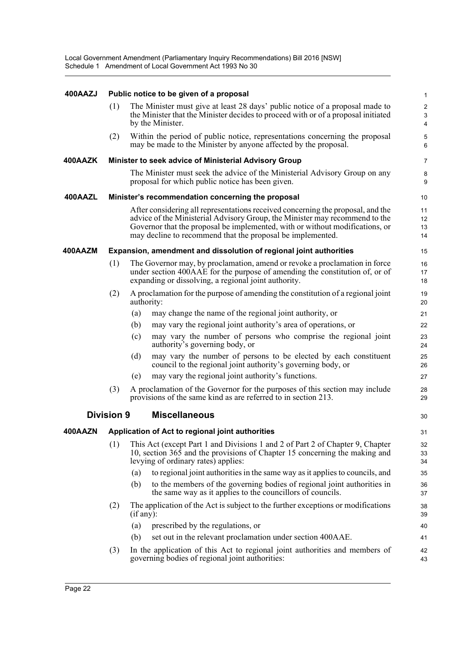#### **400AAZJ Public notice to be given of a proposal**

| 400AAZJ |                   |           | Public notice to be given of a proposal                                                                                                                                                                                                                                                                      | 1                                                         |
|---------|-------------------|-----------|--------------------------------------------------------------------------------------------------------------------------------------------------------------------------------------------------------------------------------------------------------------------------------------------------------------|-----------------------------------------------------------|
|         | (1)               |           | The Minister must give at least 28 days' public notice of a proposal made to<br>the Minister that the Minister decides to proceed with or of a proposal initiated<br>by the Minister.                                                                                                                        | $\overline{c}$<br>$\mathbf{3}$<br>$\overline{\mathbf{4}}$ |
|         | (2)               |           | Within the period of public notice, representations concerning the proposal<br>may be made to the Minister by anyone affected by the proposal.                                                                                                                                                               | 5<br>6                                                    |
| 400AAZK |                   |           | Minister to seek advice of Ministerial Advisory Group                                                                                                                                                                                                                                                        | $\overline{7}$                                            |
|         |                   |           | The Minister must seek the advice of the Ministerial Advisory Group on any<br>proposal for which public notice has been given.                                                                                                                                                                               | $\bf 8$<br>9                                              |
| 400AAZL |                   |           | Minister's recommendation concerning the proposal                                                                                                                                                                                                                                                            | 10                                                        |
|         |                   |           | After considering all representations received concerning the proposal, and the<br>advice of the Ministerial Advisory Group, the Minister may recommend to the<br>Governor that the proposal be implemented, with or without modifications, or<br>may decline to recommend that the proposal be implemented. | 11<br>12<br>13<br>14                                      |
| 400AAZM |                   |           | Expansion, amendment and dissolution of regional joint authorities                                                                                                                                                                                                                                           | 15                                                        |
|         | (1)               |           | The Governor may, by proclamation, amend or revoke a proclamation in force<br>under section 400AAE for the purpose of amending the constitution of, or of<br>expanding or dissolving, a regional joint authority.                                                                                            | 16<br>17<br>18                                            |
|         | (2)               |           | A proclamation for the purpose of amending the constitution of a regional joint<br>authority:                                                                                                                                                                                                                | 19<br>20                                                  |
|         |                   | (a)       | may change the name of the regional joint authority, or                                                                                                                                                                                                                                                      | 21                                                        |
|         |                   | (b)       | may vary the regional joint authority's area of operations, or                                                                                                                                                                                                                                               | 22                                                        |
|         |                   | (c)       | may vary the number of persons who comprise the regional joint<br>authority's governing body, or                                                                                                                                                                                                             | 23<br>24                                                  |
|         |                   | (d)       | may vary the number of persons to be elected by each constituent<br>council to the regional joint authority's governing body, or                                                                                                                                                                             | 25<br>26                                                  |
|         |                   | (e)       | may vary the regional joint authority's functions.                                                                                                                                                                                                                                                           | 27                                                        |
|         | (3)               |           | A proclamation of the Governor for the purposes of this section may include<br>provisions of the same kind as are referred to in section 213.                                                                                                                                                                | 28<br>29                                                  |
|         | <b>Division 9</b> |           | <b>Miscellaneous</b>                                                                                                                                                                                                                                                                                         | 30                                                        |
| 400AAZN |                   |           | Application of Act to regional joint authorities                                                                                                                                                                                                                                                             | 31                                                        |
|         | (1)               |           | This Act (except Part 1 and Divisions 1 and 2 of Part 2 of Chapter 9, Chapter<br>10, section 365 and the provisions of Chapter 15 concerning the making and<br>levying of ordinary rates) applies:                                                                                                           | 32<br>33<br>34                                            |
|         |                   | (a)       | to regional joint authorities in the same way as it applies to councils, and                                                                                                                                                                                                                                 | 35                                                        |
|         |                   | (b)       | to the members of the governing bodies of regional joint authorities in<br>the same way as it applies to the councillors of councils.                                                                                                                                                                        | 36<br>37                                                  |
|         | (2)               | (if any): | The application of the Act is subject to the further exceptions or modifications                                                                                                                                                                                                                             | 38<br>39                                                  |
|         |                   | (a)       | prescribed by the regulations, or                                                                                                                                                                                                                                                                            | 40                                                        |
|         |                   | (b)       | set out in the relevant proclamation under section 400AAE.                                                                                                                                                                                                                                                   | 41                                                        |
|         | (3)               |           | In the application of this Act to regional joint authorities and members of<br>governing bodies of regional joint authorities:                                                                                                                                                                               | 42<br>43                                                  |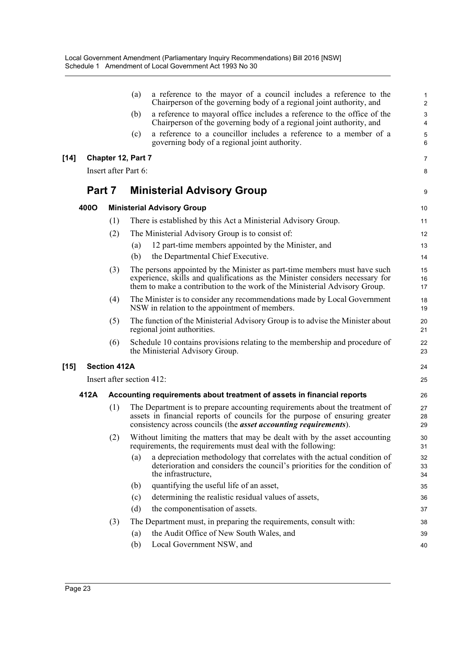|        |        |                           | (a) | a reference to the mayor of a council includes a reference to the<br>Chairperson of the governing body of a regional joint authority, and                                                                                                | $\mathbf{1}$<br>2 |
|--------|--------|---------------------------|-----|------------------------------------------------------------------------------------------------------------------------------------------------------------------------------------------------------------------------------------------|-------------------|
|        |        |                           | (b) | a reference to mayoral office includes a reference to the office of the<br>Chairperson of the governing body of a regional joint authority, and                                                                                          | 3<br>4            |
|        |        |                           | (c) | a reference to a councillor includes a reference to a member of a<br>governing body of a regional joint authority.                                                                                                                       | 5<br>6            |
| $[14]$ |        | <b>Chapter 12, Part 7</b> |     |                                                                                                                                                                                                                                          | $\overline{7}$    |
|        |        | Insert after Part 6:      |     |                                                                                                                                                                                                                                          | 8                 |
|        | Part 7 |                           |     | <b>Ministerial Advisory Group</b>                                                                                                                                                                                                        | 9                 |
|        | 400O   |                           |     | <b>Ministerial Advisory Group</b>                                                                                                                                                                                                        | 10                |
|        |        | (1)                       |     | There is established by this Act a Ministerial Advisory Group.                                                                                                                                                                           | 11                |
|        |        | (2)                       |     | The Ministerial Advisory Group is to consist of:                                                                                                                                                                                         | 12                |
|        |        |                           | (a) | 12 part-time members appointed by the Minister, and                                                                                                                                                                                      | 13                |
|        |        |                           | (b) | the Departmental Chief Executive.                                                                                                                                                                                                        | 14                |
|        |        | (3)                       |     | The persons appointed by the Minister as part-time members must have such<br>experience, skills and qualifications as the Minister considers necessary for<br>them to make a contribution to the work of the Ministerial Advisory Group. | 15<br>16<br>17    |
|        |        | (4)                       |     | The Minister is to consider any recommendations made by Local Government<br>NSW in relation to the appointment of members.                                                                                                               | 18<br>19          |
|        |        | (5)                       |     | The function of the Ministerial Advisory Group is to advise the Minister about<br>regional joint authorities.                                                                                                                            | 20<br>21          |
|        |        | (6)                       |     | Schedule 10 contains provisions relating to the membership and procedure of<br>the Ministerial Advisory Group.                                                                                                                           | 22<br>23          |
| $[15]$ |        | <b>Section 412A</b>       |     |                                                                                                                                                                                                                                          | 24                |
|        |        | Insert after section 412: |     |                                                                                                                                                                                                                                          | 25                |
|        | 412A   |                           |     | Accounting requirements about treatment of assets in financial reports                                                                                                                                                                   | 26                |
|        |        | (1)                       |     | The Department is to prepare accounting requirements about the treatment of<br>assets in financial reports of councils for the purpose of ensuring greater<br>consistency across councils (the <i>asset accounting requirements</i> ).   | 27<br>28<br>29    |
|        |        | (2)                       |     | Without limiting the matters that may be dealt with by the asset accounting<br>requirements, the requirements must deal with the following:                                                                                              | 30<br>31          |
|        |        |                           | (a) | a depreciation methodology that correlates with the actual condition of<br>deterioration and considers the council's priorities for the condition of<br>the infrastructure,                                                              | 32<br>33<br>34    |
|        |        |                           | (b) | quantifying the useful life of an asset,                                                                                                                                                                                                 | 35                |
|        |        |                           | (c) | determining the realistic residual values of assets,                                                                                                                                                                                     | 36                |
|        |        |                           | (d) | the componentisation of assets.                                                                                                                                                                                                          | 37                |
|        |        | (3)                       |     | The Department must, in preparing the requirements, consult with:                                                                                                                                                                        | 38                |
|        |        |                           | (a) | the Audit Office of New South Wales, and                                                                                                                                                                                                 | 39                |
|        |        |                           | (b) | Local Government NSW, and                                                                                                                                                                                                                | 40                |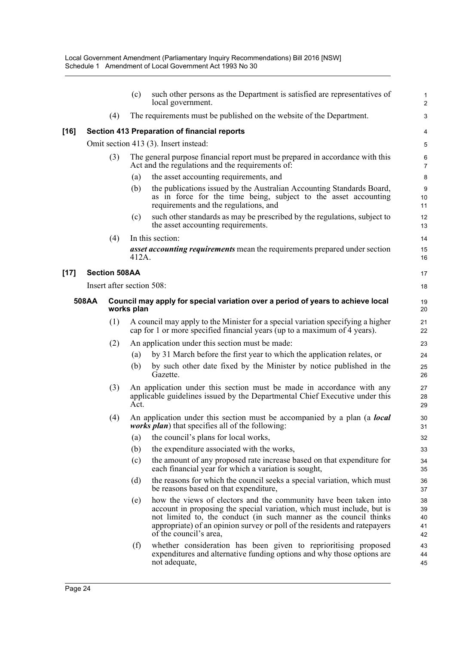|        |       |                           | (c)                                                                                           | such other persons as the Department is satisfied are representatives of<br>local government.                                                                                                                                                                                                                          | 1<br>$\overline{2}$        |
|--------|-------|---------------------------|-----------------------------------------------------------------------------------------------|------------------------------------------------------------------------------------------------------------------------------------------------------------------------------------------------------------------------------------------------------------------------------------------------------------------------|----------------------------|
|        |       | (4)                       |                                                                                               | The requirements must be published on the website of the Department.                                                                                                                                                                                                                                                   | $\mathsf 3$                |
| [16]   |       |                           |                                                                                               | Section 413 Preparation of financial reports                                                                                                                                                                                                                                                                           | 4                          |
|        |       |                           |                                                                                               | Omit section 413 (3). Insert instead:                                                                                                                                                                                                                                                                                  | 5                          |
|        |       | (3)                       |                                                                                               | The general purpose financial report must be prepared in accordance with this<br>Act and the regulations and the requirements of:                                                                                                                                                                                      | 6<br>$\overline{7}$        |
|        |       |                           | (a)                                                                                           | the asset accounting requirements, and                                                                                                                                                                                                                                                                                 | 8                          |
|        |       |                           | (b)                                                                                           | the publications issued by the Australian Accounting Standards Board,<br>as in force for the time being, subject to the asset accounting<br>requirements and the regulations, and                                                                                                                                      | 9<br>10<br>11              |
|        |       |                           | (c)                                                                                           | such other standards as may be prescribed by the regulations, subject to<br>the asset accounting requirements.                                                                                                                                                                                                         | 12<br>13                   |
|        |       | (4)                       |                                                                                               | In this section:                                                                                                                                                                                                                                                                                                       | 14                         |
|        |       |                           | 412A.                                                                                         | <i>asset accounting requirements</i> mean the requirements prepared under section                                                                                                                                                                                                                                      | 15<br>16                   |
| $[17]$ |       | <b>Section 508AA</b>      |                                                                                               |                                                                                                                                                                                                                                                                                                                        | 17                         |
|        |       | Insert after section 508: |                                                                                               |                                                                                                                                                                                                                                                                                                                        | 18                         |
|        | 508AA |                           | Council may apply for special variation over a period of years to achieve local<br>works plan |                                                                                                                                                                                                                                                                                                                        |                            |
|        |       | (1)                       |                                                                                               | A council may apply to the Minister for a special variation specifying a higher<br>cap for 1 or more specified financial years (up to a maximum of 4 years).                                                                                                                                                           | 21<br>22                   |
|        |       | (2)                       |                                                                                               | An application under this section must be made:                                                                                                                                                                                                                                                                        | 23                         |
|        |       |                           | (a)                                                                                           | by 31 March before the first year to which the application relates, or                                                                                                                                                                                                                                                 | 24                         |
|        |       |                           | (b)                                                                                           | by such other date fixed by the Minister by notice published in the<br>Gazette.                                                                                                                                                                                                                                        | 25<br>26                   |
|        |       | (3)                       | Act.                                                                                          | An application under this section must be made in accordance with any<br>applicable guidelines issued by the Departmental Chief Executive under this                                                                                                                                                                   | 27<br>28<br>29             |
|        |       | (4)                       |                                                                                               | An application under this section must be accompanied by a plan (a <b>local</b><br><i>works plan</i> ) that specifies all of the following:                                                                                                                                                                            | 30<br>31                   |
|        |       |                           | (a)                                                                                           | the council's plans for local works,                                                                                                                                                                                                                                                                                   | 32                         |
|        |       |                           | (b)                                                                                           | the expenditure associated with the works,                                                                                                                                                                                                                                                                             | 33                         |
|        |       |                           | (c)                                                                                           | the amount of any proposed rate increase based on that expenditure for<br>each financial year for which a variation is sought,                                                                                                                                                                                         | 34<br>35                   |
|        |       |                           | (d)                                                                                           | the reasons for which the council seeks a special variation, which must<br>be reasons based on that expenditure,                                                                                                                                                                                                       | 36<br>37                   |
|        |       |                           | (e)                                                                                           | how the views of electors and the community have been taken into<br>account in proposing the special variation, which must include, but is<br>not limited to, the conduct (in such manner as the council thinks<br>appropriate) of an opinion survey or poll of the residents and ratepayers<br>of the council's area, | 38<br>39<br>40<br>41<br>42 |
|        |       |                           | (f)                                                                                           | whether consideration has been given to reprioritising proposed<br>expenditures and alternative funding options and why those options are<br>not adequate,                                                                                                                                                             | 43<br>44<br>45             |

**[17]**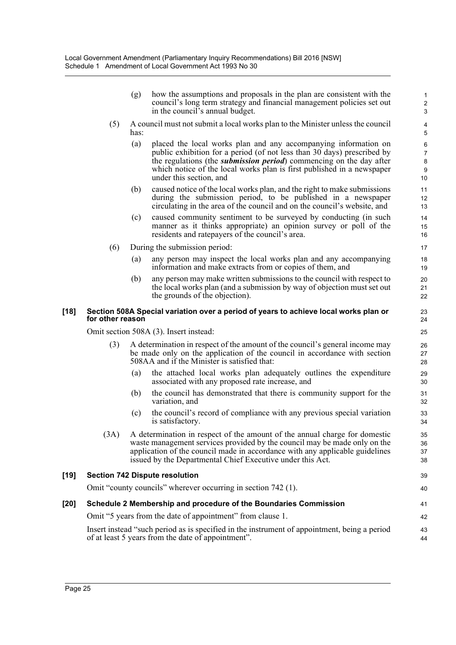| (g) | how the assumptions and proposals in the plan are consistent with the<br>council's long term strategy and financial management policies set out<br>in the council's annual budget. |
|-----|------------------------------------------------------------------------------------------------------------------------------------------------------------------------------------|
|     |                                                                                                                                                                                    |

39 40

- (5) A council must not submit a local works plan to the Minister unless the council has:
	- (a) placed the local works plan and any accompanying information on public exhibition for a period (of not less than 30 days) prescribed by the regulations (the *submission period*) commencing on the day after which notice of the local works plan is first published in a newspaper under this section, and
	- (b) caused notice of the local works plan, and the right to make submissions during the submission period, to be published in a newspaper circulating in the area of the council and on the council's website, and
	- (c) caused community sentiment to be surveyed by conducting (in such manner as it thinks appropriate) an opinion survey or poll of the residents and ratepayers of the council's area.
- (6) During the submission period:
	- (a) any person may inspect the local works plan and any accompanying information and make extracts from or copies of them, and
	- (b) any person may make written submissions to the council with respect to the local works plan (and a submission by way of objection must set out the grounds of the objection).

#### **[18] Section 508A Special variation over a period of years to achieve local works plan or for other reason**

Omit section 508A (3). Insert instead:

- (3) A determination in respect of the amount of the council's general income may be made only on the application of the council in accordance with section 508AA and if the Minister is satisfied that:
	- (a) the attached local works plan adequately outlines the expenditure associated with any proposed rate increase, and
	- (b) the council has demonstrated that there is community support for the variation, and
	- (c) the council's record of compliance with any previous special variation is satisfactory.
- (3A) A determination in respect of the amount of the annual charge for domestic waste management services provided by the council may be made only on the application of the council made in accordance with any applicable guidelines issued by the Departmental Chief Executive under this Act.

#### **[19] Section 742 Dispute resolution**

Omit "county councils" wherever occurring in section 742 (1).

### **[20] Schedule 2 Membership and procedure of the Boundaries Commission**

Omit "5 years from the date of appointment" from clause 1.

Insert instead "such period as is specified in the instrument of appointment, being a period of at least 5 years from the date of appointment".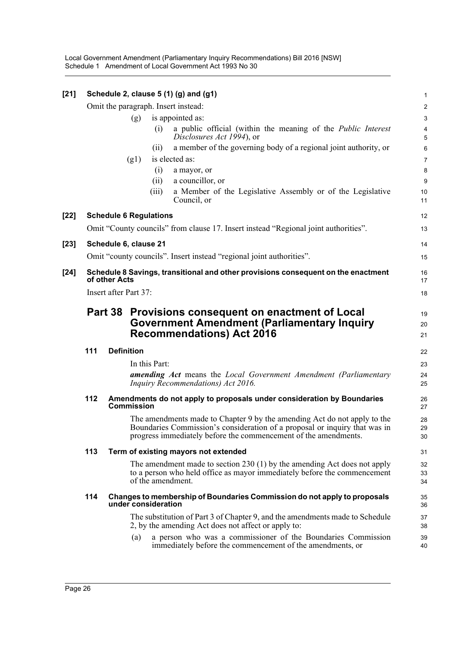Local Government Amendment (Parliamentary Inquiry Recommendations) Bill 2016 [NSW] Schedule 1 Amendment of Local Government Act 1993 No 30

| $[21]$ |                                                                                                    |                               | Schedule 2, clause 5 (1) (g) and (g1)                                                                                                                                                                                     | 1                            |  |  |  |  |  |
|--------|----------------------------------------------------------------------------------------------------|-------------------------------|---------------------------------------------------------------------------------------------------------------------------------------------------------------------------------------------------------------------------|------------------------------|--|--|--|--|--|
|        |                                                                                                    |                               | Omit the paragraph. Insert instead:                                                                                                                                                                                       | $\overline{c}$               |  |  |  |  |  |
|        |                                                                                                    | (g)                           | is appointed as:                                                                                                                                                                                                          | 3                            |  |  |  |  |  |
|        |                                                                                                    |                               | a public official (within the meaning of the <i>Public Interest</i><br>(i)<br>Disclosures Act 1994), or                                                                                                                   | $\overline{\mathbf{4}}$<br>5 |  |  |  |  |  |
|        |                                                                                                    |                               | a member of the governing body of a regional joint authority, or<br>(i)                                                                                                                                                   | 6                            |  |  |  |  |  |
|        |                                                                                                    | (g1)                          | is elected as:                                                                                                                                                                                                            | $\overline{7}$               |  |  |  |  |  |
|        |                                                                                                    |                               | (i)<br>a mayor, or                                                                                                                                                                                                        | 8                            |  |  |  |  |  |
|        |                                                                                                    |                               | a councillor, or<br>(ii)                                                                                                                                                                                                  | $\boldsymbol{9}$             |  |  |  |  |  |
|        |                                                                                                    |                               | a Member of the Legislative Assembly or of the Legislative<br>(iii)<br>Council, or                                                                                                                                        | 10<br>11                     |  |  |  |  |  |
| $[22]$ |                                                                                                    | <b>Schedule 6 Regulations</b> |                                                                                                                                                                                                                           | 12                           |  |  |  |  |  |
|        |                                                                                                    |                               | Omit "County councils" from clause 17. Insert instead "Regional joint authorities".                                                                                                                                       | 13                           |  |  |  |  |  |
| $[23]$ |                                                                                                    | Schedule 6, clause 21         |                                                                                                                                                                                                                           | 14                           |  |  |  |  |  |
|        |                                                                                                    |                               | Omit "county councils". Insert instead "regional joint authorities".                                                                                                                                                      | 15                           |  |  |  |  |  |
| $[24]$ | Schedule 8 Savings, transitional and other provisions consequent on the enactment<br>of other Acts |                               |                                                                                                                                                                                                                           |                              |  |  |  |  |  |
|        |                                                                                                    | Insert after Part 37:         |                                                                                                                                                                                                                           | 18                           |  |  |  |  |  |
|        | Provisions consequent on enactment of Local<br>Part 38                                             |                               |                                                                                                                                                                                                                           |                              |  |  |  |  |  |
|        | <b>Government Amendment (Parliamentary Inquiry</b>                                                 |                               |                                                                                                                                                                                                                           |                              |  |  |  |  |  |
|        | <b>Recommendations) Act 2016</b>                                                                   | 20<br>21                      |                                                                                                                                                                                                                           |                              |  |  |  |  |  |
|        | 111                                                                                                | <b>Definition</b>             |                                                                                                                                                                                                                           | 22                           |  |  |  |  |  |
|        |                                                                                                    |                               | In this Part:                                                                                                                                                                                                             | 23                           |  |  |  |  |  |
|        |                                                                                                    |                               | <b>amending Act</b> means the Local Government Amendment (Parliamentary<br>Inquiry Recommendations) Act 2016.                                                                                                             | 24<br>25                     |  |  |  |  |  |
|        | 112                                                                                                | <b>Commission</b>             | Amendments do not apply to proposals under consideration by Boundaries                                                                                                                                                    | 26<br>27                     |  |  |  |  |  |
|        |                                                                                                    |                               | The amendments made to Chapter 9 by the amending Act do not apply to the<br>Boundaries Commission's consideration of a proposal or inquiry that was in<br>progress immediately before the commencement of the amendments. | 28<br>29<br>30               |  |  |  |  |  |
|        | 113                                                                                                |                               | Term of existing mayors not extended                                                                                                                                                                                      | 31                           |  |  |  |  |  |
|        |                                                                                                    |                               | The amendment made to section $230(1)$ by the amending Act does not apply<br>to a person who held office as mayor immediately before the commencement<br>of the amendment.                                                |                              |  |  |  |  |  |
|        | 114                                                                                                | under consideration           | Changes to membership of Boundaries Commission do not apply to proposals                                                                                                                                                  | 35<br>36                     |  |  |  |  |  |
|        |                                                                                                    |                               | The substitution of Part 3 of Chapter 9, and the amendments made to Schedule<br>2, by the amending Act does not affect or apply to:                                                                                       | 37<br>38                     |  |  |  |  |  |
|        |                                                                                                    | (a)                           | a person who was a commissioner of the Boundaries Commission<br>immediately before the commencement of the amendments, or                                                                                                 | 39<br>40                     |  |  |  |  |  |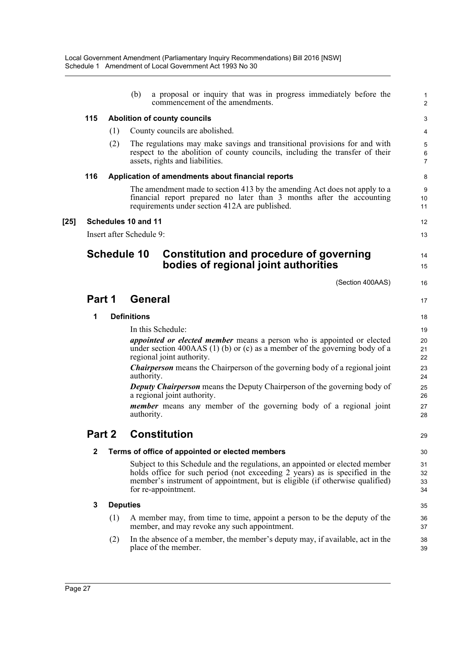|        |              |     | (b)                      | a proposal or inquiry that was in progress immediately before the<br>commencement of the amendments.                                                                                                                                                               | 1<br>$\overline{a}$      |
|--------|--------------|-----|--------------------------|--------------------------------------------------------------------------------------------------------------------------------------------------------------------------------------------------------------------------------------------------------------------|--------------------------|
|        | 115          |     |                          | <b>Abolition of county councils</b>                                                                                                                                                                                                                                | 3                        |
|        |              | (1) |                          | County councils are abolished.                                                                                                                                                                                                                                     | 4                        |
|        |              | (2) |                          | The regulations may make savings and transitional provisions for and with<br>respect to the abolition of county councils, including the transfer of their<br>assets, rights and liabilities.                                                                       | 5<br>6<br>$\overline{7}$ |
|        | 116          |     |                          | Application of amendments about financial reports                                                                                                                                                                                                                  | 8                        |
|        |              |     |                          | The amendment made to section 413 by the amending Act does not apply to a<br>financial report prepared no later than 3 months after the accounting<br>requirements under section 412A are published.                                                               | 9<br>10<br>11            |
| $[25]$ |              |     | Schedules 10 and 11      |                                                                                                                                                                                                                                                                    | 12                       |
|        |              |     | Insert after Schedule 9: |                                                                                                                                                                                                                                                                    | 13                       |
|        |              |     | <b>Schedule 10</b>       | <b>Constitution and procedure of governing</b><br>bodies of regional joint authorities                                                                                                                                                                             | 14<br>15                 |
|        |              |     |                          | (Section 400AAS)                                                                                                                                                                                                                                                   | 16                       |
|        | Part 1       |     | <b>General</b>           |                                                                                                                                                                                                                                                                    | 17                       |
|        | 1            |     | <b>Definitions</b>       |                                                                                                                                                                                                                                                                    | 18                       |
|        |              |     |                          | In this Schedule:                                                                                                                                                                                                                                                  | 19                       |
|        |              |     |                          | <i>appointed or elected member</i> means a person who is appointed or elected<br>under section 400AAS $(1)$ (b) or $(c)$ as a member of the governing body of a<br>regional joint authority.                                                                       | 20<br>21<br>22           |
|        |              |     | authority.               | <b>Chairperson</b> means the Chairperson of the governing body of a regional joint                                                                                                                                                                                 | 23<br>24                 |
|        |              |     |                          | <b>Deputy Chairperson</b> means the Deputy Chairperson of the governing body of<br>a regional joint authority.                                                                                                                                                     | 25<br>26                 |
|        |              |     | authority.               | <i>member</i> means any member of the governing body of a regional joint                                                                                                                                                                                           | 27<br>28                 |
|        | Part 2       |     |                          | <b>Constitution</b>                                                                                                                                                                                                                                                | 29                       |
|        | $\mathbf{2}$ |     |                          | Terms of office of appointed or elected members                                                                                                                                                                                                                    | 30                       |
|        |              |     |                          | Subject to this Schedule and the regulations, an appointed or elected member<br>holds office for such period (not exceeding 2 years) as is specified in the<br>member's instrument of appointment, but is eligible (if otherwise qualified)<br>for re-appointment. | 31<br>32<br>33<br>34     |
|        | 3            |     | <b>Deputies</b>          |                                                                                                                                                                                                                                                                    | 35                       |
|        |              | (1) |                          | A member may, from time to time, appoint a person to be the deputy of the<br>member, and may revoke any such appointment.                                                                                                                                          | 36<br>37                 |
|        |              | (2) |                          | In the absence of a member, the member's deputy may, if available, act in the<br>place of the member.                                                                                                                                                              | 38<br>39                 |
|        |              |     |                          |                                                                                                                                                                                                                                                                    |                          |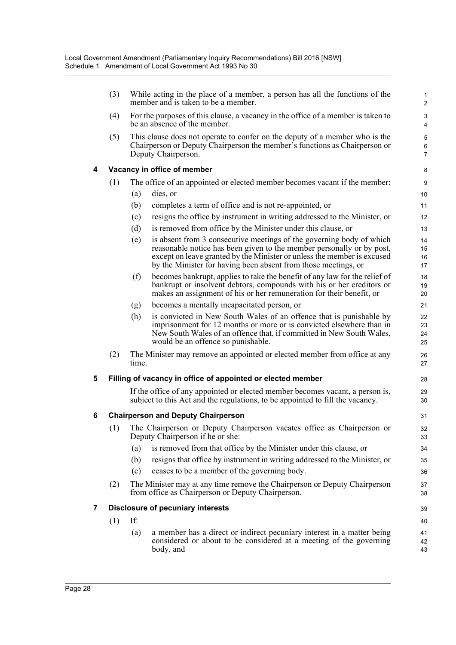|   | (3) |       | While acting in the place of a member, a person has all the functions of the<br>member and is taken to be a member.                                                              | $\mathbf{1}$<br>$\overline{2}$ |
|---|-----|-------|----------------------------------------------------------------------------------------------------------------------------------------------------------------------------------|--------------------------------|
|   | (4) |       | For the purposes of this clause, a vacancy in the office of a member is taken to<br>be an absence of the member.                                                                 | 3<br>4                         |
|   | (5) |       | This clause does not operate to confer on the deputy of a member who is the<br>Chairperson or Deputy Chairperson the member's functions as Chairperson or<br>Deputy Chairperson. | 5<br>6<br>$\overline{7}$       |
| 4 |     |       | Vacancy in office of member                                                                                                                                                      | 8                              |
|   | (1) |       | The office of an appointed or elected member becomes vacant if the member:                                                                                                       | 9                              |
|   |     | (a)   | dies, or                                                                                                                                                                         | 10                             |
|   |     | (b)   | completes a term of office and is not re-appointed, or                                                                                                                           | 11                             |
|   |     | (c)   | resigns the office by instrument in writing addressed to the Minister, or                                                                                                        | 12                             |
|   |     | (d)   | is removed from office by the Minister under this clause, or                                                                                                                     | 13                             |
|   |     | (e)   | is absent from 3 consecutive meetings of the governing body of which                                                                                                             | 14                             |
|   |     |       | reasonable notice has been given to the member personally or by post,<br>except on leave granted by the Minister or unless the member is excused                                 | 15<br>16                       |
|   |     |       | by the Minister for having been absent from those meetings, or                                                                                                                   | 17                             |
|   |     | (f)   | becomes bankrupt, applies to take the benefit of any law for the relief of                                                                                                       | 18                             |
|   |     |       | bankrupt or insolvent debtors, compounds with his or her creditors or                                                                                                            | 19                             |
|   |     |       | makes an assignment of his or her remuneration for their benefit, or                                                                                                             | 20                             |
|   |     | (g)   | becomes a mentally incapacitated person, or                                                                                                                                      | 21                             |
|   |     | (h)   | is convicted in New South Wales of an offence that is punishable by<br>imprisonment for 12 months or more or is convicted elsewhere than in                                      | 22<br>23                       |
|   |     |       | New South Wales of an offence that, if committed in New South Wales,<br>would be an offence so punishable.                                                                       | 24<br>25                       |
|   | (2) | time. | The Minister may remove an appointed or elected member from office at any                                                                                                        | 26<br>27                       |
| 5 |     |       | Filling of vacancy in office of appointed or elected member                                                                                                                      | 28                             |
|   |     |       | If the office of any appointed or elected member becomes vacant, a person is,<br>subject to this Act and the regulations, to be appointed to fill the vacancy.                   | 29<br>30                       |
| 6 |     |       | <b>Chairperson and Deputy Chairperson</b>                                                                                                                                        | 31                             |
|   |     |       | (1) The Chairperson or Deputy Chairperson vacates office as Chairperson or<br>Deputy Chairperson if he or she:                                                                   | 32<br>33                       |
|   |     | (a)   | is removed from that office by the Minister under this clause, or                                                                                                                | 34                             |
|   |     | (b)   | resigns that office by instrument in writing addressed to the Minister, or                                                                                                       | 35                             |
|   |     | (c)   | ceases to be a member of the governing body.                                                                                                                                     | 36                             |
|   | (2) |       | The Minister may at any time remove the Chairperson or Deputy Chairperson<br>from office as Chairperson or Deputy Chairperson.                                                   | 37<br>38                       |
| 7 |     |       | <b>Disclosure of pecuniary interests</b>                                                                                                                                         | 39                             |
|   | (1) | If:   |                                                                                                                                                                                  | 40                             |
|   |     | (a)   | a member has a direct or indirect pecuniary interest in a matter being<br>considered or about to be considered at a meeting of the governing<br>body, and                        | 41<br>42<br>43                 |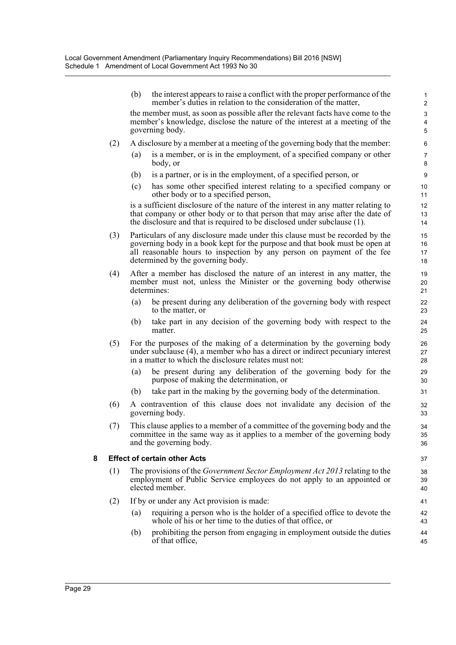|   |     | (b) | the interest appears to raise a conflict with the proper performance of the<br>member's duties in relation to the consideration of the matter,                                                                                                                             | 1<br>$\overline{2}$               |
|---|-----|-----|----------------------------------------------------------------------------------------------------------------------------------------------------------------------------------------------------------------------------------------------------------------------------|-----------------------------------|
|   |     |     | the member must, as soon as possible after the relevant facts have come to the<br>member's knowledge, disclose the nature of the interest at a meeting of the<br>governing body.                                                                                           | 3<br>$\overline{\mathbf{r}}$<br>5 |
|   | (2) |     | A disclosure by a member at a meeting of the governing body that the member:                                                                                                                                                                                               | $6\phantom{1}6$                   |
|   |     | (a) | is a member, or is in the employment, of a specified company or other<br>body, or                                                                                                                                                                                          | $\overline{7}$<br>8               |
|   |     | (b) | is a partner, or is in the employment, of a specified person, or                                                                                                                                                                                                           | 9                                 |
|   |     | (c) | has some other specified interest relating to a specified company or<br>other body or to a specified person,                                                                                                                                                               | 10<br>11                          |
|   |     |     | is a sufficient disclosure of the nature of the interest in any matter relating to<br>that company or other body or to that person that may arise after the date of<br>the disclosure and that is required to be disclosed under subclause (1).                            | 12<br>13<br>14                    |
|   | (3) |     | Particulars of any disclosure made under this clause must be recorded by the<br>governing body in a book kept for the purpose and that book must be open at<br>all reasonable hours to inspection by any person on payment of the fee<br>determined by the governing body. | 15<br>16<br>17<br>18              |
|   | (4) |     | After a member has disclosed the nature of an interest in any matter, the<br>member must not, unless the Minister or the governing body otherwise<br>determines:                                                                                                           | 19<br>20<br>21                    |
|   |     | (a) | be present during any deliberation of the governing body with respect<br>to the matter, or                                                                                                                                                                                 | 22<br>23                          |
|   |     | (b) | take part in any decision of the governing body with respect to the<br>matter.                                                                                                                                                                                             | 24<br>25                          |
|   | (5) |     | For the purposes of the making of a determination by the governing body<br>under subclause (4), a member who has a direct or indirect pecuniary interest<br>in a matter to which the disclosure relates must not:                                                          | 26<br>27<br>28                    |
|   |     | (a) | be present during any deliberation of the governing body for the<br>purpose of making the determination, or                                                                                                                                                                | 29<br>30                          |
|   |     | (b) | take part in the making by the governing body of the determination.                                                                                                                                                                                                        | 31                                |
|   | (6) |     | A contravention of this clause does not invalidate any decision of the<br>governing body.                                                                                                                                                                                  | 32<br>33                          |
|   | (7) |     | This clause applies to a member of a committee of the governing body and the<br>committee in the same way as it applies to a member of the governing body<br>and the governing body.                                                                                       | 34<br>35<br>36                    |
| 8 |     |     | <b>Effect of certain other Acts</b>                                                                                                                                                                                                                                        | 37                                |
|   | (1) |     | The provisions of the <i>Government Sector Employment Act 2013</i> relating to the<br>employment of Public Service employees do not apply to an appointed or<br>elected member.                                                                                            | 38<br>39<br>40                    |
|   | (2) |     | If by or under any Act provision is made:                                                                                                                                                                                                                                  | 41                                |
|   |     | (a) | requiring a person who is the holder of a specified office to devote the<br>whole of his or her time to the duties of that office, or                                                                                                                                      | 42<br>43                          |
|   |     | (b) | prohibiting the person from engaging in employment outside the duties<br>of that office,                                                                                                                                                                                   | 44<br>45                          |
|   |     |     |                                                                                                                                                                                                                                                                            |                                   |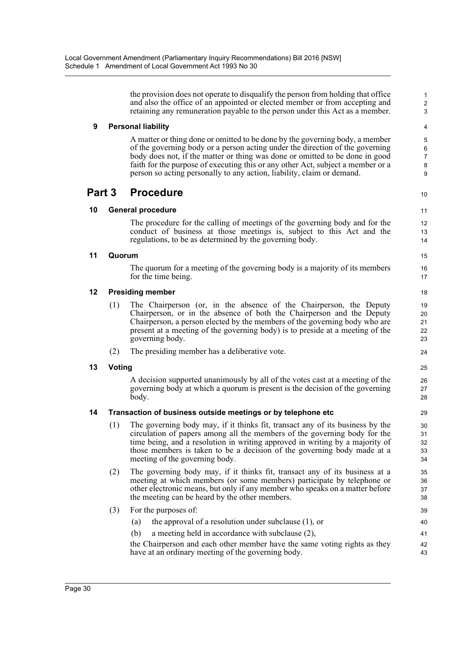the provision does not operate to disqualify the person from holding that office and also the office of an appointed or elected member or from accepting and retaining any remuneration payable to the person under this Act as a member.

10

43

#### **9 Personal liability**

A matter or thing done or omitted to be done by the governing body, a member of the governing body or a person acting under the direction of the governing body does not, if the matter or thing was done or omitted to be done in good faith for the purpose of executing this or any other Act, subject a member or a person so acting personally to any action, liability, claim or demand.

### **Part 3 Procedure**

#### **10 General procedure**

The procedure for the calling of meetings of the governing body and for the conduct of business at those meetings is, subject to this Act and the regulations, to be as determined by the governing body.

#### **11 Quorum**

The quorum for a meeting of the governing body is a majority of its members for the time being.

#### **12 Presiding member**

- (1) The Chairperson (or, in the absence of the Chairperson, the Deputy Chairperson, or in the absence of both the Chairperson and the Deputy Chairperson, a person elected by the members of the governing body who are present at a meeting of the governing body) is to preside at a meeting of the governing body.
- (2) The presiding member has a deliberative vote.

#### **13 Voting**

A decision supported unanimously by all of the votes cast at a meeting of the governing body at which a quorum is present is the decision of the governing body.

#### **14 Transaction of business outside meetings or by telephone etc**

- (1) The governing body may, if it thinks fit, transact any of its business by the circulation of papers among all the members of the governing body for the time being, and a resolution in writing approved in writing by a majority of those members is taken to be a decision of the governing body made at a meeting of the governing body.
- (2) The governing body may, if it thinks fit, transact any of its business at a meeting at which members (or some members) participate by telephone or other electronic means, but only if any member who speaks on a matter before the meeting can be heard by the other members.
- (3) For the purposes of:
	- (a) the approval of a resolution under subclause (1), or (b) a meeting held in accordance with subclause (2), 40 41 42
	- the Chairperson and each other member have the same voting rights as they have at an ordinary meeting of the governing body.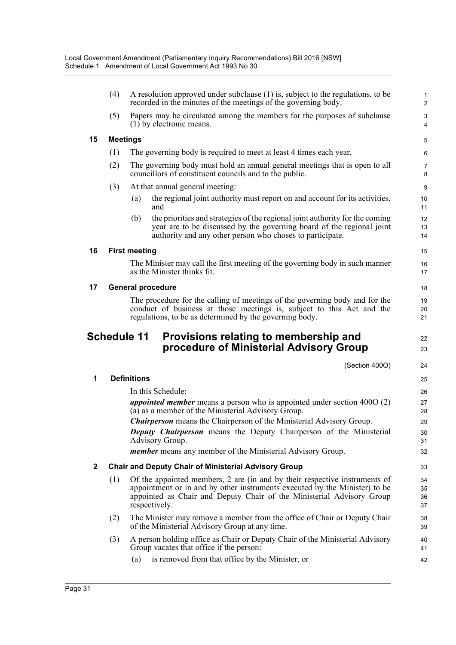|    | (4) |                      | A resolution approved under subclause (1) is, subject to the regulations, to be<br>recorded in the minutes of the meetings of the governing body.                                                                                                  | $\mathbf 1$<br>$\overline{2}$ |
|----|-----|----------------------|----------------------------------------------------------------------------------------------------------------------------------------------------------------------------------------------------------------------------------------------------|-------------------------------|
|    | (5) |                      | Papers may be circulated among the members for the purposes of subclause<br>(1) by electronic means.                                                                                                                                               | 3<br>$\overline{4}$           |
| 15 |     | <b>Meetings</b>      |                                                                                                                                                                                                                                                    | 5                             |
|    | (1) |                      | The governing body is required to meet at least 4 times each year.                                                                                                                                                                                 | 6                             |
|    | (2) |                      | The governing body must hold an annual general meetings that is open to all<br>councillors of constituent councils and to the public.                                                                                                              | 7<br>8                        |
|    | (3) |                      | At that annual general meeting:                                                                                                                                                                                                                    | 9                             |
|    |     | (a)                  | the regional joint authority must report on and account for its activities,<br>and                                                                                                                                                                 | 10<br>11                      |
|    |     | (b)                  | the priorities and strategies of the regional joint authority for the coming<br>year are to be discussed by the governing board of the regional joint<br>authority and any other person who choses to participate.                                 | 12<br>13<br>14                |
| 16 |     | <b>First meeting</b> |                                                                                                                                                                                                                                                    | 15                            |
|    |     |                      | The Minister may call the first meeting of the governing body in such manner<br>as the Minister thinks fit.                                                                                                                                        | 16<br>17                      |
| 17 |     |                      | <b>General procedure</b>                                                                                                                                                                                                                           | 18                            |
|    |     |                      | The procedure for the calling of meetings of the governing body and for the<br>conduct of business at those meetings is, subject to this Act and the<br>regulations, to be as determined by the governing body.                                    | 19<br>20<br>21                |
|    |     |                      |                                                                                                                                                                                                                                                    |                               |
|    |     | <b>Schedule 11</b>   | Provisions relating to membership and<br>procedure of Ministerial Advisory Group                                                                                                                                                                   | 22<br>23                      |
|    |     |                      | (Section 400O)                                                                                                                                                                                                                                     | 24                            |
| 1  |     | <b>Definitions</b>   |                                                                                                                                                                                                                                                    | 25                            |
|    |     |                      | In this Schedule:                                                                                                                                                                                                                                  | 26                            |
|    |     |                      | <i>appointed member</i> means a person who is appointed under section $4000(2)$<br>(a) as a member of the Ministerial Advisory Group.                                                                                                              | 27<br>28                      |
|    |     |                      | <b>Chairperson</b> means the Chairperson of the Ministerial Advisory Group.                                                                                                                                                                        | 29                            |
|    |     |                      | Deputy Chairperson means the Deputy Chairperson of the Ministerial                                                                                                                                                                                 | 30                            |
|    |     |                      | Advisory Group.<br><i>member</i> means any member of the Ministerial Advisory Group.                                                                                                                                                               | 31<br>32                      |
| 2  |     |                      | <b>Chair and Deputy Chair of Ministerial Advisory Group</b>                                                                                                                                                                                        | 33                            |
|    | (1) |                      | Of the appointed members, 2 are (in and by their respective instruments of<br>appointment or in and by other instruments executed by the Minister) to be<br>appointed as Chair and Deputy Chair of the Ministerial Advisory Group<br>respectively. | 34<br>35<br>36<br>37          |
|    | (2) |                      | The Minister may remove a member from the office of Chair or Deputy Chair<br>of the Ministerial Advisory Group at any time.                                                                                                                        | 38<br>39                      |
|    | (3) |                      | A person holding office as Chair or Deputy Chair of the Ministerial Advisory<br>Group vacates that office if the person:                                                                                                                           | 40<br>41                      |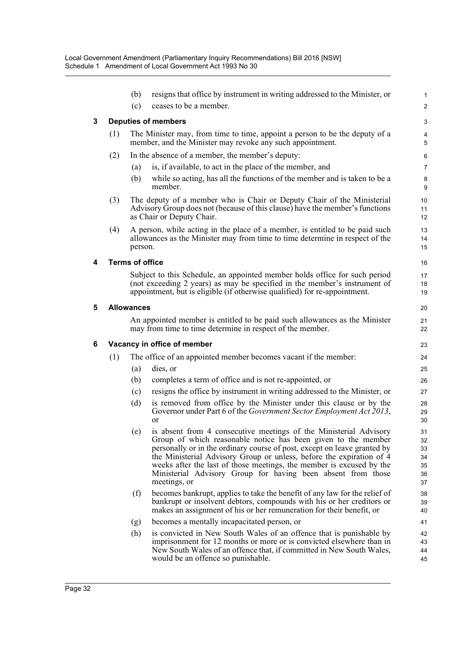|   |                            | (b)                    | resigns that office by instrument in writing addressed to the Minister, or                                                                                                                                                                                                                                                                                                                                                                         | 1                                      |  |  |  |
|---|----------------------------|------------------------|----------------------------------------------------------------------------------------------------------------------------------------------------------------------------------------------------------------------------------------------------------------------------------------------------------------------------------------------------------------------------------------------------------------------------------------------------|----------------------------------------|--|--|--|
|   |                            | (c)                    | ceases to be a member.                                                                                                                                                                                                                                                                                                                                                                                                                             | $\boldsymbol{2}$                       |  |  |  |
| 3 | <b>Deputies of members</b> |                        |                                                                                                                                                                                                                                                                                                                                                                                                                                                    |                                        |  |  |  |
|   | (1)                        |                        | The Minister may, from time to time, appoint a person to be the deputy of a<br>member, and the Minister may revoke any such appointment.                                                                                                                                                                                                                                                                                                           | $\overline{\mathbf{4}}$<br>5           |  |  |  |
|   | (2)                        |                        | In the absence of a member, the member's deputy:                                                                                                                                                                                                                                                                                                                                                                                                   | 6                                      |  |  |  |
|   |                            | (a)                    | is, if available, to act in the place of the member, and                                                                                                                                                                                                                                                                                                                                                                                           | $\overline{7}$                         |  |  |  |
|   |                            | (b)                    | while so acting, has all the functions of the member and is taken to be a<br>member.                                                                                                                                                                                                                                                                                                                                                               | 8<br>9                                 |  |  |  |
|   | (3)                        |                        | The deputy of a member who is Chair or Deputy Chair of the Ministerial<br>Advisory Group does not (because of this clause) have the member's functions<br>as Chair or Deputy Chair.                                                                                                                                                                                                                                                                | 10<br>11<br>12                         |  |  |  |
|   | (4)                        | person.                | A person, while acting in the place of a member, is entitled to be paid such<br>allowances as the Minister may from time to time determine in respect of the                                                                                                                                                                                                                                                                                       | 13<br>14<br>15                         |  |  |  |
| 4 |                            | <b>Terms of office</b> |                                                                                                                                                                                                                                                                                                                                                                                                                                                    | 16                                     |  |  |  |
|   |                            |                        | Subject to this Schedule, an appointed member holds office for such period<br>(not exceeding 2 years) as may be specified in the member's instrument of<br>appointment, but is eligible (if otherwise qualified) for re-appointment.                                                                                                                                                                                                               | 17<br>18<br>19                         |  |  |  |
| 5 |                            | <b>Allowances</b>      |                                                                                                                                                                                                                                                                                                                                                                                                                                                    | 20                                     |  |  |  |
|   |                            |                        | An appointed member is entitled to be paid such allowances as the Minister<br>may from time to time determine in respect of the member.                                                                                                                                                                                                                                                                                                            | 21<br>22                               |  |  |  |
| 6 |                            |                        | Vacancy in office of member                                                                                                                                                                                                                                                                                                                                                                                                                        | 23                                     |  |  |  |
|   | (1)                        |                        | The office of an appointed member becomes vacant if the member:                                                                                                                                                                                                                                                                                                                                                                                    | 24                                     |  |  |  |
|   |                            | (a)                    | dies, or                                                                                                                                                                                                                                                                                                                                                                                                                                           | 25                                     |  |  |  |
|   |                            | (b)                    | completes a term of office and is not re-appointed, or                                                                                                                                                                                                                                                                                                                                                                                             | 26                                     |  |  |  |
|   |                            | (c)                    | resigns the office by instrument in writing addressed to the Minister, or                                                                                                                                                                                                                                                                                                                                                                          | 27                                     |  |  |  |
|   |                            | (d)                    | is removed from office by the Minister under this clause or by the<br>Governor under Part 6 of the <i>Government Sector Employment Act 2013</i> ,<br>or                                                                                                                                                                                                                                                                                            | 28<br>29<br>30                         |  |  |  |
|   |                            |                        | (e) is absent from 4 consecutive meetings of the Ministerial Advisory<br>Group of which reasonable notice has been given to the member<br>personally or in the ordinary course of post, except on leave granted by<br>the Ministerial Advisory Group or unless, before the expiration of 4<br>weeks after the last of those meetings, the member is excused by the<br>Ministerial Advisory Group for having been absent from those<br>meetings, or | 31<br>32<br>33<br>34<br>35<br>36<br>37 |  |  |  |
|   |                            | (f)                    | becomes bankrupt, applies to take the benefit of any law for the relief of<br>bankrupt or insolvent debtors, compounds with his or her creditors or<br>makes an assignment of his or her remuneration for their benefit, or                                                                                                                                                                                                                        | 38<br>39<br>40                         |  |  |  |
|   |                            | (g)                    | becomes a mentally incapacitated person, or                                                                                                                                                                                                                                                                                                                                                                                                        | 41                                     |  |  |  |
|   |                            | (h)                    | is convicted in New South Wales of an offence that is punishable by<br>imprisonment for 12 months or more or is convicted elsewhere than in<br>New South Wales of an offence that, if committed in New South Wales,<br>would be an offence so punishable.                                                                                                                                                                                          | 42<br>43<br>44<br>45                   |  |  |  |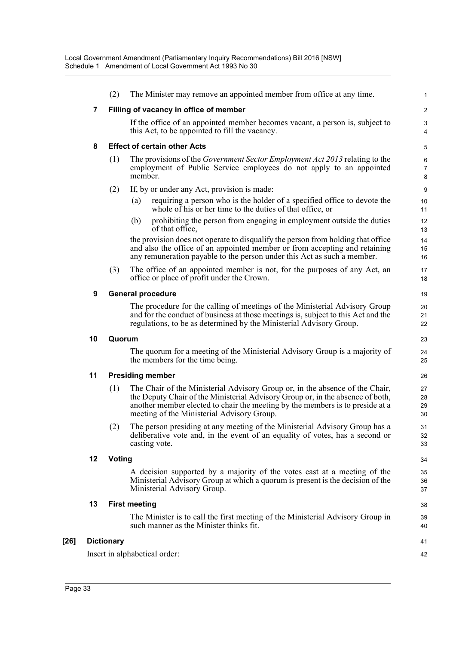|    | (2)               | The Minister may remove an appointed member from office at any time.                                                                                                                                                                                                                          | $\mathbf{1}$             |
|----|-------------------|-----------------------------------------------------------------------------------------------------------------------------------------------------------------------------------------------------------------------------------------------------------------------------------------------|--------------------------|
| 7  |                   | Filling of vacancy in office of member                                                                                                                                                                                                                                                        | $\overline{2}$           |
|    |                   | If the office of an appointed member becomes vacant, a person is, subject to<br>this Act, to be appointed to fill the vacancy.                                                                                                                                                                | 3<br>4                   |
| 8  |                   | <b>Effect of certain other Acts</b>                                                                                                                                                                                                                                                           | 5                        |
|    | (1)               | The provisions of the Government Sector Employment Act 2013 relating to the<br>employment of Public Service employees do not apply to an appointed<br>member.                                                                                                                                 | 6<br>$\overline{7}$<br>8 |
|    | (2)               | If, by or under any Act, provision is made:                                                                                                                                                                                                                                                   | 9                        |
|    |                   | requiring a person who is the holder of a specified office to devote the<br>(a)<br>whole of his or her time to the duties of that office, or                                                                                                                                                  | 10<br>11                 |
|    |                   | prohibiting the person from engaging in employment outside the duties<br>(b)<br>of that office,                                                                                                                                                                                               | 12<br>13                 |
|    |                   | the provision does not operate to disqualify the person from holding that office<br>and also the office of an appointed member or from accepting and retaining<br>any remuneration payable to the person under this Act as such a member.                                                     | 14<br>15<br>16           |
|    | (3)               | The office of an appointed member is not, for the purposes of any Act, an<br>office or place of profit under the Crown.                                                                                                                                                                       | 17<br>18                 |
| 9  |                   | <b>General procedure</b>                                                                                                                                                                                                                                                                      | 19                       |
|    |                   | The procedure for the calling of meetings of the Ministerial Advisory Group<br>and for the conduct of business at those meetings is, subject to this Act and the<br>regulations, to be as determined by the Ministerial Advisory Group.                                                       | 20<br>21<br>22           |
|    |                   |                                                                                                                                                                                                                                                                                               |                          |
| 10 | Quorum            |                                                                                                                                                                                                                                                                                               | 23                       |
|    |                   | The quorum for a meeting of the Ministerial Advisory Group is a majority of<br>the members for the time being.                                                                                                                                                                                | 24<br>25                 |
| 11 |                   | <b>Presiding member</b>                                                                                                                                                                                                                                                                       | 26                       |
|    | (1)               | The Chair of the Ministerial Advisory Group or, in the absence of the Chair,<br>the Deputy Chair of the Ministerial Advisory Group or, in the absence of both,<br>another member elected to chair the meeting by the members is to preside at a<br>meeting of the Ministerial Advisory Group. | 27<br>28<br>29<br>30     |
|    | (2)               | The person presiding at any meeting of the Ministerial Advisory Group has a<br>deliberative vote and, in the event of an equality of votes, has a second or<br>casting vote.                                                                                                                  | 31<br>32<br>33           |
| 12 | <b>Voting</b>     |                                                                                                                                                                                                                                                                                               | 34                       |
|    |                   | A decision supported by a majority of the votes cast at a meeting of the<br>Ministerial Advisory Group at which a quorum is present is the decision of the<br>Ministerial Advisory Group.                                                                                                     | 35<br>36<br>37           |
| 13 |                   | <b>First meeting</b>                                                                                                                                                                                                                                                                          | 38                       |
|    |                   | The Minister is to call the first meeting of the Ministerial Advisory Group in<br>such manner as the Minister thinks fit.                                                                                                                                                                     | 39<br>40                 |
|    | <b>Dictionary</b> |                                                                                                                                                                                                                                                                                               | 41                       |

**[26] Dictionary**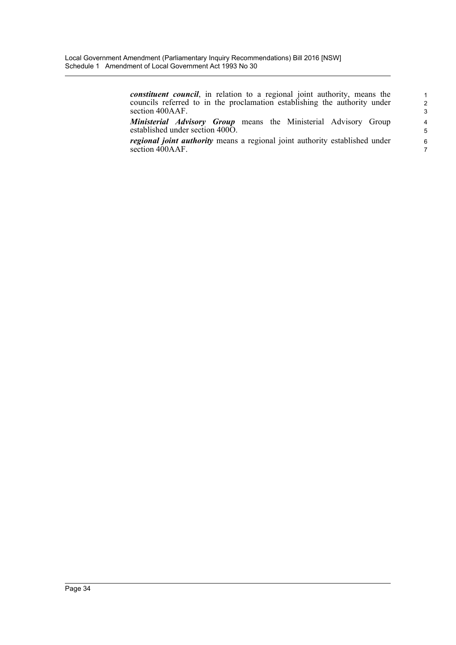*constituent council*, in relation to a regional joint authority, means the councils referred to in the proclamation establishing the authority under section 400AAF.

*Ministerial Advisory Group* means the Ministerial Advisory Group established under section 400O.

*regional joint authority* means a regional joint authority established under section  $400AAF$ .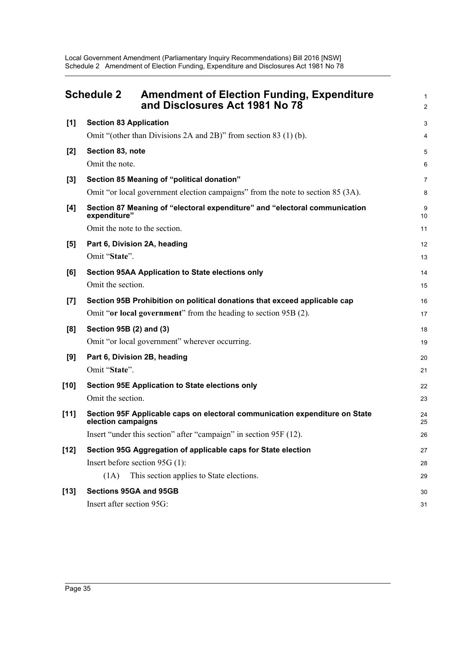Local Government Amendment (Parliamentary Inquiry Recommendations) Bill 2016 [NSW] Schedule 2 Amendment of Election Funding, Expenditure and Disclosures Act 1981 No 78

<span id="page-42-0"></span>

|        | <b>Schedule 2</b><br><b>Amendment of Election Funding, Expenditure</b><br>and Disclosures Act 1981 No 78 | 1<br>$\overline{a}$ |
|--------|----------------------------------------------------------------------------------------------------------|---------------------|
| [1]    | <b>Section 83 Application</b>                                                                            | 3                   |
|        | Omit "(other than Divisions 2A and 2B)" from section 83 (1) (b).                                         | 4                   |
| [2]    | Section 83, note                                                                                         | 5                   |
|        | Omit the note.                                                                                           | 6                   |
| $[3]$  | Section 85 Meaning of "political donation"                                                               | 7                   |
|        | Omit "or local government election campaigns" from the note to section 85 (3A).                          | 8                   |
| [4]    | Section 87 Meaning of "electoral expenditure" and "electoral communication<br>expenditure"               | 9<br>10             |
|        | Omit the note to the section.                                                                            | 11                  |
| [5]    | Part 6, Division 2A, heading                                                                             | 12                  |
|        | Omit "State".                                                                                            | 13                  |
| [6]    | <b>Section 95AA Application to State elections only</b>                                                  | 14                  |
|        | Omit the section.                                                                                        | 15                  |
| [7]    | Section 95B Prohibition on political donations that exceed applicable cap                                | 16                  |
|        | Omit "or local government" from the heading to section 95B (2).                                          | 17                  |
| [8]    | Section 95B (2) and (3)                                                                                  | 18                  |
|        | Omit "or local government" wherever occurring.                                                           | 19                  |
| [9]    | Part 6, Division 2B, heading                                                                             | 20                  |
|        | Omit "State".                                                                                            | 21                  |
| $[10]$ | Section 95E Application to State elections only                                                          | 22                  |
|        | Omit the section.                                                                                        | 23                  |
| $[11]$ | Section 95F Applicable caps on electoral communication expenditure on State<br>election campaigns        | 24<br>25            |
|        | Insert "under this section" after "campaign" in section 95F (12).                                        | 26                  |
| $[12]$ | Section 95G Aggregation of applicable caps for State election                                            | 27                  |
|        | Insert before section 95G (1):                                                                           | 28                  |
|        | (1A)<br>This section applies to State elections.                                                         | 29                  |
| $[13]$ | Sections 95GA and 95GB                                                                                   | 30                  |
|        | Insert after section 95G:                                                                                | 31                  |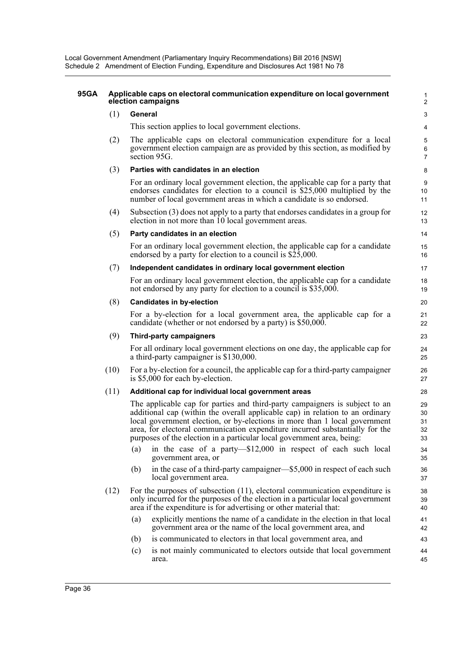Local Government Amendment (Parliamentary Inquiry Recommendations) Bill 2016 [NSW] Schedule 2 Amendment of Election Funding, Expenditure and Disclosures Act 1981 No 78

#### **95GA Applicable caps on electoral communication expenditure on local government election campaigns**

#### (1) **General**

This section applies to local government elections.

(2) The applicable caps on electoral communication expenditure for a local government election campaign are as provided by this section, as modified by section 95G.

#### (3) **Parties with candidates in an election**

For an ordinary local government election, the applicable cap for a party that endorses candidates for election to a council is \$25,000 multiplied by the number of local government areas in which a candidate is so endorsed.

(4) Subsection (3) does not apply to a party that endorses candidates in a group for election in not more than 10 local government areas.

#### (5) **Party candidates in an election**

For an ordinary local government election, the applicable cap for a candidate endorsed by a party for election to a council is \$25,000.

#### (7) **Independent candidates in ordinary local government election**

For an ordinary local government election, the applicable cap for a candidate not endorsed by any party for election to a council is \$35,000.

#### (8) **Candidates in by-election**

For a by-election for a local government area, the applicable cap for a candidate (whether or not endorsed by a party) is \$50,000.

#### (9) **Third-party campaigners**

For all ordinary local government elections on one day, the applicable cap for a third-party campaigner is \$130,000.

(10) For a by-election for a council, the applicable cap for a third-party campaigner is \$5,000 for each by-election.

#### (11) **Additional cap for individual local government areas**

The applicable cap for parties and third-party campaigners is subject to an additional cap (within the overall applicable cap) in relation to an ordinary local government election, or by-elections in more than 1 local government area, for electoral communication expenditure incurred substantially for the purposes of the election in a particular local government area, being:

- (a) in the case of a party—\$12,000 in respect of each such local government area, or
- (b) in the case of a third-party campaigner—\$5,000 in respect of each such local government area.
- (12) For the purposes of subsection (11), electoral communication expenditure is only incurred for the purposes of the election in a particular local government area if the expenditure is for advertising or other material that:
	- (a) explicitly mentions the name of a candidate in the election in that local government area or the name of the local government area, and
	- (b) is communicated to electors in that local government area, and
	- (c) is not mainly communicated to electors outside that local government area. 44 45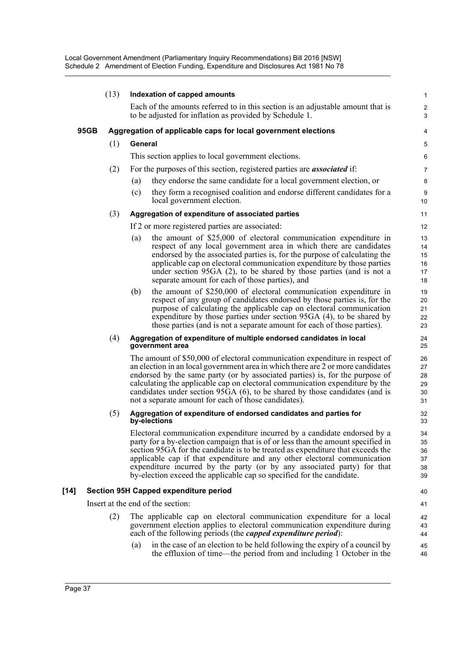|        | (13) |         | Indexation of capped amounts                                                                                                                                                                                                                                                                                                                                                                                                                                                     | $\mathbf{1}$                           |
|--------|------|---------|----------------------------------------------------------------------------------------------------------------------------------------------------------------------------------------------------------------------------------------------------------------------------------------------------------------------------------------------------------------------------------------------------------------------------------------------------------------------------------|----------------------------------------|
|        |      |         | Each of the amounts referred to in this section is an adjustable amount that is<br>to be adjusted for inflation as provided by Schedule 1.                                                                                                                                                                                                                                                                                                                                       | $\overline{\mathbf{c}}$<br>$\mathsf 3$ |
|        | 95GB |         | Aggregation of applicable caps for local government elections                                                                                                                                                                                                                                                                                                                                                                                                                    | 4                                      |
|        | (1)  | General |                                                                                                                                                                                                                                                                                                                                                                                                                                                                                  | 5                                      |
|        |      |         | This section applies to local government elections.                                                                                                                                                                                                                                                                                                                                                                                                                              | 6                                      |
|        | (2)  |         | For the purposes of this section, registered parties are <i>associated</i> if:                                                                                                                                                                                                                                                                                                                                                                                                   | $\overline{7}$                         |
|        |      | (a)     | they endorse the same candidate for a local government election, or                                                                                                                                                                                                                                                                                                                                                                                                              | 8                                      |
|        |      | (c)     | they form a recognised coalition and endorse different candidates for a<br>local government election.                                                                                                                                                                                                                                                                                                                                                                            | 9<br>10                                |
|        | (3)  |         | Aggregation of expenditure of associated parties                                                                                                                                                                                                                                                                                                                                                                                                                                 | 11                                     |
|        |      |         | If 2 or more registered parties are associated:                                                                                                                                                                                                                                                                                                                                                                                                                                  | 12                                     |
|        |      | (a)     | the amount of \$25,000 of electoral communication expenditure in<br>respect of any local government area in which there are candidates<br>endorsed by the associated parties is, for the purpose of calculating the<br>applicable cap on electoral communication expenditure by those parties<br>under section $95GA$ (2), to be shared by those parties (and is not a<br>separate amount for each of those parties), and                                                        | 13<br>14<br>15<br>16<br>17<br>18       |
|        |      | (b)     | the amount of \$250,000 of electoral communication expenditure in<br>respect of any group of candidates endorsed by those parties is, for the<br>purpose of calculating the applicable cap on electoral communication<br>expenditure by those parties under section 95GA (4), to be shared by<br>those parties (and is not a separate amount for each of those parties).                                                                                                         | 19<br>20<br>21<br>22<br>23             |
|        | (4)  |         | Aggregation of expenditure of multiple endorsed candidates in local<br>government area                                                                                                                                                                                                                                                                                                                                                                                           | 24<br>25                               |
|        |      |         | The amount of \$50,000 of electoral communication expenditure in respect of<br>an election in an local government area in which there are 2 or more candidates<br>endorsed by the same party (or by associated parties) is, for the purpose of<br>calculating the applicable cap on electoral communication expenditure by the<br>candidates under section 95GA (6), to be shared by those candidates (and is<br>not a separate amount for each of those candidates).            | 26<br>27<br>28<br>29<br>30<br>31       |
|        | (5)  |         | Aggregation of expenditure of endorsed candidates and parties for<br>by-elections                                                                                                                                                                                                                                                                                                                                                                                                | 32<br>33                               |
|        |      |         | Electoral communication expenditure incurred by a candidate endorsed by a<br>party for a by-election campaign that is of or less than the amount specified in<br>section 95GA for the candidate is to be treated as expenditure that exceeds the<br>applicable cap if that expenditure and any other electoral communication<br>expenditure incurred by the party (or by any associated party) for that<br>by-election exceed the applicable cap so specified for the candidate. | 34<br>35<br>36<br>37<br>38<br>39       |
| $[14]$ |      |         | Section 95H Capped expenditure period                                                                                                                                                                                                                                                                                                                                                                                                                                            | 40                                     |
|        |      |         | Insert at the end of the section:                                                                                                                                                                                                                                                                                                                                                                                                                                                | 41                                     |
|        | (2)  |         | The applicable cap on electoral communication expenditure for a local<br>government election applies to electoral communication expenditure during<br>each of the following periods (the <i>capped expenditure period</i> ):                                                                                                                                                                                                                                                     | 42<br>43<br>44                         |
|        |      | (a)     | in the case of an election to be held following the expiry of a council by<br>the effluxion of time—the period from and including 1 October in the                                                                                                                                                                                                                                                                                                                               | 45<br>46                               |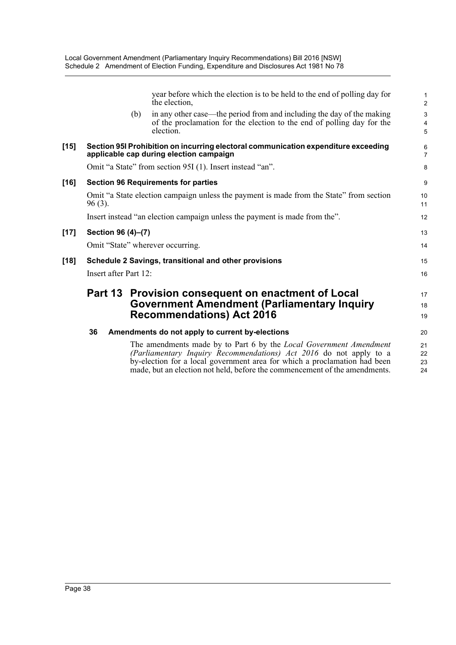|        |                                                                            |     | year before which the election is to be held to the end of polling day for<br>the election,                                                                                                                           | $\mathbf{1}$<br>$\overline{2}$ |  |
|--------|----------------------------------------------------------------------------|-----|-----------------------------------------------------------------------------------------------------------------------------------------------------------------------------------------------------------------------|--------------------------------|--|
|        |                                                                            | (b) | in any other case—the period from and including the day of the making<br>of the proclamation for the election to the end of polling day for the<br>election.                                                          | $\mathsf 3$<br>4<br>5          |  |
| $[15]$ |                                                                            |     | Section 95I Prohibition on incurring electoral communication expenditure exceeding<br>applicable cap during election campaign                                                                                         | 6<br>$\overline{7}$            |  |
|        |                                                                            |     | Omit "a State" from section 95I (1). Insert instead "an".                                                                                                                                                             | 8                              |  |
| $[16]$ |                                                                            |     | <b>Section 96 Requirements for parties</b>                                                                                                                                                                            | 9                              |  |
|        | $96(3)$ .                                                                  |     | Omit "a State election campaign unless the payment is made from the State" from section                                                                                                                               | 10<br>11                       |  |
|        | Insert instead "an election campaign unless the payment is made from the". |     |                                                                                                                                                                                                                       |                                |  |
| $[17]$ | Section 96 (4)-(7)                                                         |     |                                                                                                                                                                                                                       | 13                             |  |
|        |                                                                            |     | Omit "State" wherever occurring.                                                                                                                                                                                      | 14                             |  |
| $[18]$ |                                                                            |     | Schedule 2 Savings, transitional and other provisions                                                                                                                                                                 | 15                             |  |
|        | Insert after Part 12:                                                      |     |                                                                                                                                                                                                                       | 16                             |  |
|        |                                                                            |     | Part 13 Provision consequent on enactment of Local                                                                                                                                                                    | 17                             |  |
|        |                                                                            |     | <b>Government Amendment (Parliamentary Inquiry</b>                                                                                                                                                                    | 18                             |  |
|        |                                                                            |     | <b>Recommendations) Act 2016</b>                                                                                                                                                                                      | 19                             |  |
|        | 36                                                                         |     | Amendments do not apply to current by-elections                                                                                                                                                                       | 20                             |  |
|        |                                                                            |     | The amendments made by to Part 6 by the Local Government Amendment<br>(Parliamentary Inquiry Recommendations) Act 2016 do not apply to a<br>by-election for a local government area for which a proclamation had been | 21<br>22<br>23                 |  |

made, but an election not held, before the commencement of the amendments.

24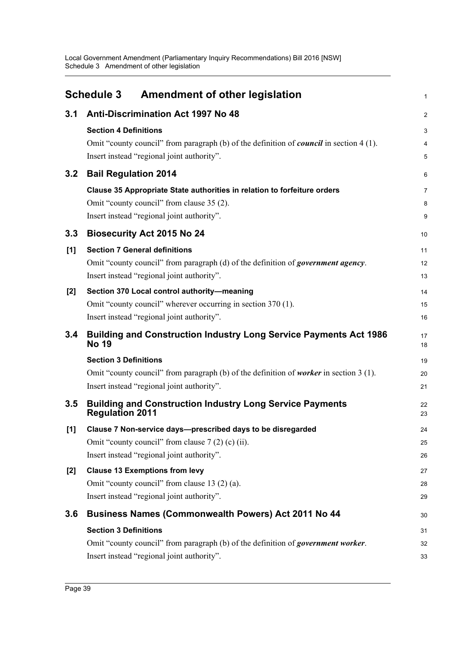<span id="page-46-0"></span>

|       | Amendment of other legislation<br><b>Schedule 3</b>                                              | 1              |
|-------|--------------------------------------------------------------------------------------------------|----------------|
| 3.1   | <b>Anti-Discrimination Act 1997 No 48</b>                                                        | $\overline{c}$ |
|       | <b>Section 4 Definitions</b>                                                                     | 3              |
|       | Omit "county council" from paragraph (b) of the definition of <i>council</i> in section $4(1)$ . | 4              |
|       | Insert instead "regional joint authority".                                                       | 5              |
| 3.2   | <b>Bail Regulation 2014</b>                                                                      | 6              |
|       | Clause 35 Appropriate State authorities in relation to forfeiture orders                         | 7              |
|       | Omit "county council" from clause 35 (2).                                                        | 8              |
|       | Insert instead "regional joint authority".                                                       | 9              |
| 3.3   | <b>Biosecurity Act 2015 No 24</b>                                                                | 10             |
| [1]   | <b>Section 7 General definitions</b>                                                             | 11             |
|       | Omit "county council" from paragraph (d) of the definition of government agency.                 | 12             |
|       | Insert instead "regional joint authority".                                                       | 13             |
| $[2]$ | Section 370 Local control authority-meaning                                                      | 14             |
|       | Omit "county council" wherever occurring in section 370 (1).                                     | 15             |
|       | Insert instead "regional joint authority".                                                       | 16             |
| 3.4   | <b>Building and Construction Industry Long Service Payments Act 1986</b><br><b>No 19</b>         | 17<br>18       |
|       | <b>Section 3 Definitions</b>                                                                     | 19             |
|       | Omit "county council" from paragraph (b) of the definition of worker in section 3 (1).           | 20             |
|       | Insert instead "regional joint authority".                                                       | 21             |
| 3.5   | <b>Building and Construction Industry Long Service Payments</b><br><b>Regulation 2011</b>        | 22<br>23       |
| $[1]$ | Clause 7 Non-service days-prescribed days to be disregarded                                      | 24             |
|       | Omit "county council" from clause $7(2)$ (c) (ii).                                               | 25             |
|       | Insert instead "regional joint authority".                                                       | 26             |
| $[2]$ | <b>Clause 13 Exemptions from levy</b>                                                            | 27             |
|       | Omit "county council" from clause 13 (2) (a).                                                    | 28             |
|       | Insert instead "regional joint authority".                                                       | 29             |
| 3.6   | <b>Business Names (Commonwealth Powers) Act 2011 No 44</b>                                       | 30             |
|       | <b>Section 3 Definitions</b>                                                                     | 31             |
|       | Omit "county council" from paragraph (b) of the definition of government worker.                 | 32             |
|       | Insert instead "regional joint authority".                                                       | 33             |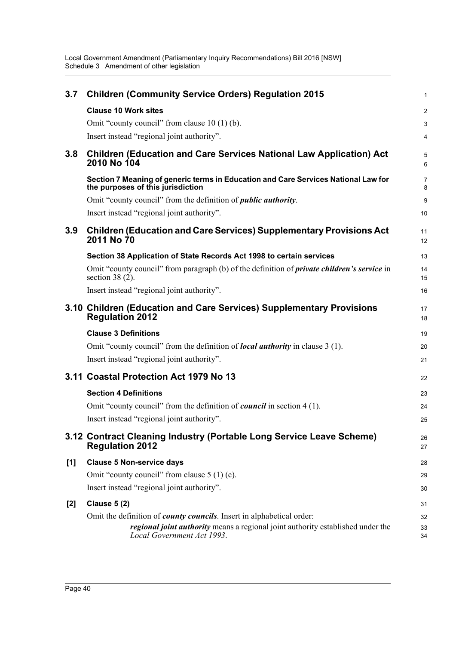| 3.7   | <b>Children (Community Service Orders) Regulation 2015</b>                                                                                                                                     | $\mathbf{1}$        |
|-------|------------------------------------------------------------------------------------------------------------------------------------------------------------------------------------------------|---------------------|
|       | <b>Clause 10 Work sites</b>                                                                                                                                                                    | $\overline{2}$      |
|       | Omit "county council" from clause 10 (1) (b).                                                                                                                                                  | 3                   |
|       | Insert instead "regional joint authority".                                                                                                                                                     | 4                   |
| 3.8   | <b>Children (Education and Care Services National Law Application) Act</b><br>2010 No 104                                                                                                      | 5<br>6              |
|       | Section 7 Meaning of generic terms in Education and Care Services National Law for<br>the purposes of this jurisdiction                                                                        | $\overline{7}$<br>8 |
|       | Omit "county council" from the definition of <i>public authority</i> .                                                                                                                         | 9                   |
|       | Insert instead "regional joint authority".                                                                                                                                                     | 10                  |
| 3.9   | <b>Children (Education and Care Services) Supplementary Provisions Act</b><br>2011 No 70                                                                                                       | 11<br>12            |
|       | Section 38 Application of State Records Act 1998 to certain services                                                                                                                           | 13                  |
|       | Omit "county council" from paragraph (b) of the definition of <i>private children's service</i> in<br>section 38 $(2)$ .                                                                       | 14<br>15            |
|       | Insert instead "regional joint authority".                                                                                                                                                     | 16                  |
|       | 3.10 Children (Education and Care Services) Supplementary Provisions<br><b>Regulation 2012</b>                                                                                                 | 17<br>18            |
|       | <b>Clause 3 Definitions</b>                                                                                                                                                                    | 19                  |
|       | Omit "county council" from the definition of <i>local authority</i> in clause 3 (1).                                                                                                           | 20                  |
|       | Insert instead "regional joint authority".                                                                                                                                                     | 21                  |
|       | 3.11 Coastal Protection Act 1979 No 13                                                                                                                                                         | 22                  |
|       | <b>Section 4 Definitions</b>                                                                                                                                                                   | 23                  |
|       | Omit "county council" from the definition of <i>council</i> in section 4 (1).                                                                                                                  | 24                  |
|       | Insert instead "regional joint authority".                                                                                                                                                     | 25                  |
|       | 3.12 Contract Cleaning Industry (Portable Long Service Leave Scheme)<br><b>Regulation 2012</b>                                                                                                 | 26<br>27            |
| [1]   | <b>Clause 5 Non-service days</b>                                                                                                                                                               | 28                  |
|       | Omit "county council" from clause $5(1)(c)$ .                                                                                                                                                  | 29                  |
|       | Insert instead "regional joint authority".                                                                                                                                                     | 30                  |
| $[2]$ | <b>Clause 5 (2)</b>                                                                                                                                                                            | 31                  |
|       | Omit the definition of <i>county councils</i> . Insert in alphabetical order:<br>regional joint authority means a regional joint authority established under the<br>Local Government Act 1993. | 32<br>33<br>34      |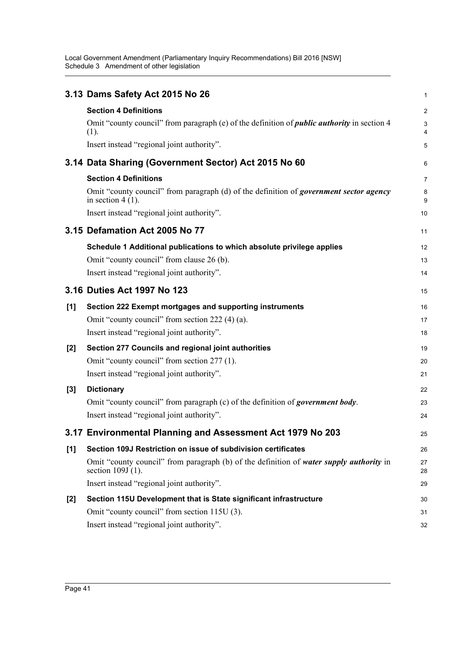|       | 3.13 Dams Safety Act 2015 No 26                                                                                | 1              |
|-------|----------------------------------------------------------------------------------------------------------------|----------------|
|       | <b>Section 4 Definitions</b>                                                                                   | $\overline{c}$ |
|       | Omit "county council" from paragraph (e) of the definition of <i>public authority</i> in section 4<br>(1).     | 3<br>4         |
|       | Insert instead "regional joint authority".                                                                     | 5              |
|       | 3.14 Data Sharing (Government Sector) Act 2015 No 60                                                           | 6              |
|       | <b>Section 4 Definitions</b>                                                                                   | 7              |
|       | Omit "county council" from paragraph (d) of the definition of government sector agency<br>in section $4(1)$ .  | 8<br>9         |
|       | Insert instead "regional joint authority".                                                                     | 10             |
|       | 3.15 Defamation Act 2005 No 77                                                                                 | 11             |
|       | Schedule 1 Additional publications to which absolute privilege applies                                         | 12             |
|       | Omit "county council" from clause 26 (b).                                                                      | 13             |
|       | Insert instead "regional joint authority".                                                                     | 14             |
|       | 3.16 Duties Act 1997 No 123                                                                                    | 15             |
| [1]   | Section 222 Exempt mortgages and supporting instruments                                                        | 16             |
|       | Omit "county council" from section 222 (4) (a).                                                                | 17             |
|       | Insert instead "regional joint authority".                                                                     | 18             |
| $[2]$ | Section 277 Councils and regional joint authorities                                                            | 19             |
|       | Omit "county council" from section 277 (1).                                                                    | 20             |
|       | Insert instead "regional joint authority".                                                                     | 21             |
| $[3]$ | <b>Dictionary</b>                                                                                              | 22             |
|       | Omit "county council" from paragraph (c) of the definition of government body.                                 | 23             |
|       | Insert instead "regional joint authority".                                                                     | 24             |
|       | 3.17 Environmental Planning and Assessment Act 1979 No 203                                                     | 25             |
| [1]   | Section 109J Restriction on issue of subdivision certificates                                                  | 26             |
|       | Omit "county council" from paragraph (b) of the definition of water supply authority in<br>section $109J(1)$ . | 27<br>28       |
|       | Insert instead "regional joint authority".                                                                     | 29             |
| [2]   | Section 115U Development that is State significant infrastructure                                              | 30             |
|       | Omit "county council" from section 115U (3).                                                                   | 31             |
|       | Insert instead "regional joint authority".                                                                     | 32             |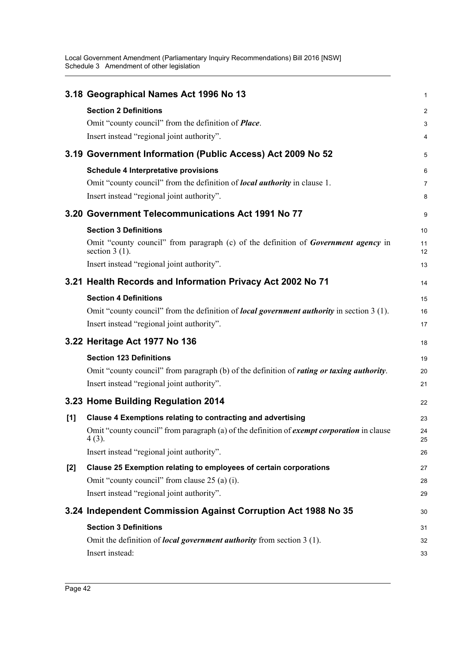|     | 3.18 Geographical Names Act 1996 No 13                                                                        | 1              |
|-----|---------------------------------------------------------------------------------------------------------------|----------------|
|     | <b>Section 2 Definitions</b>                                                                                  | $\overline{c}$ |
|     | Omit "county council" from the definition of <i>Place</i> .                                                   | 3              |
|     | Insert instead "regional joint authority".                                                                    | 4              |
|     | 3.19 Government Information (Public Access) Act 2009 No 52                                                    | 5              |
|     | <b>Schedule 4 Interpretative provisions</b>                                                                   | 6              |
|     | Omit "county council" from the definition of <i>local authority</i> in clause 1.                              | 7              |
|     | Insert instead "regional joint authority".                                                                    | 8              |
|     | 3.20 Government Telecommunications Act 1991 No 77                                                             | 9              |
|     | <b>Section 3 Definitions</b>                                                                                  | 10             |
|     | Omit "county council" from paragraph (c) of the definition of Government agency in<br>section $3(1)$ .        | 11<br>12       |
|     | Insert instead "regional joint authority".                                                                    | 13             |
|     | 3.21 Health Records and Information Privacy Act 2002 No 71                                                    | 14             |
|     | <b>Section 4 Definitions</b>                                                                                  | 15             |
|     | Omit "county council" from the definition of <i>local government authority</i> in section 3 (1).              | 16             |
|     | Insert instead "regional joint authority".                                                                    | 17             |
|     | 3.22 Heritage Act 1977 No 136                                                                                 | 18             |
|     | <b>Section 123 Definitions</b>                                                                                | 19             |
|     | Omit "county council" from paragraph (b) of the definition of <i>rating or taxing authority</i> .             | 20             |
|     | Insert instead "regional joint authority".                                                                    | 21             |
|     | 3.23 Home Building Regulation 2014                                                                            | 22             |
| [1] | Clause 4 Exemptions relating to contracting and advertising                                                   | 23             |
|     | Omit "county council" from paragraph (a) of the definition of <i>exempt corporation</i> in clause<br>$4(3)$ . | 24<br>25       |
|     | Insert instead "regional joint authority".                                                                    | 26             |
| [2] | Clause 25 Exemption relating to employees of certain corporations                                             | 27             |
|     | Omit "county council" from clause 25 (a) (i).                                                                 | 28             |
|     | Insert instead "regional joint authority".                                                                    | 29             |
|     | 3.24 Independent Commission Against Corruption Act 1988 No 35                                                 | 30             |
|     | <b>Section 3 Definitions</b>                                                                                  | 31             |
|     | Omit the definition of <i>local government authority</i> from section 3 (1).                                  | 32             |
|     | Insert instead:                                                                                               | 33             |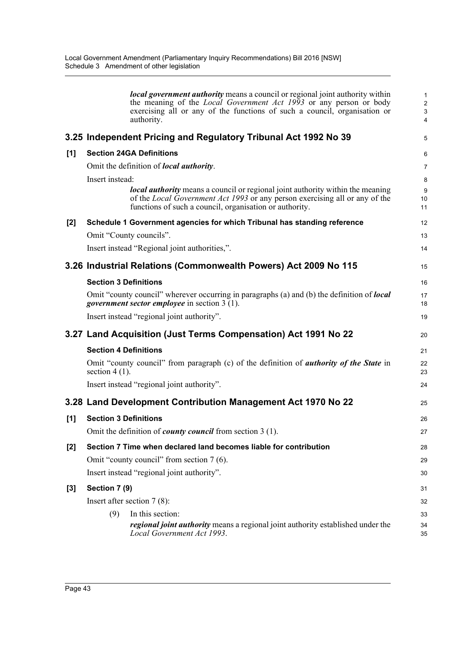|       |                              | <b><i>local government authority</i></b> means a council or regional joint authority within<br>the meaning of the <i>Local Government Act 1993</i> or any person or body<br>exercising all or any of the functions of such a council, organisation or<br>authority. | $\mathbf{1}$<br>$\overline{c}$<br>$\ensuremath{\mathsf{3}}$<br>4 |
|-------|------------------------------|---------------------------------------------------------------------------------------------------------------------------------------------------------------------------------------------------------------------------------------------------------------------|------------------------------------------------------------------|
|       |                              | 3.25 Independent Pricing and Regulatory Tribunal Act 1992 No 39                                                                                                                                                                                                     | 5                                                                |
| [1]   |                              | <b>Section 24GA Definitions</b>                                                                                                                                                                                                                                     | 6                                                                |
|       |                              | Omit the definition of <i>local authority</i> .                                                                                                                                                                                                                     | $\overline{7}$                                                   |
|       | Insert instead:              |                                                                                                                                                                                                                                                                     | 8                                                                |
|       |                              | <b><i>local authority</i></b> means a council or regional joint authority within the meaning<br>of the <i>Local Government Act 1993</i> or any person exercising all or any of the<br>functions of such a council, organisation or authority.                       | $\boldsymbol{9}$<br>10<br>11                                     |
| [2]   |                              | Schedule 1 Government agencies for which Tribunal has standing reference                                                                                                                                                                                            | 12                                                               |
|       |                              | Omit "County councils".                                                                                                                                                                                                                                             | 13                                                               |
|       |                              | Insert instead "Regional joint authorities,".                                                                                                                                                                                                                       | 14                                                               |
|       |                              | 3.26 Industrial Relations (Commonwealth Powers) Act 2009 No 115                                                                                                                                                                                                     | 15                                                               |
|       | <b>Section 3 Definitions</b> |                                                                                                                                                                                                                                                                     | 16                                                               |
|       |                              | Omit "county council" wherever occurring in paragraphs (a) and (b) the definition of <b>local</b><br><i>government sector employee</i> in section 3 (1).                                                                                                            | 17<br>18                                                         |
|       |                              | Insert instead "regional joint authority".                                                                                                                                                                                                                          | 19                                                               |
|       |                              | 3.27 Land Acquisition (Just Terms Compensation) Act 1991 No 22                                                                                                                                                                                                      | 20                                                               |
|       | <b>Section 4 Definitions</b> |                                                                                                                                                                                                                                                                     | 21                                                               |
|       | section $4(1)$ .             | Omit "county council" from paragraph (c) of the definition of <i>authority of the State</i> in                                                                                                                                                                      | 22<br>23                                                         |
|       |                              | Insert instead "regional joint authority".                                                                                                                                                                                                                          | 24                                                               |
|       |                              | 3.28 Land Development Contribution Management Act 1970 No 22                                                                                                                                                                                                        | 25                                                               |
| [1]   | <b>Section 3 Definitions</b> |                                                                                                                                                                                                                                                                     | 26                                                               |
|       |                              | Omit the definition of <i>county council</i> from section $3(1)$ .                                                                                                                                                                                                  | 27                                                               |
| $[2]$ |                              | Section 7 Time when declared land becomes liable for contribution                                                                                                                                                                                                   | 28                                                               |
|       |                              | Omit "county council" from section 7 (6).                                                                                                                                                                                                                           | 29                                                               |
|       |                              | Insert instead "regional joint authority".                                                                                                                                                                                                                          | 30                                                               |
| [3]   | Section 7 (9)                |                                                                                                                                                                                                                                                                     | 31                                                               |
|       |                              | Insert after section $7(8)$ :                                                                                                                                                                                                                                       | 32                                                               |
|       | (9)                          | In this section:<br><i>regional joint authority</i> means a regional joint authority established under the<br>Local Government Act 1993.                                                                                                                            | 33<br>34<br>35                                                   |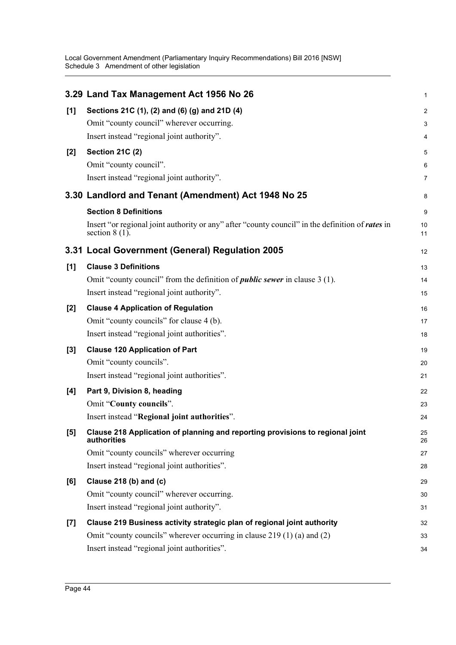|       | 3.29 Land Tax Management Act 1956 No 26                                                                              | 1                       |
|-------|----------------------------------------------------------------------------------------------------------------------|-------------------------|
| $[1]$ | Sections 21C (1), (2) and (6) (g) and 21D (4)                                                                        | $\overline{\mathbf{c}}$ |
|       | Omit "county council" wherever occurring.                                                                            | 3                       |
|       | Insert instead "regional joint authority".                                                                           | 4                       |
| $[2]$ | <b>Section 21C (2)</b>                                                                                               | 5                       |
|       | Omit "county council".                                                                                               | 6                       |
|       | Insert instead "regional joint authority".                                                                           | 7                       |
|       | 3.30 Landlord and Tenant (Amendment) Act 1948 No 25                                                                  | 8                       |
|       | <b>Section 8 Definitions</b>                                                                                         | 9                       |
|       | Insert "or regional joint authority or any" after "county council" in the definition of rates in<br>section $8(1)$ . | 10<br>11                |
|       | 3.31 Local Government (General) Regulation 2005                                                                      | 12                      |
| [1]   | <b>Clause 3 Definitions</b>                                                                                          | 13                      |
|       | Omit "county council" from the definition of <i>public sewer</i> in clause 3 (1).                                    | 14                      |
|       | Insert instead "regional joint authority".                                                                           | 15                      |
| [2]   | <b>Clause 4 Application of Regulation</b>                                                                            | 16                      |
|       | Omit "county councils" for clause 4 (b).                                                                             | 17                      |
|       | Insert instead "regional joint authorities".                                                                         | 18                      |
| $[3]$ | <b>Clause 120 Application of Part</b>                                                                                | 19                      |
|       | Omit "county councils".                                                                                              | 20                      |
|       | Insert instead "regional joint authorities".                                                                         | 21                      |
| [4]   | Part 9, Division 8, heading                                                                                          | 22                      |
|       | Omit "County councils".                                                                                              | 23                      |
|       | Insert instead "Regional joint authorities".                                                                         | 24                      |
| [5]   | Clause 218 Application of planning and reporting provisions to regional joint<br>authorities                         | 25<br>26                |
|       | Omit "county councils" wherever occurring                                                                            | 27                      |
|       | Insert instead "regional joint authorities".                                                                         | 28                      |
| [6]   | Clause 218 (b) and (c)                                                                                               | 29                      |
|       | Omit "county council" wherever occurring.                                                                            | 30                      |
|       | Insert instead "regional joint authority".                                                                           | 31                      |
| $[7]$ | Clause 219 Business activity strategic plan of regional joint authority                                              | 32                      |
|       | Omit "county councils" wherever occurring in clause 219 (1) (a) and (2)                                              | 33                      |
|       | Insert instead "regional joint authorities".                                                                         | 34                      |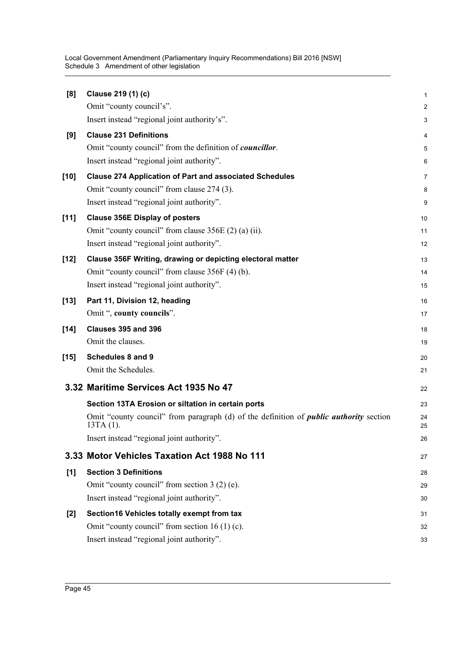| [8]    | Clause 219 (1) (c)                                                                            | 1              |
|--------|-----------------------------------------------------------------------------------------------|----------------|
|        | Omit "county council's".                                                                      | $\overline{c}$ |
|        | Insert instead "regional joint authority's".                                                  | 3              |
| [9]    | <b>Clause 231 Definitions</b>                                                                 | 4              |
|        | Omit "county council" from the definition of <i>councillor</i> .                              | 5              |
|        | Insert instead "regional joint authority".                                                    | 6              |
| $[10]$ | <b>Clause 274 Application of Part and associated Schedules</b>                                | 7              |
|        | Omit "county council" from clause 274 (3).                                                    | 8              |
|        | Insert instead "regional joint authority".                                                    | 9              |
| $[11]$ | <b>Clause 356E Display of posters</b>                                                         | 10             |
|        | Omit "county council" from clause 356E (2) (a) (ii).                                          | 11             |
|        | Insert instead "regional joint authority".                                                    | 12             |
| $[12]$ | Clause 356F Writing, drawing or depicting electoral matter                                    | 13             |
|        | Omit "county council" from clause 356F (4) (b).                                               | 14             |
|        | Insert instead "regional joint authority".                                                    | 15             |
| $[13]$ | Part 11, Division 12, heading                                                                 | 16             |
|        | Omit ", county councils".                                                                     | 17             |
| $[14]$ | Clauses 395 and 396                                                                           | 18             |
|        | Omit the clauses.                                                                             | 19             |
| $[15]$ | <b>Schedules 8 and 9</b>                                                                      | 20             |
|        | Omit the Schedules.                                                                           | 21             |
|        |                                                                                               |                |
|        | 3.32 Maritime Services Act 1935 No 47                                                         | 22             |
|        | Section 13TA Erosion or siltation in certain ports                                            | 23             |
|        | Omit "county council" from paragraph (d) of the definition of <i>public authority</i> section | 24             |
|        | $13TA(1)$ .                                                                                   | 25             |
|        | Insert instead "regional joint authority".                                                    | 26             |
|        | 3.33 Motor Vehicles Taxation Act 1988 No 111                                                  | 27             |
| [1]    | <b>Section 3 Definitions</b>                                                                  | 28             |
|        | Omit "county council" from section 3 (2) (e).                                                 | 29             |
|        | Insert instead "regional joint authority".                                                    | 30             |
| [2]    | Section16 Vehicles totally exempt from tax                                                    | 31             |
|        | Omit "county council" from section 16 (1) (c).                                                | 32             |
|        | Insert instead "regional joint authority".                                                    | 33             |
|        |                                                                                               |                |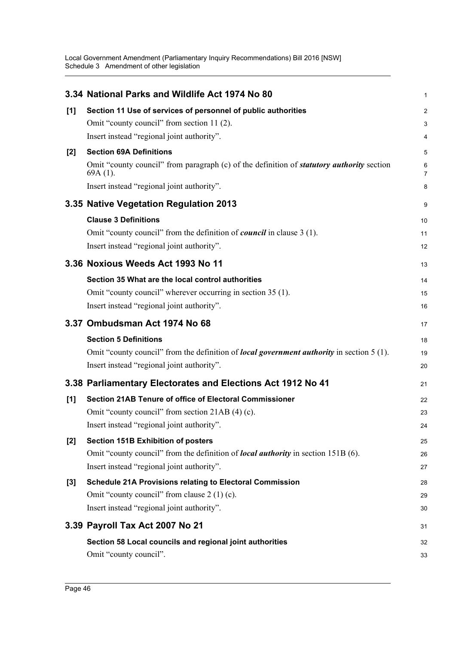|       | 3.34 National Parks and Wildlife Act 1974 No 80                                                                | 1              |
|-------|----------------------------------------------------------------------------------------------------------------|----------------|
| [1]   | Section 11 Use of services of personnel of public authorities                                                  | $\overline{c}$ |
|       | Omit "county council" from section 11 (2).                                                                     | 3              |
|       | Insert instead "regional joint authority".                                                                     | 4              |
| $[2]$ | <b>Section 69A Definitions</b>                                                                                 | 5              |
|       | Omit "county council" from paragraph (c) of the definition of <b>statutory authority</b> section<br>$69A(1)$ . | 6<br>7         |
|       | Insert instead "regional joint authority".                                                                     | 8              |
|       | 3.35 Native Vegetation Regulation 2013                                                                         | 9              |
|       | <b>Clause 3 Definitions</b>                                                                                    | 10             |
|       | Omit "county council" from the definition of <i>council</i> in clause 3 (1).                                   | 11             |
|       | Insert instead "regional joint authority".                                                                     | 12             |
|       | 3.36 Noxious Weeds Act 1993 No 11                                                                              | 13             |
|       | Section 35 What are the local control authorities                                                              | 14             |
|       | Omit "county council" wherever occurring in section 35 (1).                                                    | 15             |
|       | Insert instead "regional joint authority".                                                                     | 16             |
|       | 3.37 Ombudsman Act 1974 No 68                                                                                  | 17             |
|       | <b>Section 5 Definitions</b>                                                                                   | 18             |
|       | Omit "county council" from the definition of <i>local government authority</i> in section 5 (1).               | 19             |
|       | Insert instead "regional joint authority".                                                                     | 20             |
|       | 3.38 Parliamentary Electorates and Elections Act 1912 No 41                                                    | 21             |
| [1]   | Section 21AB Tenure of office of Electoral Commissioner                                                        | 22             |
|       | Omit "county council" from section 21AB (4) (c).                                                               | 23             |
|       | Insert instead "regional joint authority"                                                                      | 24             |
| $[2]$ | <b>Section 151B Exhibition of posters</b>                                                                      | 25             |
|       | Omit "county council" from the definition of <i>local authority</i> in section 151B (6).                       | 26             |
|       | Insert instead "regional joint authority".                                                                     | 27             |
| $[3]$ | <b>Schedule 21A Provisions relating to Electoral Commission</b>                                                | 28             |
|       | Omit "county council" from clause $2(1)(c)$ .                                                                  | 29             |
|       | Insert instead "regional joint authority".                                                                     | 30             |
|       | 3.39 Payroll Tax Act 2007 No 21                                                                                | 31             |
|       | Section 58 Local councils and regional joint authorities                                                       | 32             |
|       | Omit "county council".                                                                                         | 33             |
|       |                                                                                                                |                |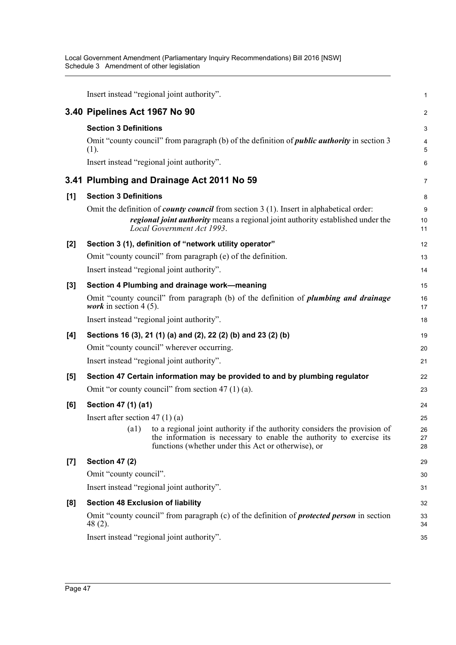|       | Insert instead "regional joint authority".                                                                                                                                                                               | $\mathbf{1}$                 |
|-------|--------------------------------------------------------------------------------------------------------------------------------------------------------------------------------------------------------------------------|------------------------------|
|       | 3.40 Pipelines Act 1967 No 90                                                                                                                                                                                            | $\overline{2}$               |
|       | <b>Section 3 Definitions</b>                                                                                                                                                                                             | 3                            |
|       | Omit "county council" from paragraph (b) of the definition of <i>public authority</i> in section 3<br>(1).                                                                                                               | $\overline{4}$<br>$\sqrt{5}$ |
|       | Insert instead "regional joint authority".                                                                                                                                                                               | 6                            |
|       | 3.41 Plumbing and Drainage Act 2011 No 59                                                                                                                                                                                | 7                            |
| [1]   | <b>Section 3 Definitions</b>                                                                                                                                                                                             | 8                            |
|       | Omit the definition of <i>county council</i> from section $3(1)$ . Insert in alphabetical order:<br><i>regional joint authority</i> means a regional joint authority established under the<br>Local Government Act 1993. | $\boldsymbol{9}$<br>10<br>11 |
| $[2]$ | Section 3 (1), definition of "network utility operator"                                                                                                                                                                  | 12                           |
|       | Omit "county council" from paragraph (e) of the definition.                                                                                                                                                              | 13                           |
|       | Insert instead "regional joint authority".                                                                                                                                                                               | 14                           |
| $[3]$ | Section 4 Plumbing and drainage work-meaning                                                                                                                                                                             | 15                           |
|       | Omit "county council" from paragraph (b) of the definition of <i>plumbing and drainage</i><br><i>work</i> in section 4 (5).                                                                                              | 16<br>17                     |
|       | Insert instead "regional joint authority".                                                                                                                                                                               | 18                           |
| [4]   | Sections 16 (3), 21 (1) (a) and (2), 22 (2) (b) and 23 (2) (b)                                                                                                                                                           | 19                           |
|       | Omit "county council" wherever occurring.                                                                                                                                                                                | 20                           |
|       | Insert instead "regional joint authority".                                                                                                                                                                               | 21                           |
| $[5]$ | Section 47 Certain information may be provided to and by plumbing regulator                                                                                                                                              | 22                           |
|       | Omit "or county council" from section 47 $(1)$ (a).                                                                                                                                                                      | 23                           |
| [6]   | Section 47 (1) (a1)                                                                                                                                                                                                      | 24                           |
|       | Insert after section 47 $(1)$ (a)                                                                                                                                                                                        | 25                           |
|       | (a1) to a regional joint authority if the authority considers the provision of<br>the information is necessary to enable the authority to exercise its<br>functions (whether under this Act or otherwise), or            | 26<br>27<br>28               |
| $[7]$ | <b>Section 47 (2)</b>                                                                                                                                                                                                    | 29                           |
|       | Omit "county council".                                                                                                                                                                                                   | 30                           |
|       | Insert instead "regional joint authority".                                                                                                                                                                               | 31                           |
| [8]   | <b>Section 48 Exclusion of liability</b>                                                                                                                                                                                 | 32                           |
|       | Omit "county council" from paragraph (c) of the definition of <b>protected person</b> in section<br>$48(2)$ .                                                                                                            | 33<br>34                     |
|       | Insert instead "regional joint authority".                                                                                                                                                                               | 35                           |
|       |                                                                                                                                                                                                                          |                              |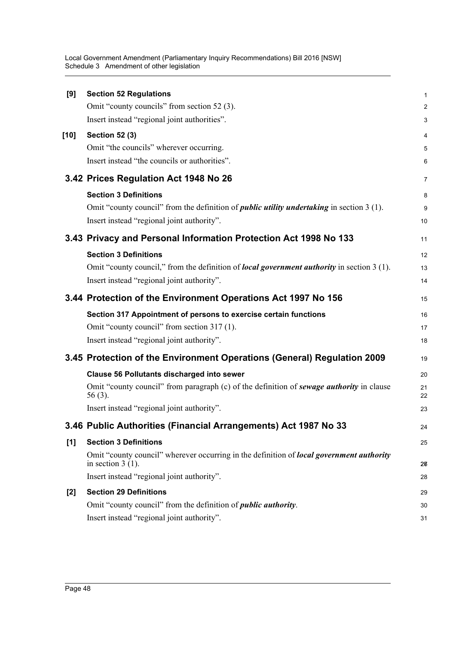| [9]   | <b>Section 52 Regulations</b>                                                                                          | $\mathbf{1}$   |
|-------|------------------------------------------------------------------------------------------------------------------------|----------------|
|       | Omit "county councils" from section 52 (3).                                                                            | $\overline{2}$ |
|       | Insert instead "regional joint authorities".                                                                           | 3              |
| [10]  | <b>Section 52 (3)</b>                                                                                                  | 4              |
|       | Omit "the councils" wherever occurring.                                                                                | 5              |
|       | Insert instead "the councils or authorities".                                                                          | 6              |
|       | 3.42 Prices Regulation Act 1948 No 26                                                                                  | $\overline{7}$ |
|       | <b>Section 3 Definitions</b>                                                                                           | 8              |
|       | Omit "county council" from the definition of <i>public utility undertaking</i> in section 3 (1).                       | 9              |
|       | Insert instead "regional joint authority".                                                                             | 10             |
|       | 3.43 Privacy and Personal Information Protection Act 1998 No 133                                                       | 11             |
|       | <b>Section 3 Definitions</b>                                                                                           | 12             |
|       | Omit "county council," from the definition of <i>local government authority</i> in section 3 (1).                      | 13             |
|       | Insert instead "regional joint authority".                                                                             | 14             |
|       | 3.44 Protection of the Environment Operations Act 1997 No 156                                                          | 15             |
|       | Section 317 Appointment of persons to exercise certain functions                                                       | 16             |
|       | Omit "county council" from section 317 (1).                                                                            | 17             |
|       | Insert instead "regional joint authority".                                                                             | 18             |
|       | 3.45 Protection of the Environment Operations (General) Regulation 2009                                                | 19             |
|       | <b>Clause 56 Pollutants discharged into sewer</b>                                                                      | 20             |
|       | Omit "county council" from paragraph (c) of the definition of sewage authority in clause<br>$56(3)$ .                  | 21<br>22       |
|       | Insert instead "regional joint authority".                                                                             | 23             |
|       | 3.46 Public Authorities (Financial Arrangements) Act 1987 No 33                                                        | 24             |
| [1]   | <b>Section 3 Definitions</b>                                                                                           | 25             |
|       | Omit "county council" wherever occurring in the definition of <i>local government authority</i><br>in section $3(1)$ . | 26             |
|       | Insert instead "regional joint authority".                                                                             | 28             |
| $[2]$ | <b>Section 29 Definitions</b>                                                                                          | 29             |
|       | Omit "county council" from the definition of <i>public authority</i> .                                                 | 30             |
|       | Insert instead "regional joint authority".                                                                             | 31             |
|       |                                                                                                                        |                |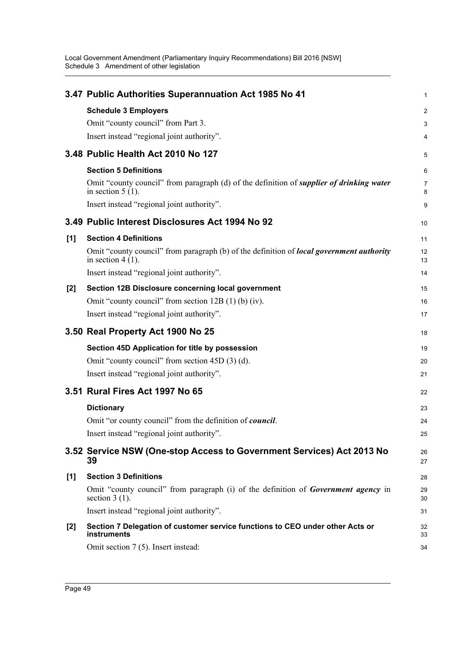|       | 3.47 Public Authorities Superannuation Act 1985 No 41                                                                  | 1              |
|-------|------------------------------------------------------------------------------------------------------------------------|----------------|
|       | <b>Schedule 3 Employers</b>                                                                                            | $\overline{2}$ |
|       | Omit "county council" from Part 3.                                                                                     | 3              |
|       | Insert instead "regional joint authority".                                                                             | 4              |
|       | 3.48 Public Health Act 2010 No 127                                                                                     | 5              |
|       | <b>Section 5 Definitions</b>                                                                                           | 6              |
|       | Omit "county council" from paragraph (d) of the definition of <i>supplier of drinking water</i><br>in section $5(1)$ . | 7<br>8         |
|       | Insert instead "regional joint authority".                                                                             | 9              |
|       | 3.49 Public Interest Disclosures Act 1994 No 92                                                                        | 10             |
| [1]   | <b>Section 4 Definitions</b>                                                                                           | 11             |
|       | Omit "county council" from paragraph (b) of the definition of <i>local government authority</i><br>in section $4(1)$ . | 12<br>13       |
|       | Insert instead "regional joint authority".                                                                             | 14             |
| $[2]$ | Section 12B Disclosure concerning local government                                                                     | 15             |
|       | Omit "county council" from section $12B(1)$ (b) (iv).                                                                  | 16             |
|       | Insert instead "regional joint authority".                                                                             | 17             |
|       |                                                                                                                        |                |
|       | 3.50 Real Property Act 1900 No 25                                                                                      | 18             |
|       | Section 45D Application for title by possession                                                                        | 19             |
|       | Omit "county council" from section 45D (3) (d).                                                                        | 20             |
|       | Insert instead "regional joint authority".                                                                             | 21             |
|       | 3.51 Rural Fires Act 1997 No 65                                                                                        | 22             |
|       | <b>Dictionary</b>                                                                                                      | 23             |
|       | Omit "or county council" from the definition of <i>council</i> .                                                       | 24             |
|       | Insert instead "regional joint authority".                                                                             | 25             |
|       | 3.52 Service NSW (One-stop Access to Government Services) Act 2013 No<br>39                                            | 26<br>27       |
| [1]   | <b>Section 3 Definitions</b>                                                                                           | 28             |
|       | Omit "county council" from paragraph (i) of the definition of <b>Government agency</b> in<br>section $3(1)$ .          | 29<br>30       |
|       | Insert instead "regional joint authority".                                                                             | 31             |
| $[2]$ | Section 7 Delegation of customer service functions to CEO under other Acts or<br>instruments                           | 32<br>33       |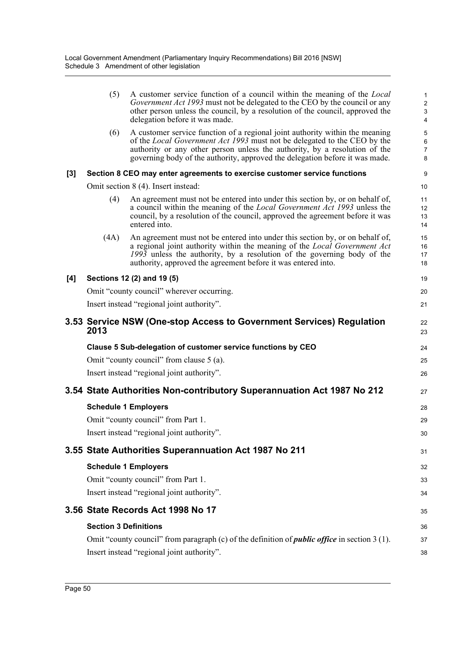|     | (5)                          | A customer service function of a council within the meaning of the <i>Local</i><br>Government Act 1993 must not be delegated to the CEO by the council or any<br>other person unless the council, by a resolution of the council, approved the<br>delegation before it was made.                                       | 1<br>$\overline{c}$<br>$\mathbf{3}$<br>$\overline{\mathbf{4}}$ |
|-----|------------------------------|------------------------------------------------------------------------------------------------------------------------------------------------------------------------------------------------------------------------------------------------------------------------------------------------------------------------|----------------------------------------------------------------|
|     | (6)                          | A customer service function of a regional joint authority within the meaning<br>of the Local Government Act 1993 must not be delegated to the CEO by the<br>authority or any other person unless the authority, by a resolution of the<br>governing body of the authority, approved the delegation before it was made. | 5<br>6<br>$\overline{7}$<br>8                                  |
| [3] |                              | Section 8 CEO may enter agreements to exercise customer service functions                                                                                                                                                                                                                                              | 9                                                              |
|     |                              | Omit section 8 (4). Insert instead:                                                                                                                                                                                                                                                                                    | 10                                                             |
|     | (4)                          | An agreement must not be entered into under this section by, or on behalf of,<br>a council within the meaning of the <i>Local Government Act 1993</i> unless the<br>council, by a resolution of the council, approved the agreement before it was<br>entered into.                                                     | 11<br>12<br>13<br>14                                           |
|     | (4A)                         | An agreement must not be entered into under this section by, or on behalf of,<br>a regional joint authority within the meaning of the Local Government Act<br>1993 unless the authority, by a resolution of the governing body of the<br>authority, approved the agreement before it was entered into.                 | 15<br>16<br>17<br>18                                           |
| [4] |                              | Sections 12 (2) and 19 (5)                                                                                                                                                                                                                                                                                             | 19                                                             |
|     |                              | Omit "county council" wherever occurring.                                                                                                                                                                                                                                                                              | 20                                                             |
|     |                              | Insert instead "regional joint authority".                                                                                                                                                                                                                                                                             | 21                                                             |
|     | 2013                         | 3.53 Service NSW (One-stop Access to Government Services) Regulation                                                                                                                                                                                                                                                   | 22<br>23                                                       |
|     |                              | Clause 5 Sub-delegation of customer service functions by CEO                                                                                                                                                                                                                                                           | 24                                                             |
|     |                              | Omit "county council" from clause 5 (a).                                                                                                                                                                                                                                                                               | 25                                                             |
|     |                              | Insert instead "regional joint authority".                                                                                                                                                                                                                                                                             | 26                                                             |
|     |                              | 3.54 State Authorities Non-contributory Superannuation Act 1987 No 212                                                                                                                                                                                                                                                 | 27                                                             |
|     |                              | <b>Schedule 1 Employers</b>                                                                                                                                                                                                                                                                                            | 28                                                             |
|     |                              | Omit "county council" from Part 1.                                                                                                                                                                                                                                                                                     | 29                                                             |
|     |                              | Insert instead "regional joint authority".                                                                                                                                                                                                                                                                             | 30                                                             |
|     |                              | 3.55 State Authorities Superannuation Act 1987 No 211                                                                                                                                                                                                                                                                  | 31                                                             |
|     |                              | <b>Schedule 1 Employers</b>                                                                                                                                                                                                                                                                                            | 32                                                             |
|     |                              | Omit "county council" from Part 1.                                                                                                                                                                                                                                                                                     | 33                                                             |
|     |                              | Insert instead "regional joint authority".                                                                                                                                                                                                                                                                             | 34                                                             |
|     |                              | 3.56 State Records Act 1998 No 17                                                                                                                                                                                                                                                                                      | 35                                                             |
|     | <b>Section 3 Definitions</b> |                                                                                                                                                                                                                                                                                                                        | 36                                                             |
|     |                              | Omit "county council" from paragraph (c) of the definition of <i>public office</i> in section 3 (1).                                                                                                                                                                                                                   | 37                                                             |
|     |                              | Insert instead "regional joint authority".                                                                                                                                                                                                                                                                             | 38                                                             |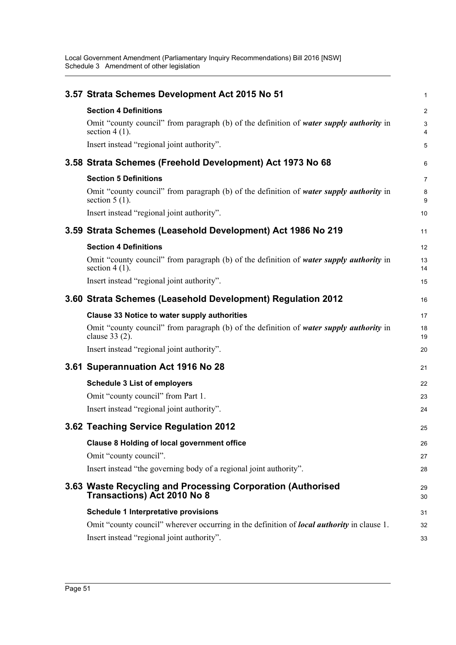| 3.57 Strata Schemes Development Act 2015 No 51                                                              | 1                   |
|-------------------------------------------------------------------------------------------------------------|---------------------|
| <b>Section 4 Definitions</b>                                                                                | $\overline{2}$      |
| Omit "county council" from paragraph (b) of the definition of water supply authority in<br>section $4(1)$ . | 3<br>$\overline{4}$ |
| Insert instead "regional joint authority".                                                                  | 5                   |
| 3.58 Strata Schemes (Freehold Development) Act 1973 No 68                                                   | 6                   |
| <b>Section 5 Definitions</b>                                                                                | 7                   |
| Omit "county council" from paragraph (b) of the definition of water supply authority in<br>section $5(1)$ . | 8<br>9              |
| Insert instead "regional joint authority".                                                                  | 10                  |
| 3.59 Strata Schemes (Leasehold Development) Act 1986 No 219                                                 | 11                  |
| <b>Section 4 Definitions</b>                                                                                | 12                  |
| Omit "county council" from paragraph (b) of the definition of water supply authority in<br>section $4(1)$ . | 13<br>14            |
| Insert instead "regional joint authority".                                                                  | 15                  |
| 3.60 Strata Schemes (Leasehold Development) Regulation 2012                                                 | 16                  |
| <b>Clause 33 Notice to water supply authorities</b>                                                         | 17                  |
| Omit "county council" from paragraph (b) of the definition of water supply authority in<br>clause $33(2)$ . | 18<br>19            |
| Insert instead "regional joint authority".                                                                  | 20                  |
| 3.61 Superannuation Act 1916 No 28                                                                          | 21                  |
| <b>Schedule 3 List of employers</b>                                                                         | 22                  |
| Omit "county council" from Part 1.                                                                          | 23                  |
| Insert instead "regional joint authority".                                                                  | 24                  |
| 3.62 Teaching Service Regulation 2012                                                                       | 25                  |
| <b>Clause 8 Holding of local government office</b>                                                          | 26                  |
| Omit "county council".                                                                                      | 27                  |
| Insert instead "the governing body of a regional joint authority".                                          | 28                  |
| 3.63 Waste Recycling and Processing Corporation (Authorised<br><b>Transactions) Act 2010 No 8</b>           | 29<br>30            |
| <b>Schedule 1 Interpretative provisions</b>                                                                 | 31                  |
| Omit "county council" wherever occurring in the definition of <i>local authority</i> in clause 1.           | 32                  |
| Insert instead "regional joint authority".                                                                  | 33                  |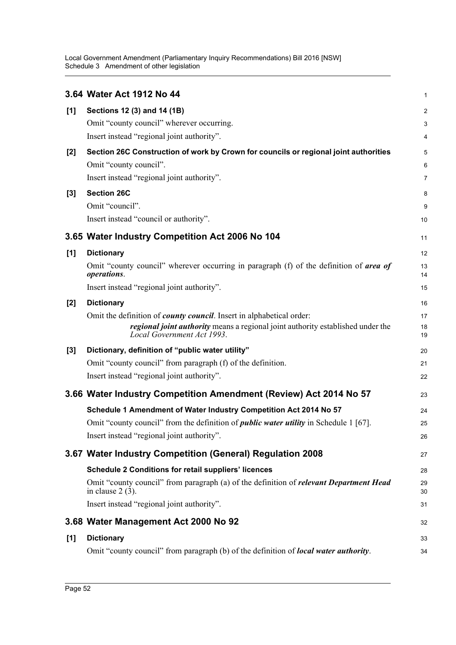|       | 3.64 Water Act 1912 No 44                                                                                                                                                                     | 1                       |
|-------|-----------------------------------------------------------------------------------------------------------------------------------------------------------------------------------------------|-------------------------|
| [1]   | Sections 12 (3) and 14 (1B)                                                                                                                                                                   | $\overline{\mathbf{c}}$ |
|       | Omit "county council" wherever occurring.                                                                                                                                                     | 3                       |
|       | Insert instead "regional joint authority".                                                                                                                                                    | 4                       |
| [2]   | Section 26C Construction of work by Crown for councils or regional joint authorities                                                                                                          | 5                       |
|       | Omit "county council".                                                                                                                                                                        | 6                       |
|       | Insert instead "regional joint authority".                                                                                                                                                    | 7                       |
| $[3]$ | <b>Section 26C</b>                                                                                                                                                                            | 8                       |
|       | Omit "council".                                                                                                                                                                               | 9                       |
|       | Insert instead "council or authority".                                                                                                                                                        | 10                      |
|       | 3.65 Water Industry Competition Act 2006 No 104                                                                                                                                               | 11                      |
| [1]   | <b>Dictionary</b>                                                                                                                                                                             | 12                      |
|       | Omit "county council" wherever occurring in paragraph (f) of the definition of <b>area of</b><br>operations.                                                                                  | 13<br>14                |
|       | Insert instead "regional joint authority".                                                                                                                                                    | 15                      |
| $[2]$ | <b>Dictionary</b>                                                                                                                                                                             | 16                      |
|       | Omit the definition of <i>county council</i> . Insert in alphabetical order:<br>regional joint authority means a regional joint authority established under the<br>Local Government Act 1993. | 17<br>18<br>19          |
| $[3]$ | Dictionary, definition of "public water utility"                                                                                                                                              | 20                      |
|       | Omit "county council" from paragraph (f) of the definition.                                                                                                                                   | 21                      |
|       | Insert instead "regional joint authority".                                                                                                                                                    | 22                      |
|       | 3.66 Water Industry Competition Amendment (Review) Act 2014 No 57                                                                                                                             | 23                      |
|       | Schedule 1 Amendment of Water Industry Competition Act 2014 No 57                                                                                                                             | 24                      |
|       | Omit "county council" from the definition of <i>public water utility</i> in Schedule 1 [67].                                                                                                  | 25                      |
|       | Insert instead "regional joint authority".                                                                                                                                                    | 26                      |
|       | 3.67 Water Industry Competition (General) Regulation 2008                                                                                                                                     | 27                      |
|       | <b>Schedule 2 Conditions for retail suppliers' licences</b>                                                                                                                                   | 28                      |
|       | Omit "county council" from paragraph (a) of the definition of <i>relevant Department Head</i><br>in clause $2(3)$ .                                                                           | 29<br>30                |
|       | Insert instead "regional joint authority".                                                                                                                                                    | 31                      |
|       | 3.68 Water Management Act 2000 No 92                                                                                                                                                          | 32                      |
| [1]   | <b>Dictionary</b>                                                                                                                                                                             | 33                      |
|       | Omit "county council" from paragraph (b) of the definition of <i>local water authority</i> .                                                                                                  | 34                      |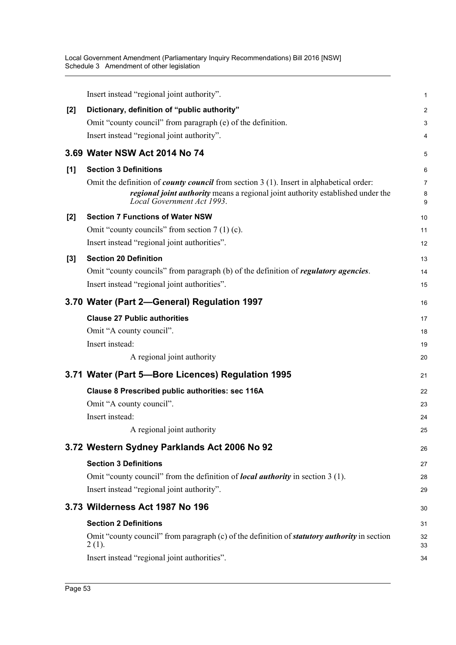|       | Insert instead "regional joint authority".                                                                                                                                                                      | 1                        |
|-------|-----------------------------------------------------------------------------------------------------------------------------------------------------------------------------------------------------------------|--------------------------|
| $[2]$ | Dictionary, definition of "public authority"                                                                                                                                                                    | $\overline{2}$           |
|       | Omit "county council" from paragraph (e) of the definition.                                                                                                                                                     | 3                        |
|       | Insert instead "regional joint authority".                                                                                                                                                                      | 4                        |
|       | 3.69 Water NSW Act 2014 No 74                                                                                                                                                                                   | 5                        |
| [1]   | <b>Section 3 Definitions</b>                                                                                                                                                                                    | 6                        |
|       | Omit the definition of <i>county council</i> from section 3 (1). Insert in alphabetical order:<br>regional joint authority means a regional joint authority established under the<br>Local Government Act 1993. | $\overline{7}$<br>8<br>9 |
| [2]   | <b>Section 7 Functions of Water NSW</b>                                                                                                                                                                         | 10                       |
|       | Omit "county councils" from section $7(1)(c)$ .                                                                                                                                                                 | 11                       |
|       | Insert instead "regional joint authorities".                                                                                                                                                                    | 12                       |
| $[3]$ | <b>Section 20 Definition</b>                                                                                                                                                                                    | 13                       |
|       | Omit "county councils" from paragraph (b) of the definition of regulatory agencies.                                                                                                                             | 14                       |
|       | Insert instead "regional joint authorities".                                                                                                                                                                    | 15                       |
|       | 3.70 Water (Part 2-General) Regulation 1997                                                                                                                                                                     | 16                       |
|       | <b>Clause 27 Public authorities</b>                                                                                                                                                                             | 17                       |
|       | Omit "A county council".                                                                                                                                                                                        | 18                       |
|       | Insert instead:                                                                                                                                                                                                 | 19                       |
|       | A regional joint authority                                                                                                                                                                                      | 20                       |
|       | 3.71 Water (Part 5-Bore Licences) Regulation 1995                                                                                                                                                               | 21                       |
|       | Clause 8 Prescribed public authorities: sec 116A                                                                                                                                                                | 22                       |
|       | Omit "A county council".                                                                                                                                                                                        | 23                       |
|       | Insert instead:                                                                                                                                                                                                 | 24                       |
|       | A regional joint authority                                                                                                                                                                                      | 25                       |
|       | 3.72 Western Sydney Parklands Act 2006 No 92                                                                                                                                                                    | 26                       |
|       | <b>Section 3 Definitions</b>                                                                                                                                                                                    | 27                       |
|       | Omit "county council" from the definition of <i>local authority</i> in section 3 (1).                                                                                                                           | 28                       |
|       | Insert instead "regional joint authority".                                                                                                                                                                      | 29                       |
|       | 3.73 Wilderness Act 1987 No 196                                                                                                                                                                                 | 30                       |
|       | <b>Section 2 Definitions</b>                                                                                                                                                                                    | 31                       |
|       | Omit "county council" from paragraph (c) of the definition of <b>statutory authority</b> in section<br>$2(1)$ .                                                                                                 | 32<br>33                 |
|       | Insert instead "regional joint authorities".                                                                                                                                                                    | 34                       |